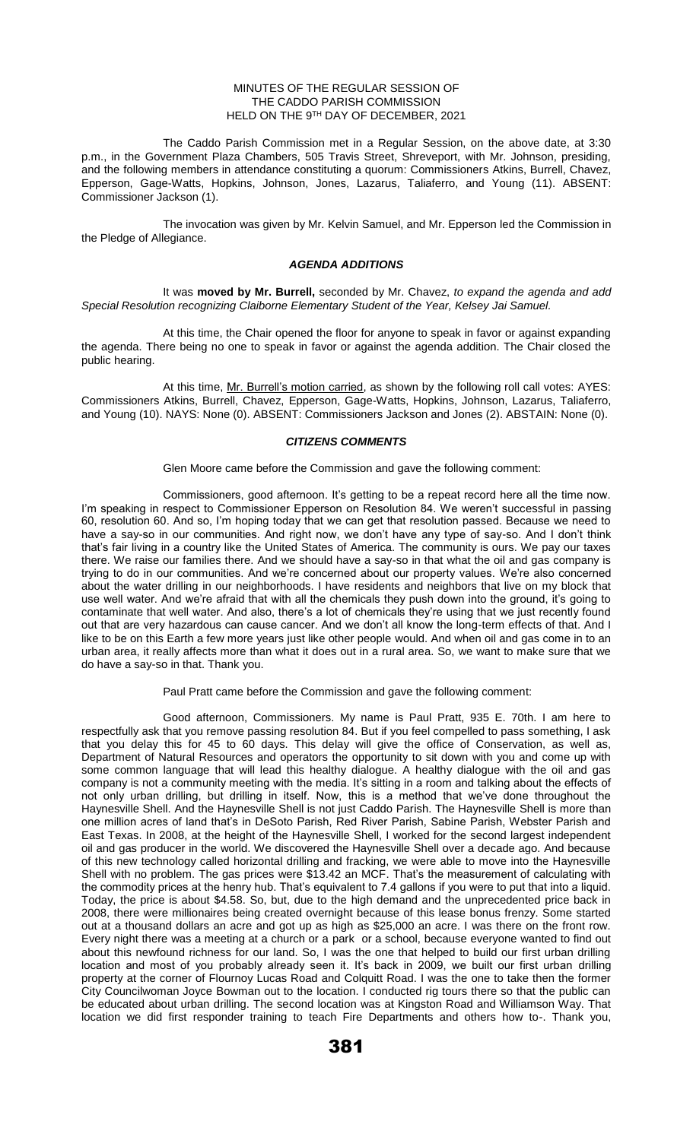## MINUTES OF THE REGULAR SESSION OF THE CADDO PARISH COMMISSION HELD ON THE 9TH DAY OF DECEMBER, 2021

The Caddo Parish Commission met in a Regular Session, on the above date, at 3:30 p.m., in the Government Plaza Chambers, 505 Travis Street, Shreveport, with Mr. Johnson, presiding, and the following members in attendance constituting a quorum: Commissioners Atkins, Burrell, Chavez, Epperson, Gage-Watts, Hopkins, Johnson, Jones, Lazarus, Taliaferro, and Young (11). ABSENT: Commissioner Jackson (1).

The invocation was given by Mr. Kelvin Samuel, and Mr. Epperson led the Commission in the Pledge of Allegiance.

## *AGENDA ADDITIONS*

It was **moved by Mr. Burrell,** seconded by Mr. Chavez, *to expand the agenda and add Special Resolution recognizing Claiborne Elementary Student of the Year, Kelsey Jai Samuel.* 

At this time, the Chair opened the floor for anyone to speak in favor or against expanding the agenda. There being no one to speak in favor or against the agenda addition. The Chair closed the public hearing.

At this time, Mr. Burrell's motion carried, as shown by the following roll call votes: AYES: Commissioners Atkins, Burrell, Chavez, Epperson, Gage-Watts, Hopkins, Johnson, Lazarus, Taliaferro, and Young (10). NAYS: None (0). ABSENT: Commissioners Jackson and Jones (2). ABSTAIN: None (0).

## *CITIZENS COMMENTS*

Glen Moore came before the Commission and gave the following comment:

Commissioners, good afternoon. It's getting to be a repeat record here all the time now. I'm speaking in respect to Commissioner Epperson on Resolution 84. We weren't successful in passing 60, resolution 60. And so, I'm hoping today that we can get that resolution passed. Because we need to have a say-so in our communities. And right now, we don't have any type of say-so. And I don't think that's fair living in a country like the United States of America. The community is ours. We pay our taxes there. We raise our families there. And we should have a say-so in that what the oil and gas company is trying to do in our communities. And we're concerned about our property values. We're also concerned about the water drilling in our neighborhoods. I have residents and neighbors that live on my block that use well water. And we're afraid that with all the chemicals they push down into the ground, it's going to contaminate that well water. And also, there's a lot of chemicals they're using that we just recently found out that are very hazardous can cause cancer. And we don't all know the long-term effects of that. And I like to be on this Earth a few more years just like other people would. And when oil and gas come in to an urban area, it really affects more than what it does out in a rural area. So, we want to make sure that we do have a say-so in that. Thank you.

Paul Pratt came before the Commission and gave the following comment:

Good afternoon, Commissioners. My name is Paul Pratt, 935 E. 70th. I am here to respectfully ask that you remove passing resolution 84. But if you feel compelled to pass something, I ask that you delay this for 45 to 60 days. This delay will give the office of Conservation, as well as, Department of Natural Resources and operators the opportunity to sit down with you and come up with some common language that will lead this healthy dialogue. A healthy dialogue with the oil and gas company is not a community meeting with the media. It's sitting in a room and talking about the effects of not only urban drilling, but drilling in itself. Now, this is a method that we've done throughout the Haynesville Shell. And the Haynesville Shell is not just Caddo Parish. The Haynesville Shell is more than one million acres of land that's in DeSoto Parish, Red River Parish, Sabine Parish, Webster Parish and East Texas. In 2008, at the height of the Haynesville Shell, I worked for the second largest independent oil and gas producer in the world. We discovered the Haynesville Shell over a decade ago. And because of this new technology called horizontal drilling and fracking, we were able to move into the Haynesville Shell with no problem. The gas prices were \$13.42 an MCF. That's the measurement of calculating with the commodity prices at the henry hub. That's equivalent to 7.4 gallons if you were to put that into a liquid. Today, the price is about \$4.58. So, but, due to the high demand and the unprecedented price back in 2008, there were millionaires being created overnight because of this lease bonus frenzy. Some started out at a thousand dollars an acre and got up as high as \$25,000 an acre. I was there on the front row. Every night there was a meeting at a church or a park or a school, because everyone wanted to find out about this newfound richness for our land. So, I was the one that helped to build our first urban drilling location and most of you probably already seen it. It's back in 2009, we built our first urban drilling property at the corner of Flournoy Lucas Road and Colquitt Road. I was the one to take then the former City Councilwoman Joyce Bowman out to the location. I conducted rig tours there so that the public can be educated about urban drilling. The second location was at Kingston Road and Williamson Way. That location we did first responder training to teach Fire Departments and others how to-. Thank you,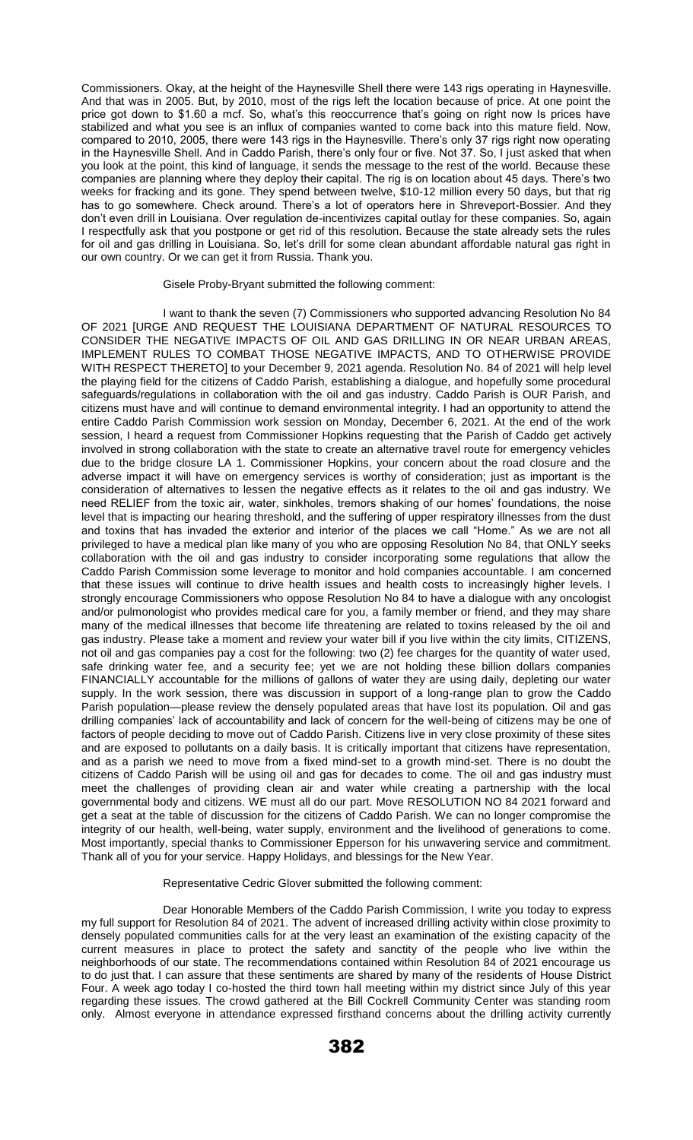Commissioners. Okay, at the height of the Haynesville Shell there were 143 rigs operating in Haynesville. And that was in 2005. But, by 2010, most of the rigs left the location because of price. At one point the price got down to \$1.60 a mcf. So, what's this reoccurrence that's going on right now Is prices have stabilized and what you see is an influx of companies wanted to come back into this mature field. Now, compared to 2010, 2005, there were 143 rigs in the Haynesville. There's only 37 rigs right now operating in the Haynesville Shell. And in Caddo Parish, there's only four or five. Not 37. So, I just asked that when you look at the point, this kind of language, it sends the message to the rest of the world. Because these companies are planning where they deploy their capital. The rig is on location about 45 days. There's two weeks for fracking and its gone. They spend between twelve, \$10-12 million every 50 days, but that rig has to go somewhere. Check around. There's a lot of operators here in Shreveport-Bossier. And they don't even drill in Louisiana. Over regulation de-incentivizes capital outlay for these companies. So, again I respectfully ask that you postpone or get rid of this resolution. Because the state already sets the rules for oil and gas drilling in Louisiana. So, let's drill for some clean abundant affordable natural gas right in our own country. Or we can get it from Russia. Thank you.

#### Gisele Proby-Bryant submitted the following comment:

I want to thank the seven (7) Commissioners who supported advancing Resolution No 84 OF 2021 [URGE AND REQUEST THE LOUISIANA DEPARTMENT OF NATURAL RESOURCES TO CONSIDER THE NEGATIVE IMPACTS OF OIL AND GAS DRILLING IN OR NEAR URBAN AREAS, IMPLEMENT RULES TO COMBAT THOSE NEGATIVE IMPACTS, AND TO OTHERWISE PROVIDE WITH RESPECT THERETO] to your December 9, 2021 agenda. Resolution No. 84 of 2021 will help level the playing field for the citizens of Caddo Parish, establishing a dialogue, and hopefully some procedural safeguards/regulations in collaboration with the oil and gas industry. Caddo Parish is OUR Parish, and citizens must have and will continue to demand environmental integrity. I had an opportunity to attend the entire Caddo Parish Commission work session on Monday, December 6, 2021. At the end of the work session, I heard a request from Commissioner Hopkins requesting that the Parish of Caddo get actively involved in strong collaboration with the state to create an alternative travel route for emergency vehicles due to the bridge closure LA 1. Commissioner Hopkins, your concern about the road closure and the adverse impact it will have on emergency services is worthy of consideration; just as important is the consideration of alternatives to lessen the negative effects as it relates to the oil and gas industry. We need RELIEF from the toxic air, water, sinkholes, tremors shaking of our homes' foundations, the noise level that is impacting our hearing threshold, and the suffering of upper respiratory illnesses from the dust and toxins that has invaded the exterior and interior of the places we call "Home." As we are not all privileged to have a medical plan like many of you who are opposing Resolution No 84, that ONLY seeks collaboration with the oil and gas industry to consider incorporating some regulations that allow the Caddo Parish Commission some leverage to monitor and hold companies accountable. I am concerned that these issues will continue to drive health issues and health costs to increasingly higher levels. I strongly encourage Commissioners who oppose Resolution No 84 to have a dialogue with any oncologist and/or pulmonologist who provides medical care for you, a family member or friend, and they may share many of the medical illnesses that become life threatening are related to toxins released by the oil and gas industry. Please take a moment and review your water bill if you live within the city limits, CITIZENS, not oil and gas companies pay a cost for the following: two (2) fee charges for the quantity of water used, safe drinking water fee, and a security fee; yet we are not holding these billion dollars companies FINANCIALLY accountable for the millions of gallons of water they are using daily, depleting our water supply. In the work session, there was discussion in support of a long-range plan to grow the Caddo Parish population—please review the densely populated areas that have lost its population. Oil and gas drilling companies' lack of accountability and lack of concern for the well-being of citizens may be one of factors of people deciding to move out of Caddo Parish. Citizens live in very close proximity of these sites and are exposed to pollutants on a daily basis. It is critically important that citizens have representation, and as a parish we need to move from a fixed mind-set to a growth mind-set. There is no doubt the citizens of Caddo Parish will be using oil and gas for decades to come. The oil and gas industry must meet the challenges of providing clean air and water while creating a partnership with the local governmental body and citizens. WE must all do our part. Move RESOLUTION NO 84 2021 forward and get a seat at the table of discussion for the citizens of Caddo Parish. We can no longer compromise the integrity of our health, well-being, water supply, environment and the livelihood of generations to come. Most importantly, special thanks to Commissioner Epperson for his unwavering service and commitment. Thank all of you for your service. Happy Holidays, and blessings for the New Year.

## Representative Cedric Glover submitted the following comment:

Dear Honorable Members of the Caddo Parish Commission, I write you today to express my full support for Resolution 84 of 2021. The advent of increased drilling activity within close proximity to densely populated communities calls for at the very least an examination of the existing capacity of the current measures in place to protect the safety and sanctity of the people who live within the neighborhoods of our state. The recommendations contained within Resolution 84 of 2021 encourage us to do just that. I can assure that these sentiments are shared by many of the residents of House District Four. A week ago today I co-hosted the third town hall meeting within my district since July of this year regarding these issues. The crowd gathered at the Bill Cockrell Community Center was standing room only. Almost everyone in attendance expressed firsthand concerns about the drilling activity currently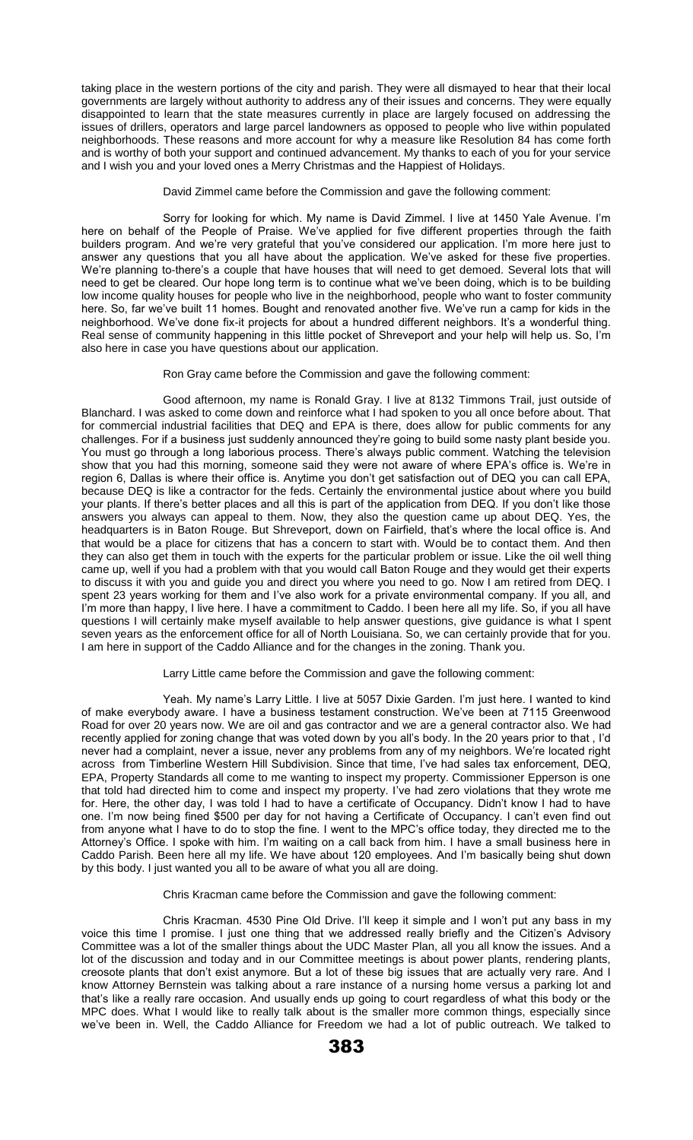taking place in the western portions of the city and parish. They were all dismayed to hear that their local governments are largely without authority to address any of their issues and concerns. They were equally disappointed to learn that the state measures currently in place are largely focused on addressing the issues of drillers, operators and large parcel landowners as opposed to people who live within populated neighborhoods. These reasons and more account for why a measure like Resolution 84 has come forth and is worthy of both your support and continued advancement. My thanks to each of you for your service and I wish you and your loved ones a Merry Christmas and the Happiest of Holidays.

David Zimmel came before the Commission and gave the following comment:

Sorry for looking for which. My name is David Zimmel. I live at 1450 Yale Avenue. I'm here on behalf of the People of Praise. We've applied for five different properties through the faith builders program. And we're very grateful that you've considered our application. I'm more here just to answer any questions that you all have about the application. We've asked for these five properties. We're planning to-there's a couple that have houses that will need to get demoed. Several lots that will need to get be cleared. Our hope long term is to continue what we've been doing, which is to be building low income quality houses for people who live in the neighborhood, people who want to foster community here. So, far we've built 11 homes. Bought and renovated another five. We've run a camp for kids in the neighborhood. We've done fix-it projects for about a hundred different neighbors. It's a wonderful thing. Real sense of community happening in this little pocket of Shreveport and your help will help us. So, I'm also here in case you have questions about our application.

Ron Gray came before the Commission and gave the following comment:

Good afternoon, my name is Ronald Gray. I live at 8132 Timmons Trail, just outside of Blanchard. I was asked to come down and reinforce what I had spoken to you all once before about. That for commercial industrial facilities that DEQ and EPA is there, does allow for public comments for any challenges. For if a business just suddenly announced they're going to build some nasty plant beside you. You must go through a long laborious process. There's always public comment. Watching the television show that you had this morning, someone said they were not aware of where EPA's office is. We're in region 6, Dallas is where their office is. Anytime you don't get satisfaction out of DEQ you can call EPA, because DEQ is like a contractor for the feds. Certainly the environmental justice about where you build your plants. If there's better places and all this is part of the application from DEQ. If you don't like those answers you always can appeal to them. Now, they also the question came up about DEQ. Yes, the headquarters is in Baton Rouge. But Shreveport, down on Fairfield, that's where the local office is. And that would be a place for citizens that has a concern to start with. Would be to contact them. And then they can also get them in touch with the experts for the particular problem or issue. Like the oil well thing came up, well if you had a problem with that you would call Baton Rouge and they would get their experts to discuss it with you and guide you and direct you where you need to go. Now I am retired from DEQ. I spent 23 years working for them and I've also work for a private environmental company. If you all, and I'm more than happy, I live here. I have a commitment to Caddo. I been here all my life. So, if you all have questions I will certainly make myself available to help answer questions, give guidance is what I spent seven years as the enforcement office for all of North Louisiana. So, we can certainly provide that for you. I am here in support of the Caddo Alliance and for the changes in the zoning. Thank you.

Larry Little came before the Commission and gave the following comment:

Yeah. My name's Larry Little. I live at 5057 Dixie Garden. I'm just here. I wanted to kind of make everybody aware. I have a business testament construction. We've been at 7115 Greenwood Road for over 20 years now. We are oil and gas contractor and we are a general contractor also. We had recently applied for zoning change that was voted down by you all's body. In the 20 years prior to that , I'd never had a complaint, never a issue, never any problems from any of my neighbors. We're located right across from Timberline Western Hill Subdivision. Since that time, I've had sales tax enforcement, DEQ, EPA, Property Standards all come to me wanting to inspect my property. Commissioner Epperson is one that told had directed him to come and inspect my property. I've had zero violations that they wrote me for. Here, the other day, I was told I had to have a certificate of Occupancy. Didn't know I had to have one. I'm now being fined \$500 per day for not having a Certificate of Occupancy. I can't even find out from anyone what I have to do to stop the fine. I went to the MPC's office today, they directed me to the Attorney's Office. I spoke with him. I'm waiting on a call back from him. I have a small business here in Caddo Parish. Been here all my life. We have about 120 employees. And I'm basically being shut down by this body. I just wanted you all to be aware of what you all are doing.

Chris Kracman came before the Commission and gave the following comment:

Chris Kracman. 4530 Pine Old Drive. I'll keep it simple and I won't put any bass in my voice this time I promise. I just one thing that we addressed really briefly and the Citizen's Advisory Committee was a lot of the smaller things about the UDC Master Plan, all you all know the issues. And a lot of the discussion and today and in our Committee meetings is about power plants, rendering plants, creosote plants that don't exist anymore. But a lot of these big issues that are actually very rare. And I know Attorney Bernstein was talking about a rare instance of a nursing home versus a parking lot and that's like a really rare occasion. And usually ends up going to court regardless of what this body or the MPC does. What I would like to really talk about is the smaller more common things, especially since we've been in. Well, the Caddo Alliance for Freedom we had a lot of public outreach. We talked to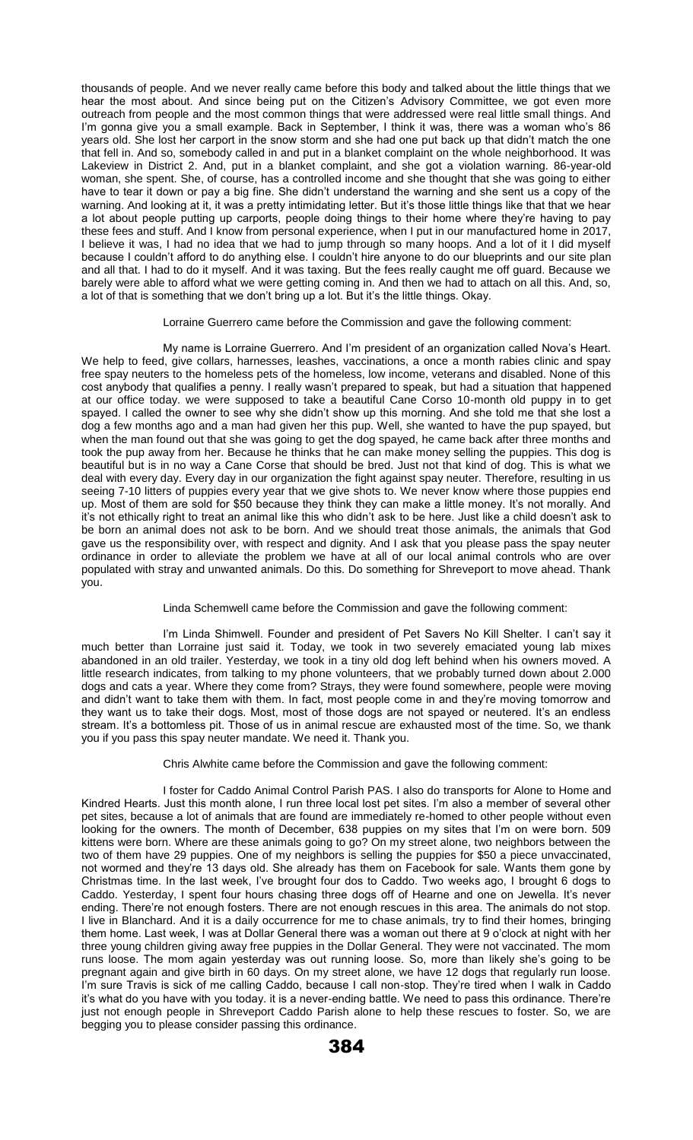thousands of people. And we never really came before this body and talked about the little things that we hear the most about. And since being put on the Citizen's Advisory Committee, we got even more outreach from people and the most common things that were addressed were real little small things. And I'm gonna give you a small example. Back in September, I think it was, there was a woman who's 86 years old. She lost her carport in the snow storm and she had one put back up that didn't match the one that fell in. And so, somebody called in and put in a blanket complaint on the whole neighborhood. It was Lakeview in District 2. And, put in a blanket complaint, and she got a violation warning. 86-year-old woman, she spent. She, of course, has a controlled income and she thought that she was going to either have to tear it down or pay a big fine. She didn't understand the warning and she sent us a copy of the warning. And looking at it, it was a pretty intimidating letter. But it's those little things like that that we hear a lot about people putting up carports, people doing things to their home where they're having to pay these fees and stuff. And I know from personal experience, when I put in our manufactured home in 2017, I believe it was, I had no idea that we had to jump through so many hoops. And a lot of it I did myself because I couldn't afford to do anything else. I couldn't hire anyone to do our blueprints and our site plan and all that. I had to do it myself. And it was taxing. But the fees really caught me off guard. Because we barely were able to afford what we were getting coming in. And then we had to attach on all this. And, so, a lot of that is something that we don't bring up a lot. But it's the little things. Okay.

#### Lorraine Guerrero came before the Commission and gave the following comment:

My name is Lorraine Guerrero. And I'm president of an organization called Nova's Heart. We help to feed, give collars, harnesses, leashes, vaccinations, a once a month rabies clinic and spay free spay neuters to the homeless pets of the homeless, low income, veterans and disabled. None of this cost anybody that qualifies a penny. I really wasn't prepared to speak, but had a situation that happened at our office today. we were supposed to take a beautiful Cane Corso 10-month old puppy in to get spayed. I called the owner to see why she didn't show up this morning. And she told me that she lost a dog a few months ago and a man had given her this pup. Well, she wanted to have the pup spayed, but when the man found out that she was going to get the dog spayed, he came back after three months and took the pup away from her. Because he thinks that he can make money selling the puppies. This dog is beautiful but is in no way a Cane Corse that should be bred. Just not that kind of dog. This is what we deal with every day. Every day in our organization the fight against spay neuter. Therefore, resulting in us seeing 7-10 litters of puppies every year that we give shots to. We never know where those puppies end up. Most of them are sold for \$50 because they think they can make a little money. It's not morally. And it's not ethically right to treat an animal like this who didn't ask to be here. Just like a child doesn't ask to be born an animal does not ask to be born. And we should treat those animals, the animals that God gave us the responsibility over, with respect and dignity. And I ask that you please pass the spay neuter ordinance in order to alleviate the problem we have at all of our local animal controls who are over populated with stray and unwanted animals. Do this. Do something for Shreveport to move ahead. Thank you.

# Linda Schemwell came before the Commission and gave the following comment:

I'm Linda Shimwell. Founder and president of Pet Savers No Kill Shelter. I can't say it much better than Lorraine just said it. Today, we took in two severely emaciated young lab mixes abandoned in an old trailer. Yesterday, we took in a tiny old dog left behind when his owners moved. A little research indicates, from talking to my phone volunteers, that we probably turned down about 2.000 dogs and cats a year. Where they come from? Strays, they were found somewhere, people were moving and didn't want to take them with them. In fact, most people come in and they're moving tomorrow and they want us to take their dogs. Most, most of those dogs are not spayed or neutered. It's an endless stream. It's a bottomless pit. Those of us in animal rescue are exhausted most of the time. So, we thank you if you pass this spay neuter mandate. We need it. Thank you.

## Chris Alwhite came before the Commission and gave the following comment:

I foster for Caddo Animal Control Parish PAS. I also do transports for Alone to Home and Kindred Hearts. Just this month alone, I run three local lost pet sites. I'm also a member of several other pet sites, because a lot of animals that are found are immediately re-homed to other people without even looking for the owners. The month of December, 638 puppies on my sites that I'm on were born. 509 kittens were born. Where are these animals going to go? On my street alone, two neighbors between the two of them have 29 puppies. One of my neighbors is selling the puppies for \$50 a piece unvaccinated, not wormed and they're 13 days old. She already has them on Facebook for sale. Wants them gone by Christmas time. In the last week, I've brought four dos to Caddo. Two weeks ago, I brought 6 dogs to Caddo. Yesterday, I spent four hours chasing three dogs off of Hearne and one on Jewella. It's never ending. There're not enough fosters. There are not enough rescues in this area. The animals do not stop. I live in Blanchard. And it is a daily occurrence for me to chase animals, try to find their homes, bringing them home. Last week, I was at Dollar General there was a woman out there at 9 o'clock at night with her three young children giving away free puppies in the Dollar General. They were not vaccinated. The mom runs loose. The mom again yesterday was out running loose. So, more than likely she's going to be pregnant again and give birth in 60 days. On my street alone, we have 12 dogs that regularly run loose. I'm sure Travis is sick of me calling Caddo, because I call non-stop. They're tired when I walk in Caddo it's what do you have with you today. it is a never-ending battle. We need to pass this ordinance. There're just not enough people in Shreveport Caddo Parish alone to help these rescues to foster. So, we are begging you to please consider passing this ordinance.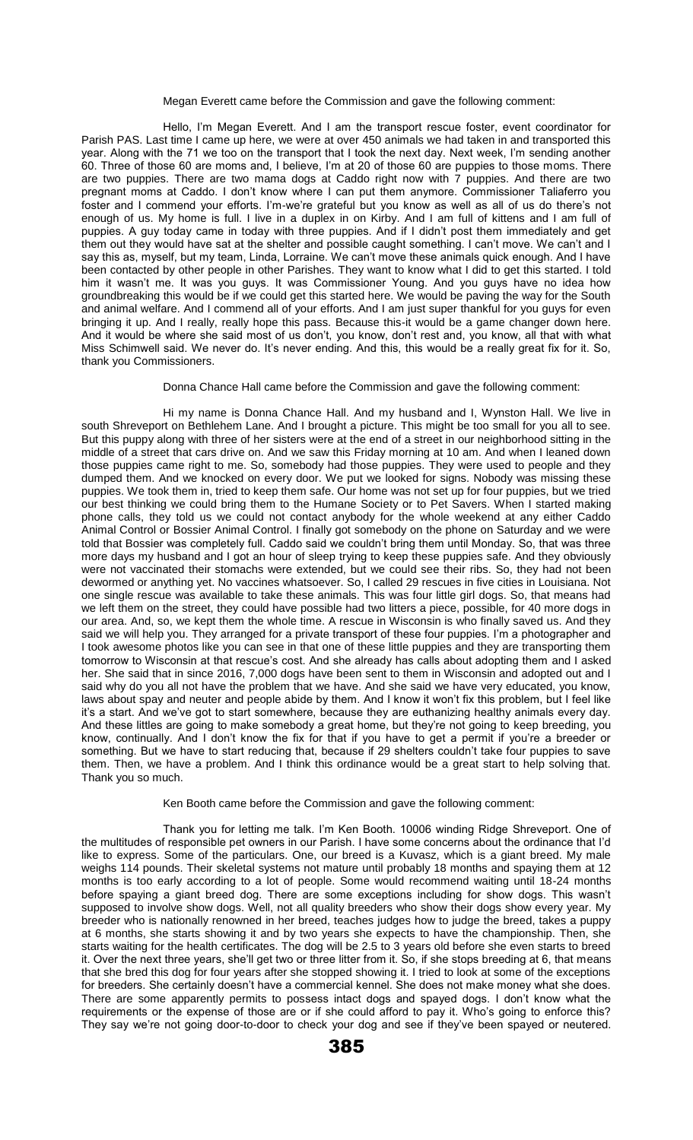#### Megan Everett came before the Commission and gave the following comment:

Hello, I'm Megan Everett. And I am the transport rescue foster, event coordinator for Parish PAS. Last time I came up here, we were at over 450 animals we had taken in and transported this year. Along with the 71 we too on the transport that I took the next day. Next week, I'm sending another 60. Three of those 60 are moms and, I believe, I'm at 20 of those 60 are puppies to those moms. There are two puppies. There are two mama dogs at Caddo right now with 7 puppies. And there are two pregnant moms at Caddo. I don't know where I can put them anymore. Commissioner Taliaferro you foster and I commend your efforts. I'm-we're grateful but you know as well as all of us do there's not enough of us. My home is full. I live in a duplex in on Kirby. And I am full of kittens and I am full of puppies. A guy today came in today with three puppies. And if I didn't post them immediately and get them out they would have sat at the shelter and possible caught something. I can't move. We can't and I say this as, myself, but my team, Linda, Lorraine. We can't move these animals quick enough. And I have been contacted by other people in other Parishes. They want to know what I did to get this started. I told him it wasn't me. It was you guys. It was Commissioner Young. And you guys have no idea how groundbreaking this would be if we could get this started here. We would be paving the way for the South and animal welfare. And I commend all of your efforts. And I am just super thankful for you guys for even bringing it up. And I really, really hope this pass. Because this-it would be a game changer down here. And it would be where she said most of us don't, you know, don't rest and, you know, all that with what Miss Schimwell said. We never do. It's never ending. And this, this would be a really great fix for it. So, thank you Commissioners.

#### Donna Chance Hall came before the Commission and gave the following comment:

Hi my name is Donna Chance Hall. And my husband and I, Wynston Hall. We live in south Shreveport on Bethlehem Lane. And I brought a picture. This might be too small for you all to see. But this puppy along with three of her sisters were at the end of a street in our neighborhood sitting in the middle of a street that cars drive on. And we saw this Friday morning at 10 am. And when I leaned down those puppies came right to me. So, somebody had those puppies. They were used to people and they dumped them. And we knocked on every door. We put we looked for signs. Nobody was missing these puppies. We took them in, tried to keep them safe. Our home was not set up for four puppies, but we tried our best thinking we could bring them to the Humane Society or to Pet Savers. When I started making phone calls, they told us we could not contact anybody for the whole weekend at any either Caddo Animal Control or Bossier Animal Control. I finally got somebody on the phone on Saturday and we were told that Bossier was completely full. Caddo said we couldn't bring them until Monday. So, that was three more days my husband and I got an hour of sleep trying to keep these puppies safe. And they obviously were not vaccinated their stomachs were extended, but we could see their ribs. So, they had not been dewormed or anything yet. No vaccines whatsoever. So, I called 29 rescues in five cities in Louisiana. Not one single rescue was available to take these animals. This was four little girl dogs. So, that means had we left them on the street, they could have possible had two litters a piece, possible, for 40 more dogs in our area. And, so, we kept them the whole time. A rescue in Wisconsin is who finally saved us. And they said we will help you. They arranged for a private transport of these four puppies. I'm a photographer and I took awesome photos like you can see in that one of these little puppies and they are transporting them tomorrow to Wisconsin at that rescue's cost. And she already has calls about adopting them and I asked her. She said that in since 2016, 7,000 dogs have been sent to them in Wisconsin and adopted out and I said why do you all not have the problem that we have. And she said we have very educated, you know, laws about spay and neuter and people abide by them. And I know it won't fix this problem, but I feel like it's a start. And we've got to start somewhere, because they are euthanizing healthy animals every day. And these littles are going to make somebody a great home, but they're not going to keep breeding, you know, continually. And I don't know the fix for that if you have to get a permit if you're a breeder or something. But we have to start reducing that, because if 29 shelters couldn't take four puppies to save them. Then, we have a problem. And I think this ordinance would be a great start to help solving that. Thank you so much.

### Ken Booth came before the Commission and gave the following comment:

Thank you for letting me talk. I'm Ken Booth. 10006 winding Ridge Shreveport. One of the multitudes of responsible pet owners in our Parish. I have some concerns about the ordinance that I'd like to express. Some of the particulars. One, our breed is a Kuvasz, which is a giant breed. My male weighs 114 pounds. Their skeletal systems not mature until probably 18 months and spaying them at 12 months is too early according to a lot of people. Some would recommend waiting until 18-24 months before spaying a giant breed dog. There are some exceptions including for show dogs. This wasn't supposed to involve show dogs. Well, not all quality breeders who show their dogs show every year. My breeder who is nationally renowned in her breed, teaches judges how to judge the breed, takes a puppy at 6 months, she starts showing it and by two years she expects to have the championship. Then, she starts waiting for the health certificates. The dog will be 2.5 to 3 years old before she even starts to breed it. Over the next three years, she'll get two or three litter from it. So, if she stops breeding at 6, that means that she bred this dog for four years after she stopped showing it. I tried to look at some of the exceptions for breeders. She certainly doesn't have a commercial kennel. She does not make money what she does. There are some apparently permits to possess intact dogs and spayed dogs. I don't know what the requirements or the expense of those are or if she could afford to pay it. Who's going to enforce this? They say we're not going door-to-door to check your dog and see if they've been spayed or neutered.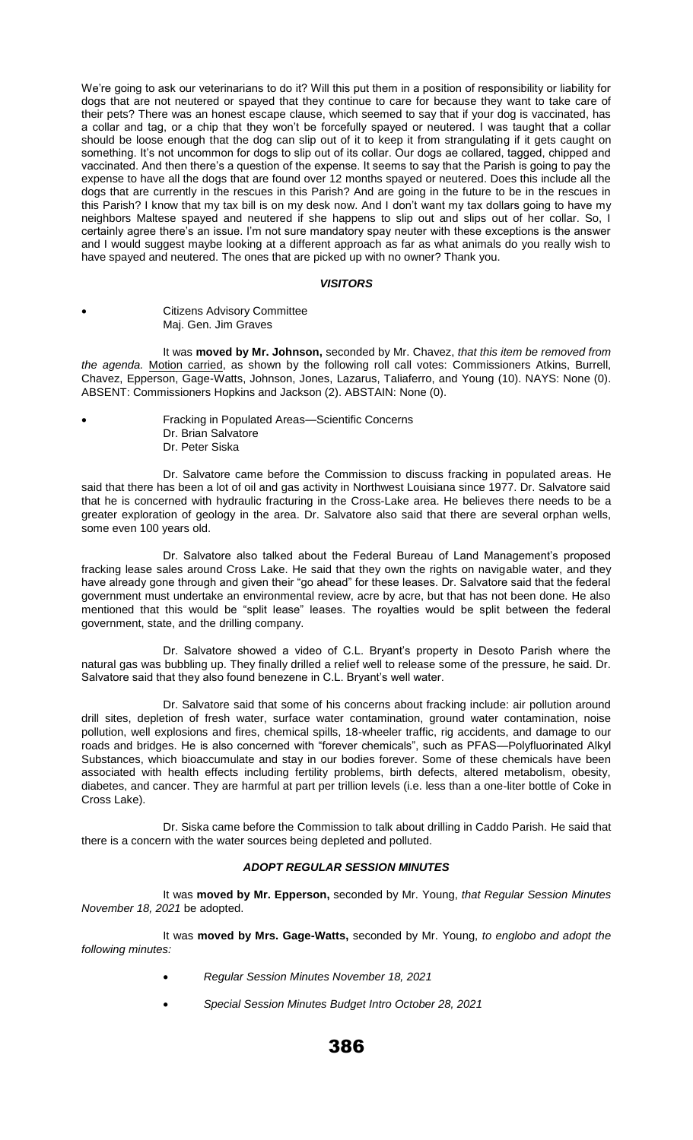We're going to ask our veterinarians to do it? Will this put them in a position of responsibility or liability for dogs that are not neutered or spayed that they continue to care for because they want to take care of their pets? There was an honest escape clause, which seemed to say that if your dog is vaccinated, has a collar and tag, or a chip that they won't be forcefully spayed or neutered. I was taught that a collar should be loose enough that the dog can slip out of it to keep it from strangulating if it gets caught on something. It's not uncommon for dogs to slip out of its collar. Our dogs ae collared, tagged, chipped and vaccinated. And then there's a question of the expense. It seems to say that the Parish is going to pay the expense to have all the dogs that are found over 12 months spayed or neutered. Does this include all the dogs that are currently in the rescues in this Parish? And are going in the future to be in the rescues in this Parish? I know that my tax bill is on my desk now. And I don't want my tax dollars going to have my neighbors Maltese spayed and neutered if she happens to slip out and slips out of her collar. So, I certainly agree there's an issue. I'm not sure mandatory spay neuter with these exceptions is the answer and I would suggest maybe looking at a different approach as far as what animals do you really wish to have spayed and neutered. The ones that are picked up with no owner? Thank you.

#### *VISITORS*

• Citizens Advisory Committee Maj. Gen. Jim Graves

It was **moved by Mr. Johnson,** seconded by Mr. Chavez, *that this item be removed from the agenda.* Motion carried, as shown by the following roll call votes: Commissioners Atkins, Burrell, Chavez, Epperson, Gage-Watts, Johnson, Jones, Lazarus, Taliaferro, and Young (10). NAYS: None (0). ABSENT: Commissioners Hopkins and Jackson (2). ABSTAIN: None (0).

• Fracking in Populated Areas—Scientific Concerns Dr. Brian Salvatore Dr. Peter Siska

Dr. Salvatore came before the Commission to discuss fracking in populated areas. He said that there has been a lot of oil and gas activity in Northwest Louisiana since 1977. Dr. Salvatore said that he is concerned with hydraulic fracturing in the Cross-Lake area. He believes there needs to be a greater exploration of geology in the area. Dr. Salvatore also said that there are several orphan wells, some even 100 years old.

Dr. Salvatore also talked about the Federal Bureau of Land Management's proposed fracking lease sales around Cross Lake. He said that they own the rights on navigable water, and they have already gone through and given their "go ahead" for these leases. Dr. Salvatore said that the federal government must undertake an environmental review, acre by acre, but that has not been done. He also mentioned that this would be "split lease" leases. The royalties would be split between the federal government, state, and the drilling company.

Dr. Salvatore showed a video of C.L. Bryant's property in Desoto Parish where the natural gas was bubbling up. They finally drilled a relief well to release some of the pressure, he said. Dr. Salvatore said that they also found benezene in C.L. Bryant's well water.

Dr. Salvatore said that some of his concerns about fracking include: air pollution around drill sites, depletion of fresh water, surface water contamination, ground water contamination, noise pollution, well explosions and fires, chemical spills, 18-wheeler traffic, rig accidents, and damage to our roads and bridges. He is also concerned with "forever chemicals", such as PFAS—Polyfluorinated Alkyl Substances, which bioaccumulate and stay in our bodies forever. Some of these chemicals have been associated with health effects including fertility problems, birth defects, altered metabolism, obesity, diabetes, and cancer. They are harmful at part per trillion levels (i.e. less than a one-liter bottle of Coke in Cross Lake).

Dr. Siska came before the Commission to talk about drilling in Caddo Parish. He said that there is a concern with the water sources being depleted and polluted.

# *ADOPT REGULAR SESSION MINUTES*

It was **moved by Mr. Epperson,** seconded by Mr. Young, *that Regular Session Minutes November 18, 2021* be adopted.

It was **moved by Mrs. Gage-Watts,** seconded by Mr. Young, *to englobo and adopt the following minutes:* 

- *Regular Session Minutes November 18, 2021*
- *Special Session Minutes Budget Intro October 28, 2021*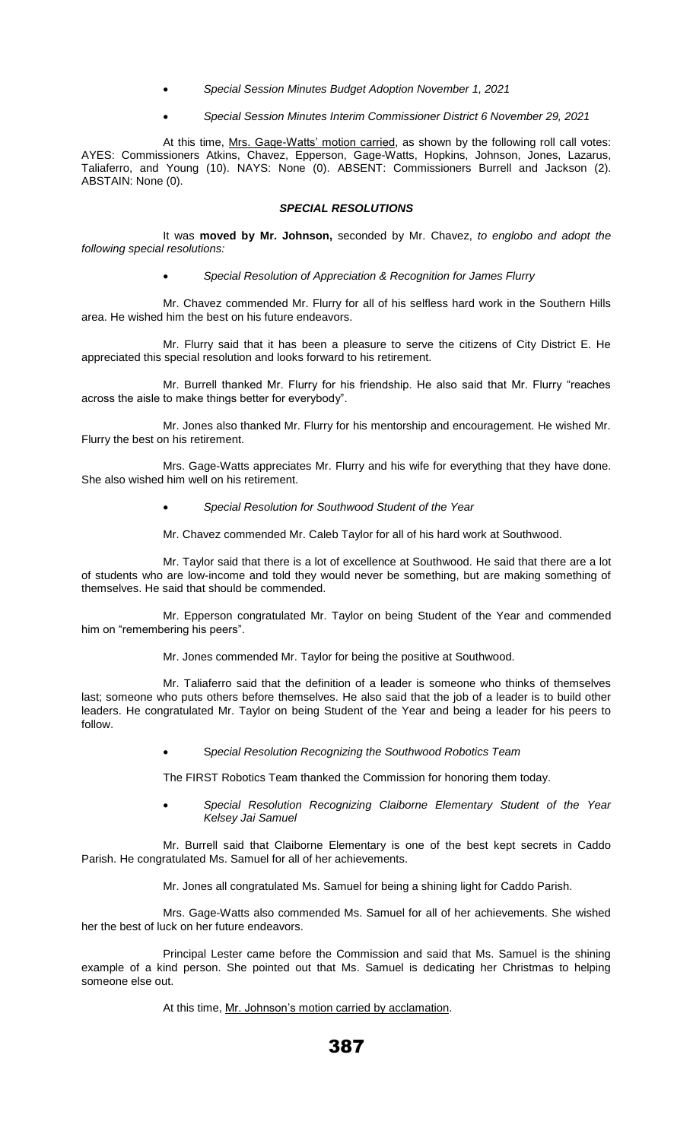- *Special Session Minutes Budget Adoption November 1, 2021*
- *Special Session Minutes Interim Commissioner District 6 November 29, 2021*

At this time, Mrs. Gage-Watts' motion carried, as shown by the following roll call votes: AYES: Commissioners Atkins, Chavez, Epperson, Gage-Watts, Hopkins, Johnson, Jones, Lazarus, Taliaferro, and Young (10). NAYS: None (0). ABSENT: Commissioners Burrell and Jackson (2). ABSTAIN: None (0).

## *SPECIAL RESOLUTIONS*

It was **moved by Mr. Johnson,** seconded by Mr. Chavez, *to englobo and adopt the following special resolutions:* 

• *Special Resolution of Appreciation & Recognition for James Flurry*

Mr. Chavez commended Mr. Flurry for all of his selfless hard work in the Southern Hills area. He wished him the best on his future endeavors.

Mr. Flurry said that it has been a pleasure to serve the citizens of City District E. He appreciated this special resolution and looks forward to his retirement.

Mr. Burrell thanked Mr. Flurry for his friendship. He also said that Mr. Flurry "reaches across the aisle to make things better for everybody".

Mr. Jones also thanked Mr. Flurry for his mentorship and encouragement. He wished Mr. Flurry the best on his retirement.

Mrs. Gage-Watts appreciates Mr. Flurry and his wife for everything that they have done. She also wished him well on his retirement.

• *Special Resolution for Southwood Student of the Year*

Mr. Chavez commended Mr. Caleb Taylor for all of his hard work at Southwood.

Mr. Taylor said that there is a lot of excellence at Southwood. He said that there are a lot of students who are low-income and told they would never be something, but are making something of themselves. He said that should be commended.

Mr. Epperson congratulated Mr. Taylor on being Student of the Year and commended him on "remembering his peers".

Mr. Jones commended Mr. Taylor for being the positive at Southwood.

Mr. Taliaferro said that the definition of a leader is someone who thinks of themselves last; someone who puts others before themselves. He also said that the job of a leader is to build other leaders. He congratulated Mr. Taylor on being Student of the Year and being a leader for his peers to follow.

• S*pecial Resolution Recognizing the Southwood Robotics Team*

The FIRST Robotics Team thanked the Commission for honoring them today.

• *Special Resolution Recognizing Claiborne Elementary Student of the Year Kelsey Jai Samuel*

Mr. Burrell said that Claiborne Elementary is one of the best kept secrets in Caddo Parish. He congratulated Ms. Samuel for all of her achievements.

Mr. Jones all congratulated Ms. Samuel for being a shining light for Caddo Parish.

Mrs. Gage-Watts also commended Ms. Samuel for all of her achievements. She wished her the best of luck on her future endeavors.

Principal Lester came before the Commission and said that Ms. Samuel is the shining example of a kind person. She pointed out that Ms. Samuel is dedicating her Christmas to helping someone else out.

At this time, Mr. Johnson's motion carried by acclamation.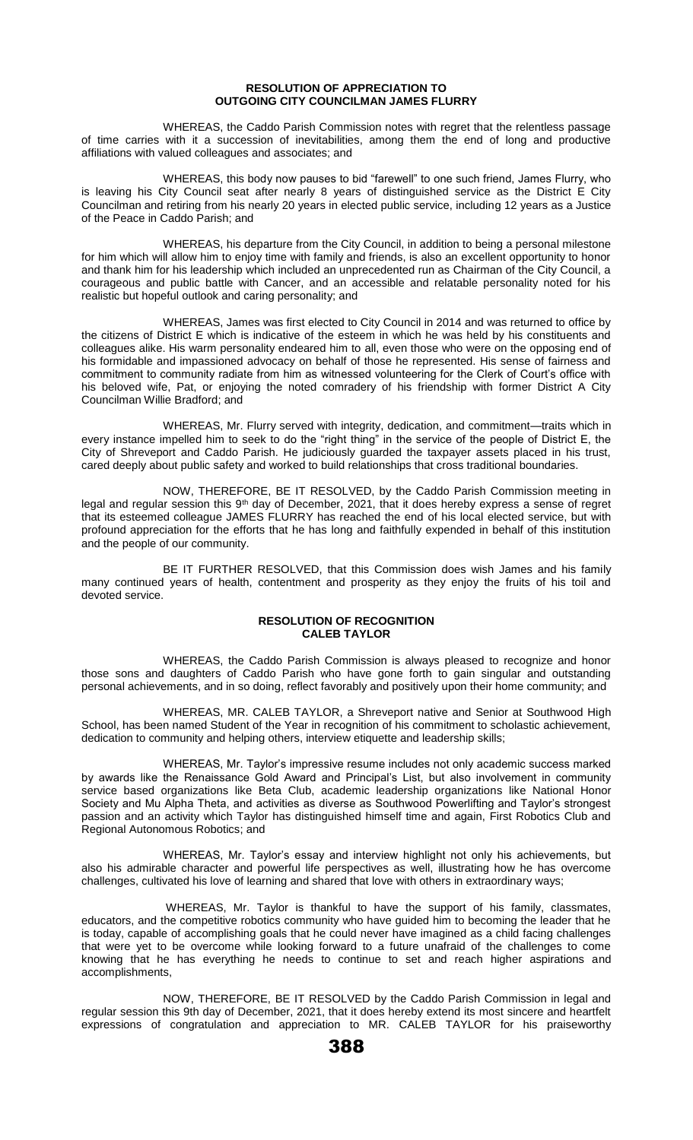#### **RESOLUTION OF APPRECIATION TO OUTGOING CITY COUNCILMAN JAMES FLURRY**

WHEREAS, the Caddo Parish Commission notes with regret that the relentless passage of time carries with it a succession of inevitabilities, among them the end of long and productive affiliations with valued colleagues and associates; and

WHEREAS, this body now pauses to bid "farewell" to one such friend, James Flurry, who is leaving his City Council seat after nearly 8 years of distinguished service as the District E City Councilman and retiring from his nearly 20 years in elected public service, including 12 years as a Justice of the Peace in Caddo Parish; and

WHEREAS, his departure from the City Council, in addition to being a personal milestone for him which will allow him to enjoy time with family and friends, is also an excellent opportunity to honor and thank him for his leadership which included an unprecedented run as Chairman of the City Council, a courageous and public battle with Cancer, and an accessible and relatable personality noted for his realistic but hopeful outlook and caring personality; and

WHEREAS, James was first elected to City Council in 2014 and was returned to office by the citizens of District E which is indicative of the esteem in which he was held by his constituents and colleagues alike. His warm personality endeared him to all, even those who were on the opposing end of his formidable and impassioned advocacy on behalf of those he represented. His sense of fairness and commitment to community radiate from him as witnessed volunteering for the Clerk of Court's office with his beloved wife, Pat, or enjoying the noted comradery of his friendship with former District A City Councilman Willie Bradford; and

WHEREAS, Mr. Flurry served with integrity, dedication, and commitment—traits which in every instance impelled him to seek to do the "right thing" in the service of the people of District E, the City of Shreveport and Caddo Parish. He judiciously guarded the taxpayer assets placed in his trust, cared deeply about public safety and worked to build relationships that cross traditional boundaries.

NOW, THEREFORE, BE IT RESOLVED, by the Caddo Parish Commission meeting in legal and regular session this 9<sup>th</sup> day of December, 2021, that it does hereby express a sense of regret that its esteemed colleague JAMES FLURRY has reached the end of his local elected service, but with profound appreciation for the efforts that he has long and faithfully expended in behalf of this institution and the people of our community.

BE IT FURTHER RESOLVED, that this Commission does wish James and his family many continued years of health, contentment and prosperity as they enjoy the fruits of his toil and devoted service.

## **RESOLUTION OF RECOGNITION CALEB TAYLOR**

WHEREAS, the Caddo Parish Commission is always pleased to recognize and honor those sons and daughters of Caddo Parish who have gone forth to gain singular and outstanding personal achievements, and in so doing, reflect favorably and positively upon their home community; and

WHEREAS, MR. CALEB TAYLOR, a Shreveport native and Senior at Southwood High School, has been named Student of the Year in recognition of his commitment to scholastic achievement, dedication to community and helping others, interview etiquette and leadership skills;

WHEREAS, Mr. Taylor's impressive resume includes not only academic success marked by awards like the Renaissance Gold Award and Principal's List, but also involvement in community service based organizations like Beta Club, academic leadership organizations like National Honor Society and Mu Alpha Theta, and activities as diverse as Southwood Powerlifting and Taylor's strongest passion and an activity which Taylor has distinguished himself time and again, First Robotics Club and Regional Autonomous Robotics; and

WHEREAS, Mr. Taylor's essay and interview highlight not only his achievements, but also his admirable character and powerful life perspectives as well, illustrating how he has overcome challenges, cultivated his love of learning and shared that love with others in extraordinary ways;

WHEREAS, Mr. Taylor is thankful to have the support of his family, classmates, educators, and the competitive robotics community who have guided him to becoming the leader that he is today, capable of accomplishing goals that he could never have imagined as a child facing challenges that were yet to be overcome while looking forward to a future unafraid of the challenges to come knowing that he has everything he needs to continue to set and reach higher aspirations and accomplishments,

NOW, THEREFORE, BE IT RESOLVED by the Caddo Parish Commission in legal and regular session this 9th day of December, 2021, that it does hereby extend its most sincere and heartfelt expressions of congratulation and appreciation to MR. CALEB TAYLOR for his praiseworthy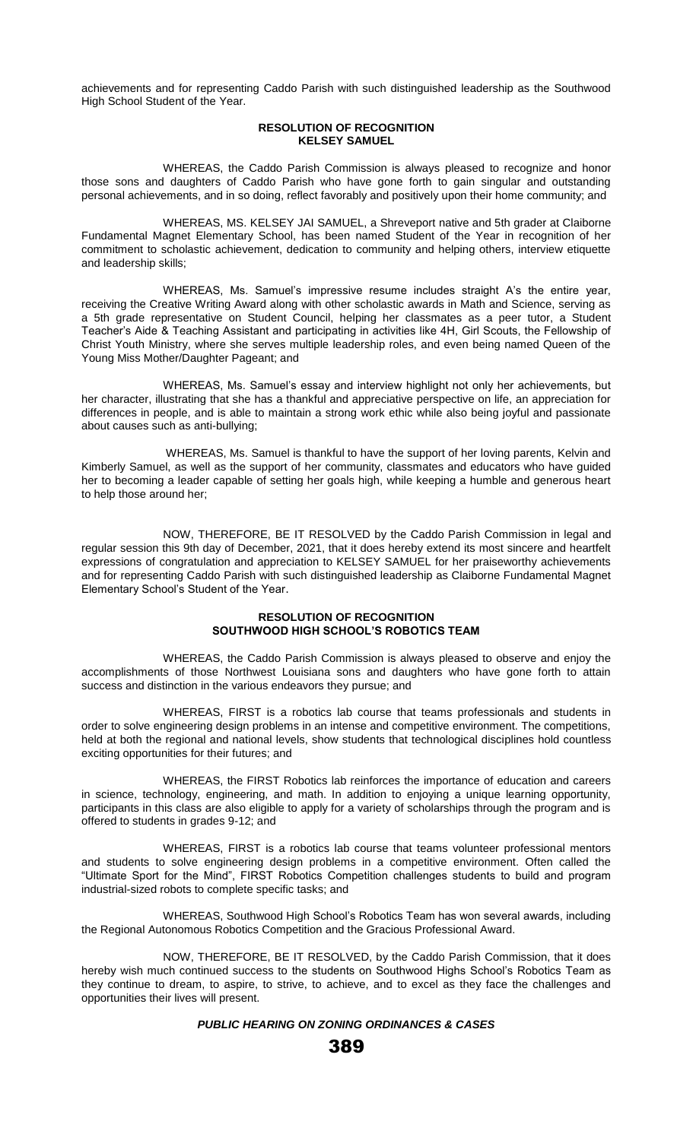achievements and for representing Caddo Parish with such distinguished leadership as the Southwood High School Student of the Year.

## **RESOLUTION OF RECOGNITION KELSEY SAMUEL**

WHEREAS, the Caddo Parish Commission is always pleased to recognize and honor those sons and daughters of Caddo Parish who have gone forth to gain singular and outstanding personal achievements, and in so doing, reflect favorably and positively upon their home community; and

WHEREAS, MS. KELSEY JAI SAMUEL, a Shreveport native and 5th grader at Claiborne Fundamental Magnet Elementary School, has been named Student of the Year in recognition of her commitment to scholastic achievement, dedication to community and helping others, interview etiquette and leadership skills;

WHEREAS, Ms. Samuel's impressive resume includes straight A's the entire year, receiving the Creative Writing Award along with other scholastic awards in Math and Science, serving as a 5th grade representative on Student Council, helping her classmates as a peer tutor, a Student Teacher's Aide & Teaching Assistant and participating in activities like 4H, Girl Scouts, the Fellowship of Christ Youth Ministry, where she serves multiple leadership roles, and even being named Queen of the Young Miss Mother/Daughter Pageant; and

WHEREAS, Ms. Samuel's essay and interview highlight not only her achievements, but her character, illustrating that she has a thankful and appreciative perspective on life, an appreciation for differences in people, and is able to maintain a strong work ethic while also being joyful and passionate about causes such as anti-bullying;

WHEREAS, Ms. Samuel is thankful to have the support of her loving parents, Kelvin and Kimberly Samuel, as well as the support of her community, classmates and educators who have guided her to becoming a leader capable of setting her goals high, while keeping a humble and generous heart to help those around her;

NOW, THEREFORE, BE IT RESOLVED by the Caddo Parish Commission in legal and regular session this 9th day of December, 2021, that it does hereby extend its most sincere and heartfelt expressions of congratulation and appreciation to KELSEY SAMUEL for her praiseworthy achievements and for representing Caddo Parish with such distinguished leadership as Claiborne Fundamental Magnet Elementary School's Student of the Year.

## **RESOLUTION OF RECOGNITION SOUTHWOOD HIGH SCHOOL'S ROBOTICS TEAM**

WHEREAS, the Caddo Parish Commission is always pleased to observe and enjoy the accomplishments of those Northwest Louisiana sons and daughters who have gone forth to attain success and distinction in the various endeavors they pursue; and

WHEREAS, FIRST is a robotics lab course that teams professionals and students in order to solve engineering design problems in an intense and competitive environment. The competitions, held at both the regional and national levels, show students that technological disciplines hold countless exciting opportunities for their futures; and

WHEREAS, the FIRST Robotics lab reinforces the importance of education and careers in science, technology, engineering, and math. In addition to enjoying a unique learning opportunity, participants in this class are also eligible to apply for a variety of scholarships through the program and is offered to students in grades 9-12; and

WHEREAS, FIRST is a robotics lab course that teams volunteer professional mentors and students to solve engineering design problems in a competitive environment. Often called the "Ultimate Sport for the Mind", FIRST Robotics Competition challenges students to build and program industrial-sized robots to complete specific tasks; and

WHEREAS, Southwood High School's Robotics Team has won several awards, including the Regional Autonomous Robotics Competition and the Gracious Professional Award.

NOW, THEREFORE, BE IT RESOLVED, by the Caddo Parish Commission, that it does hereby wish much continued success to the students on Southwood Highs School's Robotics Team as they continue to dream, to aspire, to strive, to achieve, and to excel as they face the challenges and opportunities their lives will present.

# *PUBLIC HEARING ON ZONING ORDINANCES & CASES*

389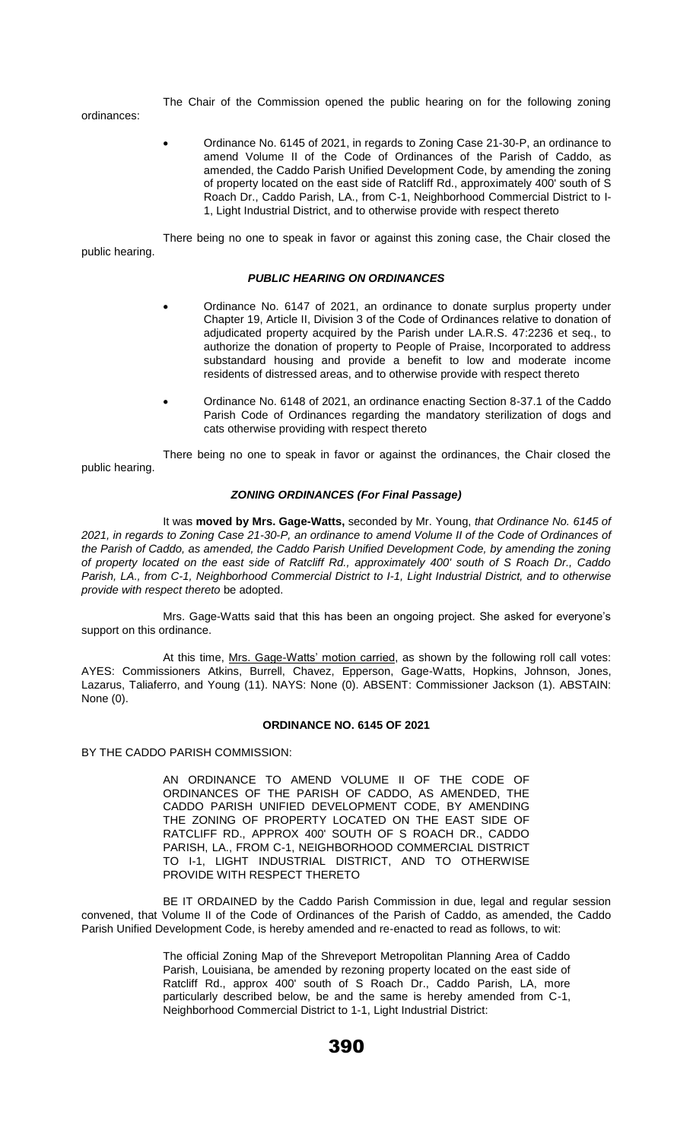The Chair of the Commission opened the public hearing on for the following zoning

ordinances:

• Ordinance No. 6145 of 2021, in regards to Zoning Case 21-30-P, an ordinance to amend Volume II of the Code of Ordinances of the Parish of Caddo, as amended, the Caddo Parish Unified Development Code, by amending the zoning of property located on the east side of Ratcliff Rd., approximately 400' south of S Roach Dr., Caddo Parish, LA., from C-1, Neighborhood Commercial District to I-1, Light Industrial District, and to otherwise provide with respect thereto

There being no one to speak in favor or against this zoning case, the Chair closed the public hearing.

## *PUBLIC HEARING ON ORDINANCES*

- Ordinance No. 6147 of 2021, an ordinance to donate surplus property under Chapter 19, Article II, Division 3 of the Code of Ordinances relative to donation of adjudicated property acquired by the Parish under LA.R.S. 47:2236 et seq., to authorize the donation of property to People of Praise, Incorporated to address substandard housing and provide a benefit to low and moderate income residents of distressed areas, and to otherwise provide with respect thereto
- Ordinance No. 6148 of 2021, an ordinance enacting Section 8-37.1 of the Caddo Parish Code of Ordinances regarding the mandatory sterilization of dogs and cats otherwise providing with respect thereto

There being no one to speak in favor or against the ordinances, the Chair closed the public hearing.

# *ZONING ORDINANCES (For Final Passage)*

It was **moved by Mrs. Gage-Watts,** seconded by Mr. Young, *that Ordinance No. 6145 of 2021, in regards to Zoning Case 21-30-P, an ordinance to amend Volume II of the Code of Ordinances of the Parish of Caddo, as amended, the Caddo Parish Unified Development Code, by amending the zoning of property located on the east side of Ratcliff Rd., approximately 400' south of S Roach Dr., Caddo Parish, LA., from C-1, Neighborhood Commercial District to I-1, Light Industrial District, and to otherwise provide with respect thereto* be adopted.

Mrs. Gage-Watts said that this has been an ongoing project. She asked for everyone's support on this ordinance.

At this time, Mrs. Gage-Watts' motion carried, as shown by the following roll call votes: AYES: Commissioners Atkins, Burrell, Chavez, Epperson, Gage-Watts, Hopkins, Johnson, Jones, Lazarus, Taliaferro, and Young (11). NAYS: None (0). ABSENT: Commissioner Jackson (1). ABSTAIN: None (0).

#### **ORDINANCE NO. 6145 OF 2021**

BY THE CADDO PARISH COMMISSION:

AN ORDINANCE TO AMEND VOLUME II OF THE CODE OF ORDINANCES OF THE PARISH OF CADDO, AS AMENDED, THE CADDO PARISH UNIFIED DEVELOPMENT CODE, BY AMENDING THE ZONING OF PROPERTY LOCATED ON THE EAST SIDE OF RATCLIFF RD., APPROX 400' SOUTH OF S ROACH DR., CADDO PARISH, LA., FROM C-1, NEIGHBORHOOD COMMERCIAL DISTRICT TO I-1, LIGHT INDUSTRIAL DISTRICT, AND TO OTHERWISE PROVIDE WITH RESPECT THERETO

BE IT ORDAINED by the Caddo Parish Commission in due, legal and regular session convened, that Volume II of the Code of Ordinances of the Parish of Caddo, as amended, the Caddo Parish Unified Development Code, is hereby amended and re-enacted to read as follows, to wit:

> The official Zoning Map of the Shreveport Metropolitan Planning Area of Caddo Parish, Louisiana, be amended by rezoning property located on the east side of Ratcliff Rd., approx 400' south of S Roach Dr., Caddo Parish, LA, more particularly described below, be and the same is hereby amended from C-1, Neighborhood Commercial District to 1-1, Light Industrial District: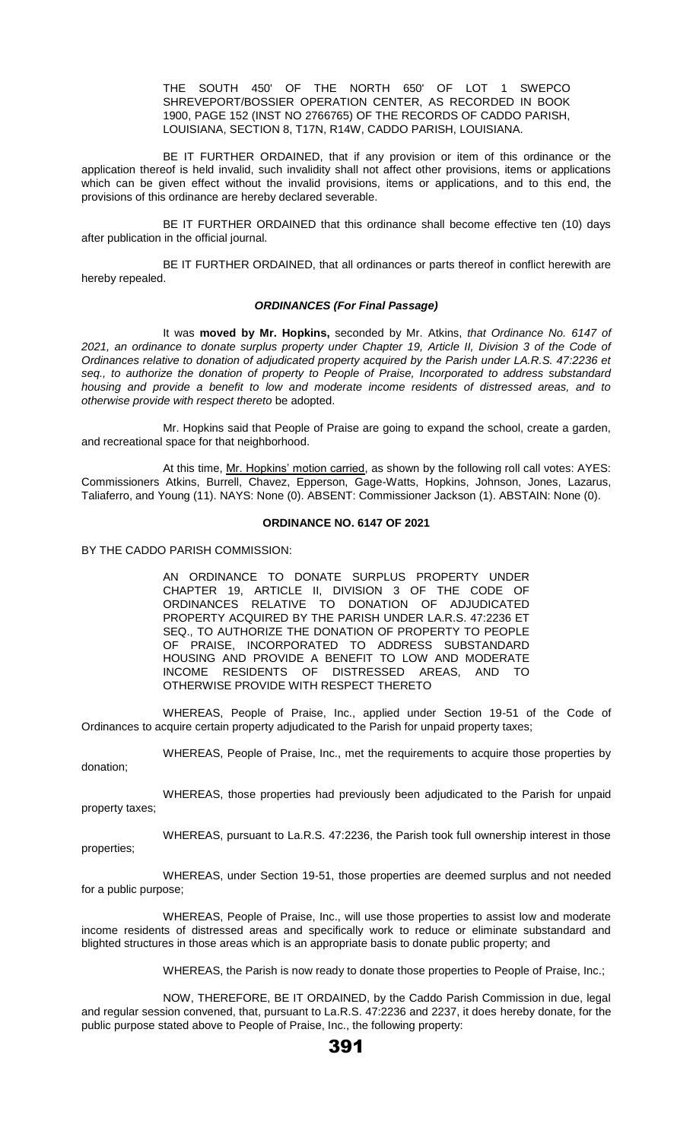THE SOUTH 450' OF THE NORTH 650' OF LOT 1 SWEPCO SHREVEPORT/BOSSIER OPERATION CENTER, AS RECORDED IN BOOK 1900, PAGE 152 (INST NO 2766765) OF THE RECORDS OF CADDO PARISH, LOUISIANA, SECTION 8, T17N, R14W, CADDO PARISH, LOUISIANA.

BE IT FURTHER ORDAINED, that if any provision or item of this ordinance or the application thereof is held invalid, such invalidity shall not affect other provisions, items or applications which can be given effect without the invalid provisions, items or applications, and to this end, the provisions of this ordinance are hereby declared severable.

BE IT FURTHER ORDAINED that this ordinance shall become effective ten (10) days after publication in the official journal.

BE IT FURTHER ORDAINED, that all ordinances or parts thereof in conflict herewith are hereby repealed.

# *ORDINANCES (For Final Passage)*

It was **moved by Mr. Hopkins,** seconded by Mr. Atkins, *that Ordinance No. 6147 of 2021, an ordinance to donate surplus property under Chapter 19, Article II, Division 3 of the Code of Ordinances relative to donation of adjudicated property acquired by the Parish under LA.R.S. 47:2236 et seq., to authorize the donation of property to People of Praise, Incorporated to address substandard housing and provide a benefit to low and moderate income residents of distressed areas, and to otherwise provide with respect thereto* be adopted.

Mr. Hopkins said that People of Praise are going to expand the school, create a garden, and recreational space for that neighborhood.

At this time, Mr. Hopkins' motion carried, as shown by the following roll call votes: AYES: Commissioners Atkins, Burrell, Chavez, Epperson, Gage-Watts, Hopkins, Johnson, Jones, Lazarus, Taliaferro, and Young (11). NAYS: None (0). ABSENT: Commissioner Jackson (1). ABSTAIN: None (0).

## **ORDINANCE NO. 6147 OF 2021**

BY THE CADDO PARISH COMMISSION:

AN ORDINANCE TO DONATE SURPLUS PROPERTY UNDER CHAPTER 19, ARTICLE II, DIVISION 3 OF THE CODE OF ORDINANCES RELATIVE TO DONATION OF ADJUDICATED PROPERTY ACQUIRED BY THE PARISH UNDER LA.R.S. 47:2236 ET SEQ., TO AUTHORIZE THE DONATION OF PROPERTY TO PEOPLE OF PRAISE, INCORPORATED TO ADDRESS SUBSTANDARD HOUSING AND PROVIDE A BENEFIT TO LOW AND MODERATE INCOME RESIDENTS OF DISTRESSED AREAS, AND TO OTHERWISE PROVIDE WITH RESPECT THERETO

WHEREAS, People of Praise, Inc., applied under Section 19-51 of the Code of Ordinances to acquire certain property adjudicated to the Parish for unpaid property taxes;

WHEREAS, People of Praise, Inc., met the requirements to acquire those properties by donation;

WHEREAS, those properties had previously been adjudicated to the Parish for unpaid property taxes;

WHEREAS, pursuant to La.R.S. 47:2236, the Parish took full ownership interest in those properties;

WHEREAS, under Section 19-51, those properties are deemed surplus and not needed for a public purpose;

WHEREAS, People of Praise, Inc., will use those properties to assist low and moderate income residents of distressed areas and specifically work to reduce or eliminate substandard and blighted structures in those areas which is an appropriate basis to donate public property; and

WHEREAS, the Parish is now ready to donate those properties to People of Praise, Inc.;

NOW, THEREFORE, BE IT ORDAINED, by the Caddo Parish Commission in due, legal and regular session convened, that, pursuant to La.R.S. 47:2236 and 2237, it does hereby donate, for the public purpose stated above to People of Praise, Inc., the following property: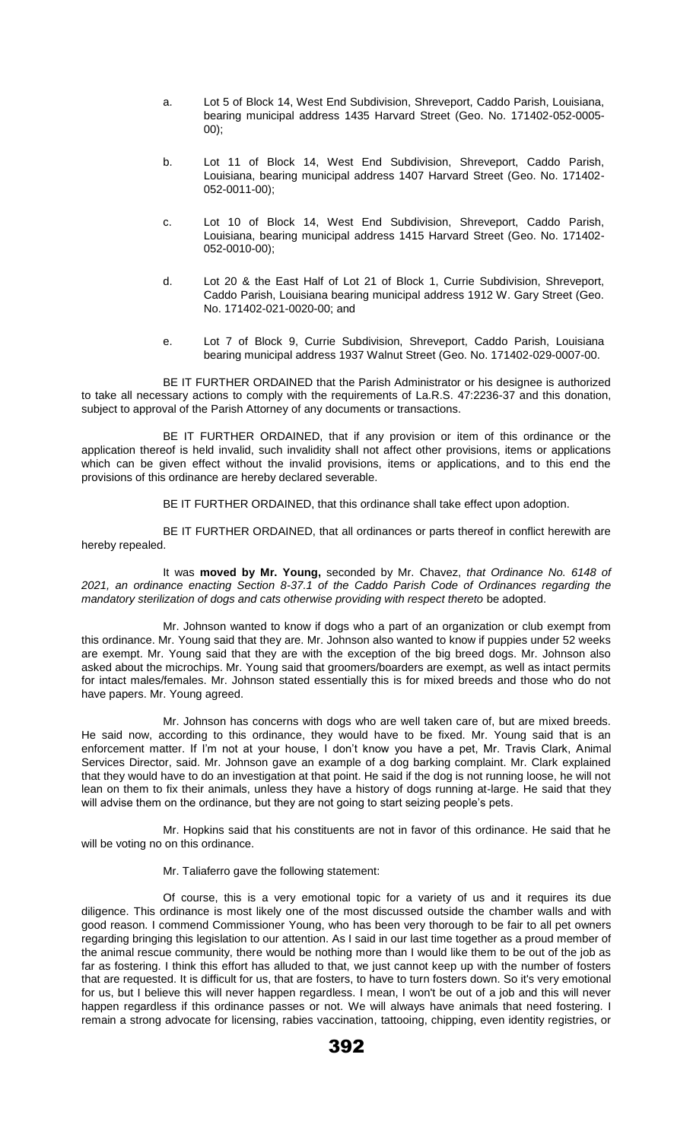- a. Lot 5 of Block 14, West End Subdivision, Shreveport, Caddo Parish, Louisiana, bearing municipal address 1435 Harvard Street (Geo. No. 171402-052-0005- 00);
- b. Lot 11 of Block 14, West End Subdivision, Shreveport, Caddo Parish, Louisiana, bearing municipal address 1407 Harvard Street (Geo. No. 171402- 052-0011-00);
- c. Lot 10 of Block 14, West End Subdivision, Shreveport, Caddo Parish, Louisiana, bearing municipal address 1415 Harvard Street (Geo. No. 171402- 052-0010-00);
- d. Lot 20 & the East Half of Lot 21 of Block 1, Currie Subdivision, Shreveport, Caddo Parish, Louisiana bearing municipal address 1912 W. Gary Street (Geo. No. 171402-021-0020-00; and
- e. Lot 7 of Block 9, Currie Subdivision, Shreveport, Caddo Parish, Louisiana bearing municipal address 1937 Walnut Street (Geo. No. 171402-029-0007-00.

BE IT FURTHER ORDAINED that the Parish Administrator or his designee is authorized to take all necessary actions to comply with the requirements of La.R.S. 47:2236-37 and this donation, subject to approval of the Parish Attorney of any documents or transactions.

BE IT FURTHER ORDAINED, that if any provision or item of this ordinance or the application thereof is held invalid, such invalidity shall not affect other provisions, items or applications which can be given effect without the invalid provisions, items or applications, and to this end the provisions of this ordinance are hereby declared severable.

BE IT FURTHER ORDAINED, that this ordinance shall take effect upon adoption.

BE IT FURTHER ORDAINED, that all ordinances or parts thereof in conflict herewith are hereby repealed.

It was **moved by Mr. Young,** seconded by Mr. Chavez, *that Ordinance No. 6148 of 2021, an ordinance enacting Section 8-37.1 of the Caddo Parish Code of Ordinances regarding the mandatory sterilization of dogs and cats otherwise providing with respect thereto be adopted.* 

Mr. Johnson wanted to know if dogs who a part of an organization or club exempt from this ordinance. Mr. Young said that they are. Mr. Johnson also wanted to know if puppies under 52 weeks are exempt. Mr. Young said that they are with the exception of the big breed dogs. Mr. Johnson also asked about the microchips. Mr. Young said that groomers/boarders are exempt, as well as intact permits for intact males/females. Mr. Johnson stated essentially this is for mixed breeds and those who do not have papers. Mr. Young agreed.

Mr. Johnson has concerns with dogs who are well taken care of, but are mixed breeds. He said now, according to this ordinance, they would have to be fixed. Mr. Young said that is an enforcement matter. If I'm not at your house, I don't know you have a pet, Mr. Travis Clark, Animal Services Director, said. Mr. Johnson gave an example of a dog barking complaint. Mr. Clark explained that they would have to do an investigation at that point. He said if the dog is not running loose, he will not lean on them to fix their animals, unless they have a history of dogs running at-large. He said that they will advise them on the ordinance, but they are not going to start seizing people's pets.

Mr. Hopkins said that his constituents are not in favor of this ordinance. He said that he will be voting no on this ordinance.

# Mr. Taliaferro gave the following statement:

Of course, this is a very emotional topic for a variety of us and it requires its due diligence. This ordinance is most likely one of the most discussed outside the chamber walls and with good reason. I commend Commissioner Young, who has been very thorough to be fair to all pet owners regarding bringing this legislation to our attention. As I said in our last time together as a proud member of the animal rescue community, there would be nothing more than I would like them to be out of the job as far as fostering. I think this effort has alluded to that, we just cannot keep up with the number of fosters that are requested. It is difficult for us, that are fosters, to have to turn fosters down. So it's very emotional for us, but I believe this will never happen regardless. I mean, I won't be out of a job and this will never happen regardless if this ordinance passes or not. We will always have animals that need fostering. I remain a strong advocate for licensing, rabies vaccination, tattooing, chipping, even identity registries, or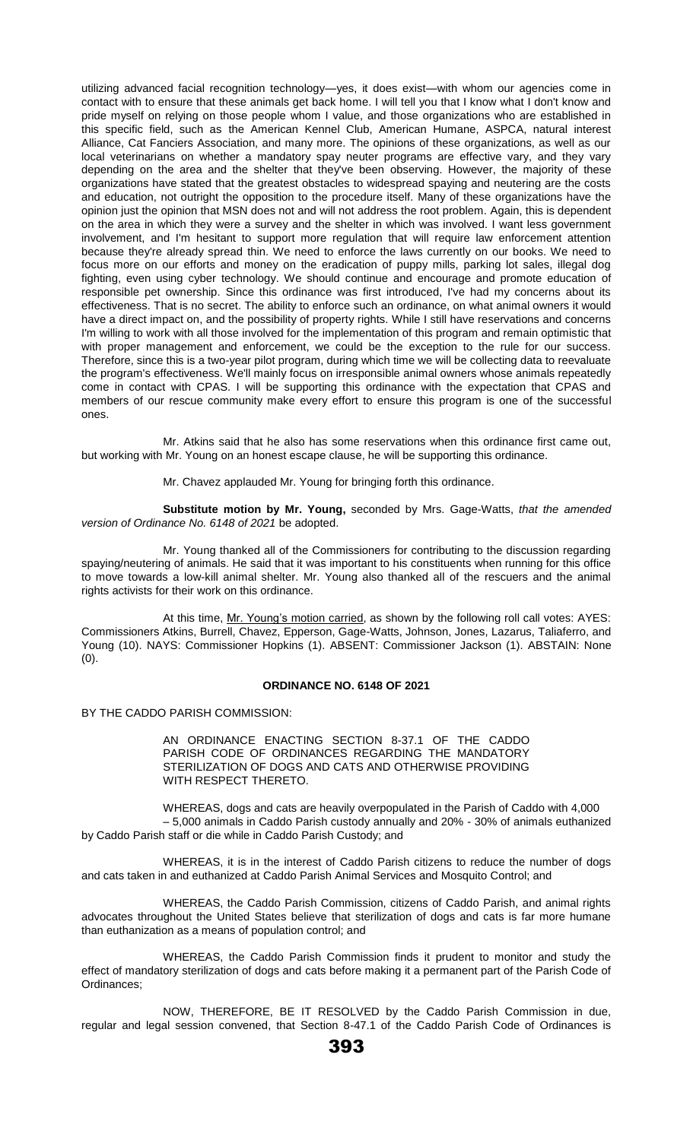utilizing advanced facial recognition technology—yes, it does exist—with whom our agencies come in contact with to ensure that these animals get back home. I will tell you that I know what I don't know and pride myself on relying on those people whom I value, and those organizations who are established in this specific field, such as the American Kennel Club, American Humane, ASPCA, natural interest Alliance, Cat Fanciers Association, and many more. The opinions of these organizations, as well as our local veterinarians on whether a mandatory spay neuter programs are effective vary, and they vary depending on the area and the shelter that they've been observing. However, the majority of these organizations have stated that the greatest obstacles to widespread spaying and neutering are the costs and education, not outright the opposition to the procedure itself. Many of these organizations have the opinion just the opinion that MSN does not and will not address the root problem. Again, this is dependent on the area in which they were a survey and the shelter in which was involved. I want less government involvement, and I'm hesitant to support more regulation that will require law enforcement attention because they're already spread thin. We need to enforce the laws currently on our books. We need to focus more on our efforts and money on the eradication of puppy mills, parking lot sales, illegal dog fighting, even using cyber technology. We should continue and encourage and promote education of responsible pet ownership. Since this ordinance was first introduced, I've had my concerns about its effectiveness. That is no secret. The ability to enforce such an ordinance, on what animal owners it would have a direct impact on, and the possibility of property rights. While I still have reservations and concerns I'm willing to work with all those involved for the implementation of this program and remain optimistic that with proper management and enforcement, we could be the exception to the rule for our success. Therefore, since this is a two-year pilot program, during which time we will be collecting data to reevaluate the program's effectiveness. We'll mainly focus on irresponsible animal owners whose animals repeatedly come in contact with CPAS. I will be supporting this ordinance with the expectation that CPAS and members of our rescue community make every effort to ensure this program is one of the successful ones.

Mr. Atkins said that he also has some reservations when this ordinance first came out, but working with Mr. Young on an honest escape clause, he will be supporting this ordinance.

Mr. Chavez applauded Mr. Young for bringing forth this ordinance.

**Substitute motion by Mr. Young,** seconded by Mrs. Gage-Watts, *that the amended version of Ordinance No. 6148 of 2021* be adopted.

Mr. Young thanked all of the Commissioners for contributing to the discussion regarding spaying/neutering of animals. He said that it was important to his constituents when running for this office to move towards a low-kill animal shelter. Mr. Young also thanked all of the rescuers and the animal rights activists for their work on this ordinance.

At this time, Mr. Young's motion carried, as shown by the following roll call votes: AYES: Commissioners Atkins, Burrell, Chavez, Epperson, Gage-Watts, Johnson, Jones, Lazarus, Taliaferro, and Young (10). NAYS: Commissioner Hopkins (1). ABSENT: Commissioner Jackson (1). ABSTAIN: None (0).

## **ORDINANCE NO. 6148 OF 2021**

BY THE CADDO PARISH COMMISSION:

AN ORDINANCE ENACTING SECTION 8-37.1 OF THE CADDO PARISH CODE OF ORDINANCES REGARDING THE MANDATORY STERILIZATION OF DOGS AND CATS AND OTHERWISE PROVIDING WITH RESPECT THERETO.

WHEREAS, dogs and cats are heavily overpopulated in the Parish of Caddo with 4,000 – 5,000 animals in Caddo Parish custody annually and 20% - 30% of animals euthanized by Caddo Parish staff or die while in Caddo Parish Custody; and

WHEREAS, it is in the interest of Caddo Parish citizens to reduce the number of dogs and cats taken in and euthanized at Caddo Parish Animal Services and Mosquito Control; and

WHEREAS, the Caddo Parish Commission, citizens of Caddo Parish, and animal rights advocates throughout the United States believe that sterilization of dogs and cats is far more humane than euthanization as a means of population control; and

WHEREAS, the Caddo Parish Commission finds it prudent to monitor and study the effect of mandatory sterilization of dogs and cats before making it a permanent part of the Parish Code of Ordinances;

NOW, THEREFORE, BE IT RESOLVED by the Caddo Parish Commission in due, regular and legal session convened, that Section 8-47.1 of the Caddo Parish Code of Ordinances is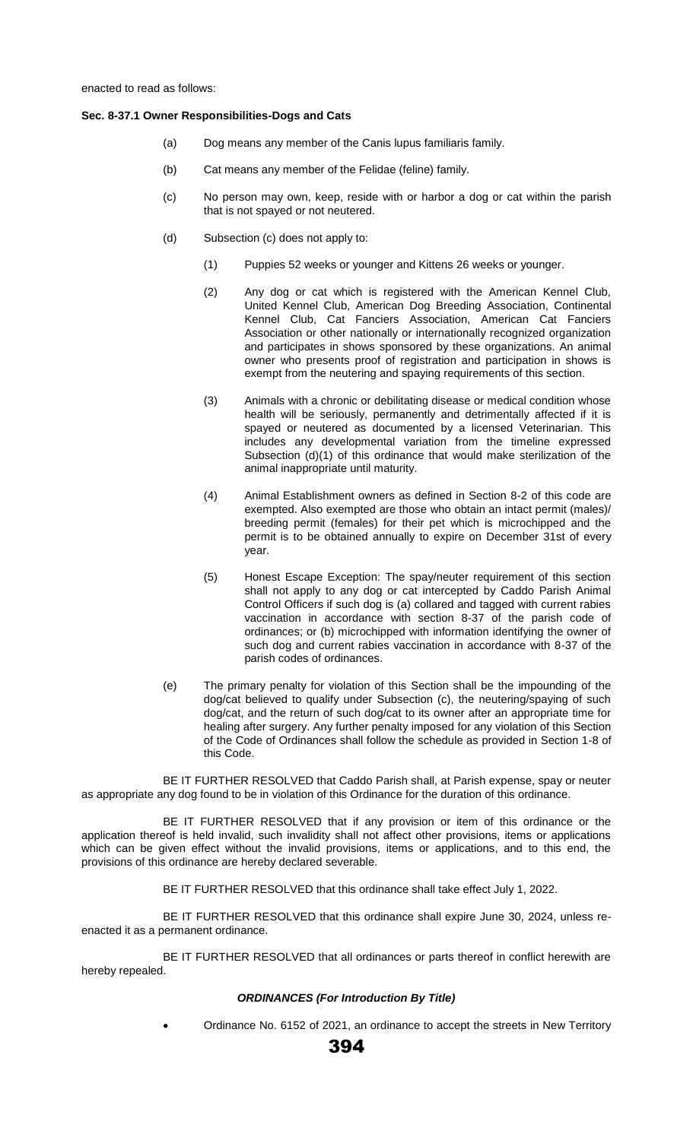## **Sec. 8-37.1 Owner Responsibilities-Dogs and Cats**

- (a) Dog means any member of the Canis lupus familiaris family.
- (b) Cat means any member of the Felidae (feline) family.
- (c) No person may own, keep, reside with or harbor a dog or cat within the parish that is not spayed or not neutered.
- (d) Subsection (c) does not apply to:
	- (1) Puppies 52 weeks or younger and Kittens 26 weeks or younger.
	- (2) Any dog or cat which is registered with the American Kennel Club, United Kennel Club, American Dog Breeding Association, Continental Kennel Club, Cat Fanciers Association, American Cat Fanciers Association or other nationally or internationally recognized organization and participates in shows sponsored by these organizations. An animal owner who presents proof of registration and participation in shows is exempt from the neutering and spaying requirements of this section.
	- (3) Animals with a chronic or debilitating disease or medical condition whose health will be seriously, permanently and detrimentally affected if it is spayed or neutered as documented by a licensed Veterinarian. This includes any developmental variation from the timeline expressed Subsection (d)(1) of this ordinance that would make sterilization of the animal inappropriate until maturity.
	- (4) Animal Establishment owners as defined in Section 8-2 of this code are exempted. Also exempted are those who obtain an intact permit (males)/ breeding permit (females) for their pet which is microchipped and the permit is to be obtained annually to expire on December 31st of every year.
	- (5) Honest Escape Exception: The spay/neuter requirement of this section shall not apply to any dog or cat intercepted by Caddo Parish Animal Control Officers if such dog is (a) collared and tagged with current rabies vaccination in accordance with section 8-37 of the parish code of ordinances; or (b) microchipped with information identifying the owner of such dog and current rabies vaccination in accordance with 8-37 of the parish codes of ordinances.
- (e) The primary penalty for violation of this Section shall be the impounding of the dog/cat believed to qualify under Subsection (c), the neutering/spaying of such dog/cat, and the return of such dog/cat to its owner after an appropriate time for healing after surgery. Any further penalty imposed for any violation of this Section of the Code of Ordinances shall follow the schedule as provided in Section 1-8 of this Code.

BE IT FURTHER RESOLVED that Caddo Parish shall, at Parish expense, spay or neuter as appropriate any dog found to be in violation of this Ordinance for the duration of this ordinance.

BE IT FURTHER RESOLVED that if any provision or item of this ordinance or the application thereof is held invalid, such invalidity shall not affect other provisions, items or applications which can be given effect without the invalid provisions, items or applications, and to this end, the provisions of this ordinance are hereby declared severable.

BE IT FURTHER RESOLVED that this ordinance shall take effect July 1, 2022.

BE IT FURTHER RESOLVED that this ordinance shall expire June 30, 2024, unless reenacted it as a permanent ordinance.

BE IT FURTHER RESOLVED that all ordinances or parts thereof in conflict herewith are hereby repealed.

#### *ORDINANCES (For Introduction By Title)*

• Ordinance No. 6152 of 2021, an ordinance to accept the streets in New Territory

394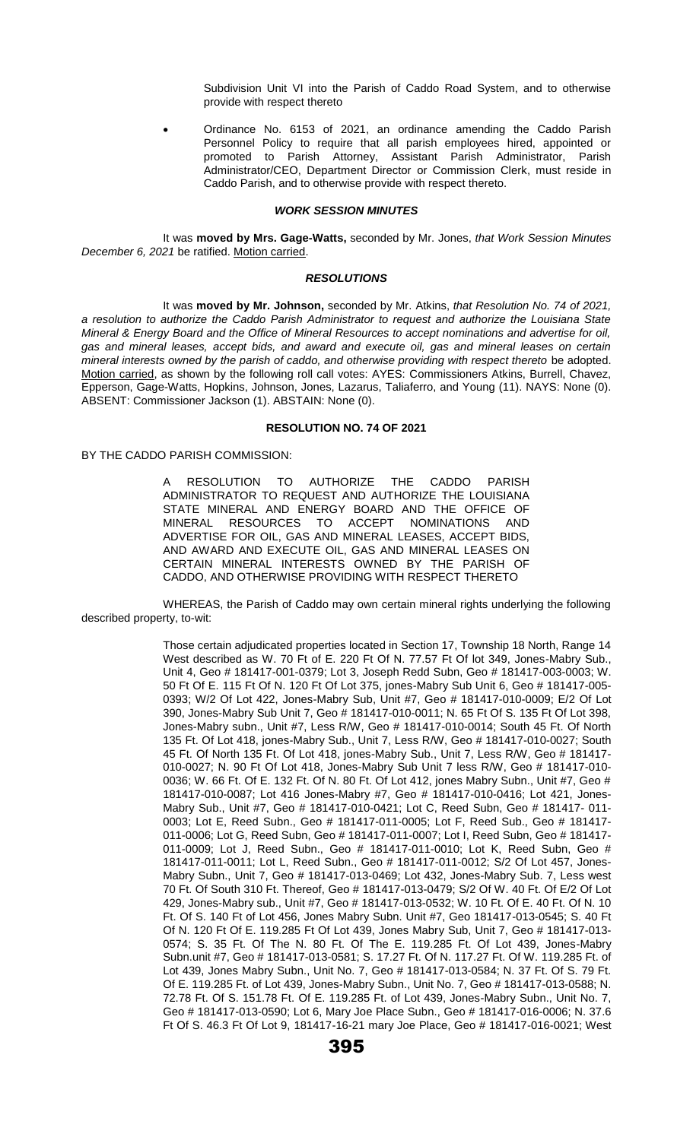Subdivision Unit VI into the Parish of Caddo Road System, and to otherwise provide with respect thereto

• Ordinance No. 6153 of 2021, an ordinance amending the Caddo Parish Personnel Policy to require that all parish employees hired, appointed or promoted to Parish Attorney, Assistant Parish Administrator, Parish Administrator/CEO, Department Director or Commission Clerk, must reside in Caddo Parish, and to otherwise provide with respect thereto.

#### *WORK SESSION MINUTES*

It was **moved by Mrs. Gage-Watts,** seconded by Mr. Jones, *that Work Session Minutes December 6, 2021* be ratified. Motion carried.

#### *RESOLUTIONS*

It was **moved by Mr. Johnson,** seconded by Mr. Atkins, *that Resolution No. 74 of 2021, a resolution to authorize the Caddo Parish Administrator to request and authorize the Louisiana State Mineral & Energy Board and the Office of Mineral Resources to accept nominations and advertise for oil, gas and mineral leases, accept bids, and award and execute oil, gas and mineral leases on certain mineral interests owned by the parish of caddo, and otherwise providing with respect thereto* be adopted. Motion carried, as shown by the following roll call votes: AYES: Commissioners Atkins, Burrell, Chavez, Epperson, Gage-Watts, Hopkins, Johnson, Jones, Lazarus, Taliaferro, and Young (11). NAYS: None (0). ABSENT: Commissioner Jackson (1). ABSTAIN: None (0).

### **RESOLUTION NO. 74 OF 2021**

BY THE CADDO PARISH COMMISSION:

A RESOLUTION TO AUTHORIZE THE CADDO PARISH ADMINISTRATOR TO REQUEST AND AUTHORIZE THE LOUISIANA STATE MINERAL AND ENERGY BOARD AND THE OFFICE OF MINERAL RESOURCES TO ACCEPT NOMINATIONS AND ADVERTISE FOR OIL, GAS AND MINERAL LEASES, ACCEPT BIDS, AND AWARD AND EXECUTE OIL, GAS AND MINERAL LEASES ON CERTAIN MINERAL INTERESTS OWNED BY THE PARISH OF CADDO, AND OTHERWISE PROVIDING WITH RESPECT THERETO

WHEREAS, the Parish of Caddo may own certain mineral rights underlying the following described property, to-wit:

> Those certain adjudicated properties located in Section 17, Township 18 North, Range 14 West described as W. 70 Ft of E. 220 Ft Of N. 77.57 Ft Of lot 349, Jones-Mabry Sub., Unit 4, Geo # 181417-001-0379; Lot 3, Joseph Redd Subn, Geo # 181417-003-0003; W. 50 Ft Of E. 115 Ft Of N. 120 Ft Of Lot 375, jones-Mabry Sub Unit 6, Geo # 181417-005- 0393; W/2 Of Lot 422, Jones-Mabry Sub, Unit #7, Geo # 181417-010-0009; E/2 Of Lot 390, Jones-Mabry Sub Unit 7, Geo # 181417-010-0011; N. 65 Ft Of S. 135 Ft Of Lot 398, Jones-Mabry subn., Unit #7, Less R/W, Geo # 181417-010-0014; South 45 Ft. Of North 135 Ft. Of Lot 418, jones-Mabry Sub., Unit 7, Less R/W, Geo # 181417-010-0027; South 45 Ft. Of North 135 Ft. Of Lot 418, jones-Mabry Sub., Unit 7, Less R/W, Geo # 181417- 010-0027; N. 90 Ft Of Lot 418, Jones-Mabry Sub Unit 7 less R/W, Geo # 181417-010- 0036; W. 66 Ft. Of E. 132 Ft. Of N. 80 Ft. Of Lot 412, jones Mabry Subn., Unit #7, Geo # 181417-010-0087; Lot 416 Jones-Mabry #7, Geo # 181417-010-0416; Lot 421, Jones-Mabry Sub., Unit #7, Geo # 181417-010-0421; Lot C, Reed Subn, Geo # 181417- 011- 0003; Lot E, Reed Subn., Geo # 181417-011-0005; Lot F, Reed Sub., Geo # 181417- 011-0006; Lot G, Reed Subn, Geo # 181417-011-0007; Lot I, Reed Subn, Geo # 181417- 011-0009; Lot J, Reed Subn., Geo # 181417-011-0010; Lot K, Reed Subn, Geo # 181417-011-0011; Lot L, Reed Subn., Geo # 181417-011-0012; S/2 Of Lot 457, Jones-Mabry Subn., Unit 7, Geo # 181417-013-0469; Lot 432, Jones-Mabry Sub. 7, Less west 70 Ft. Of South 310 Ft. Thereof, Geo # 181417-013-0479; S/2 Of W. 40 Ft. Of E/2 Of Lot 429, Jones-Mabry sub., Unit #7, Geo # 181417-013-0532; W. 10 Ft. Of E. 40 Ft. Of N. 10 Ft. Of S. 140 Ft of Lot 456, Jones Mabry Subn. Unit #7, Geo 181417-013-0545; S. 40 Ft Of N. 120 Ft Of E. 119.285 Ft Of Lot 439, Jones Mabry Sub, Unit 7, Geo # 181417-013- 0574; S. 35 Ft. Of The N. 80 Ft. Of The E. 119.285 Ft. Of Lot 439, Jones-Mabry Subn.unit #7, Geo # 181417-013-0581; S. 17.27 Ft. Of N. 117.27 Ft. Of W. 119.285 Ft. of Lot 439, Jones Mabry Subn., Unit No. 7, Geo # 181417-013-0584; N. 37 Ft. Of S. 79 Ft. Of E. 119.285 Ft. of Lot 439, Jones-Mabry Subn., Unit No. 7, Geo # 181417-013-0588; N. 72.78 Ft. Of S. 151.78 Ft. Of E. 119.285 Ft. of Lot 439, Jones-Mabry Subn., Unit No. 7, Geo # 181417-013-0590; Lot 6, Mary Joe Place Subn., Geo # 181417-016-0006; N. 37.6 Ft Of S. 46.3 Ft Of Lot 9, 181417-16-21 mary Joe Place, Geo # 181417-016-0021; West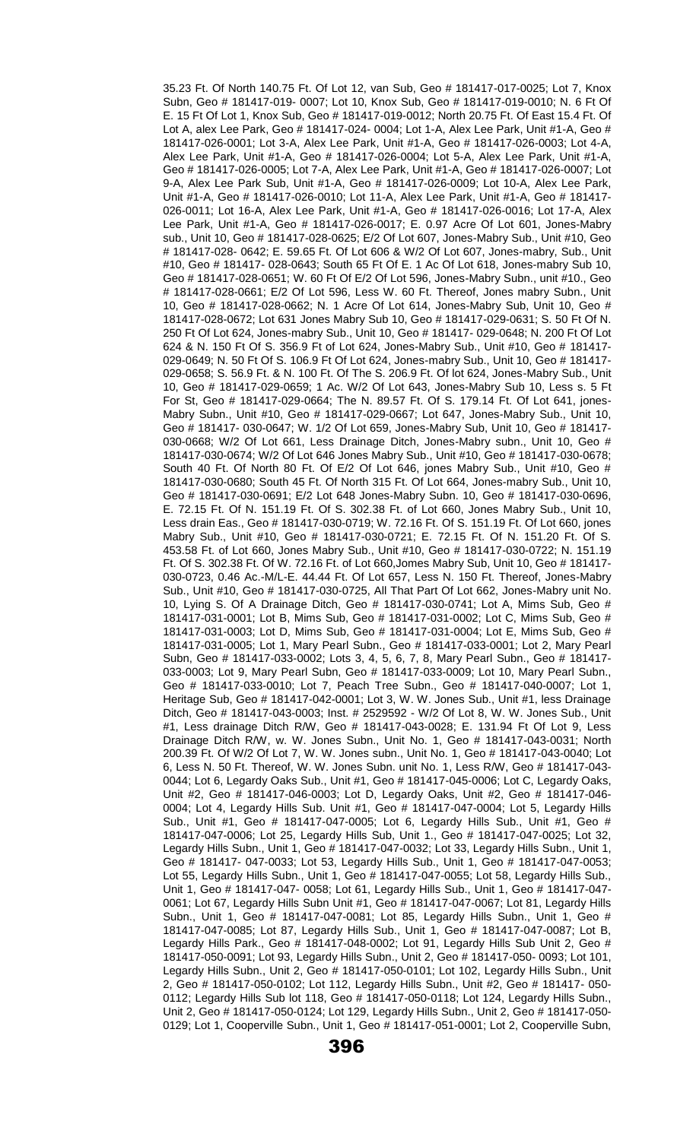35.23 Ft. Of North 140.75 Ft. Of Lot 12, van Sub, Geo # 181417-017-0025; Lot 7, Knox Subn, Geo # 181417-019- 0007; Lot 10, Knox Sub, Geo # 181417-019-0010; N. 6 Ft Of E. 15 Ft Of Lot 1, Knox Sub, Geo # 181417-019-0012; North 20.75 Ft. Of East 15.4 Ft. Of Lot A, alex Lee Park, Geo # 181417-024- 0004; Lot 1-A, Alex Lee Park, Unit #1-A, Geo # 181417-026-0001; Lot 3-A, Alex Lee Park, Unit #1-A, Geo # 181417-026-0003; Lot 4-A, Alex Lee Park, Unit #1-A, Geo # 181417-026-0004; Lot 5-A, Alex Lee Park, Unit #1-A, Geo # 181417-026-0005; Lot 7-A, Alex Lee Park, Unit #1-A, Geo # 181417-026-0007; Lot 9-A, Alex Lee Park Sub, Unit #1-A, Geo # 181417-026-0009; Lot 10-A, Alex Lee Park, Unit #1-A, Geo # 181417-026-0010; Lot 11-A, Alex Lee Park, Unit #1-A, Geo # 181417- 026-0011; Lot 16-A, Alex Lee Park, Unit #1-A, Geo # 181417-026-0016; Lot 17-A, Alex Lee Park, Unit #1-A, Geo # 181417-026-0017; E. 0.97 Acre Of Lot 601, Jones-Mabry sub., Unit 10, Geo # 181417-028-0625; E/2 Of Lot 607, Jones-Mabry Sub., Unit #10, Geo # 181417-028- 0642; E. 59.65 Ft. Of Lot 606 & W/2 Of Lot 607, Jones-mabry, Sub., Unit #10, Geo # 181417- 028-0643; South 65 Ft Of E. 1 Ac Of Lot 618, Jones-mabry Sub 10, Geo # 181417-028-0651; W. 60 Ft Of E/2 Of Lot 596, Jones-Mabry Subn., unit #10., Geo # 181417-028-0661; E/2 Of Lot 596, Less W. 60 Ft. Thereof, Jones mabry Subn., Unit 10, Geo # 181417-028-0662; N. 1 Acre Of Lot 614, Jones-Mabry Sub, Unit 10, Geo # 181417-028-0672; Lot 631 Jones Mabry Sub 10, Geo # 181417-029-0631; S. 50 Ft Of N. 250 Ft Of Lot 624, Jones-mabry Sub., Unit 10, Geo # 181417- 029-0648; N. 200 Ft Of Lot 624 & N. 150 Ft Of S. 356.9 Ft of Lot 624, Jones-Mabry Sub., Unit #10, Geo # 181417- 029-0649; N. 50 Ft Of S. 106.9 Ft Of Lot 624, Jones-mabry Sub., Unit 10, Geo # 181417- 029-0658; S. 56.9 Ft. & N. 100 Ft. Of The S. 206.9 Ft. Of lot 624, Jones-Mabry Sub., Unit 10, Geo # 181417-029-0659; 1 Ac. W/2 Of Lot 643, Jones-Mabry Sub 10, Less s. 5 Ft For St, Geo # 181417-029-0664; The N. 89.57 Ft. Of S. 179.14 Ft. Of Lot 641, jones-Mabry Subn., Unit #10, Geo # 181417-029-0667; Lot 647, Jones-Mabry Sub., Unit 10, Geo # 181417- 030-0647; W. 1/2 Of Lot 659, Jones-Mabry Sub, Unit 10, Geo # 181417- 030-0668; W/2 Of Lot 661, Less Drainage Ditch, Jones-Mabry subn., Unit 10, Geo # 181417-030-0674; W/2 Of Lot 646 Jones Mabry Sub., Unit #10, Geo # 181417-030-0678; South 40 Ft. Of North 80 Ft. Of E/2 Of Lot 646, jones Mabry Sub., Unit #10, Geo # 181417-030-0680; South 45 Ft. Of North 315 Ft. Of Lot 664, Jones-mabry Sub., Unit 10, Geo # 181417-030-0691; E/2 Lot 648 Jones-Mabry Subn. 10, Geo # 181417-030-0696, E. 72.15 Ft. Of N. 151.19 Ft. Of S. 302.38 Ft. of Lot 660, Jones Mabry Sub., Unit 10, Less drain Eas., Geo # 181417-030-0719; W. 72.16 Ft. Of S. 151.19 Ft. Of Lot 660, jones Mabry Sub., Unit #10, Geo # 181417-030-0721; E. 72.15 Ft. Of N. 151.20 Ft. Of S. 453.58 Ft. of Lot 660, Jones Mabry Sub., Unit #10, Geo # 181417-030-0722; N. 151.19 Ft. Of S. 302.38 Ft. Of W. 72.16 Ft. of Lot 660,Jomes Mabry Sub, Unit 10, Geo # 181417- 030-0723, 0.46 Ac.-M/L-E. 44.44 Ft. Of Lot 657, Less N. 150 Ft. Thereof, Jones-Mabry Sub., Unit #10, Geo # 181417-030-0725, All That Part Of Lot 662, Jones-Mabry unit No. 10, Lying S. Of A Drainage Ditch, Geo # 181417-030-0741; Lot A, Mims Sub, Geo # 181417-031-0001; Lot B, Mims Sub, Geo # 181417-031-0002; Lot C, Mims Sub, Geo # 181417-031-0003; Lot D, Mims Sub, Geo # 181417-031-0004; Lot E, Mims Sub, Geo # 181417-031-0005; Lot 1, Mary Pearl Subn., Geo # 181417-033-0001; Lot 2, Mary Pearl Subn, Geo # 181417-033-0002; Lots 3, 4, 5, 6, 7, 8, Mary Pearl Subn., Geo # 181417- 033-0003; Lot 9, Mary Pearl Subn, Geo # 181417-033-0009; Lot 10, Mary Pearl Subn., Geo # 181417-033-0010; Lot 7, Peach Tree Subn., Geo # 181417-040-0007; Lot 1, Heritage Sub, Geo # 181417-042-0001; Lot 3, W. W. Jones Sub., Unit #1, less Drainage Ditch, Geo # 181417-043-0003; Inst. # 2529592 - W/2 Of Lot 8, W. W. Jones Sub., Unit #1, Less drainage Ditch R/W, Geo # 181417-043-0028; E. 131.94 Ft Of Lot 9, Less Drainage Ditch R/W, w. W. Jones Subn., Unit No. 1, Geo # 181417-043-0031; North 200.39 Ft. Of W/2 Of Lot 7, W. W. Jones subn., Unit No. 1, Geo # 181417-043-0040; Lot 6, Less N. 50 Ft. Thereof, W. W. Jones Subn. unit No. 1, Less R/W, Geo # 181417-043- 0044; Lot 6, Legardy Oaks Sub., Unit #1, Geo # 181417-045-0006; Lot C, Legardy Oaks, Unit #2, Geo # 181417-046-0003; Lot D, Legardy Oaks, Unit #2, Geo # 181417-046- 0004; Lot 4, Legardy Hills Sub. Unit #1, Geo # 181417-047-0004; Lot 5, Legardy Hills Sub., Unit #1, Geo # 181417-047-0005; Lot 6, Legardy Hills Sub., Unit #1, Geo # 181417-047-0006; Lot 25, Legardy Hills Sub, Unit 1., Geo # 181417-047-0025; Lot 32, Legardy Hills Subn., Unit 1, Geo # 181417-047-0032; Lot 33, Legardy Hills Subn., Unit 1, Geo # 181417- 047-0033; Lot 53, Legardy Hills Sub., Unit 1, Geo # 181417-047-0053; Lot 55, Legardy Hills Subn., Unit 1, Geo # 181417-047-0055; Lot 58, Legardy Hills Sub., Unit 1, Geo # 181417-047- 0058; Lot 61, Legardy Hills Sub., Unit 1, Geo # 181417-047- 0061; Lot 67, Legardy Hills Subn Unit #1, Geo # 181417-047-0067; Lot 81, Legardy Hills Subn., Unit 1, Geo # 181417-047-0081; Lot 85, Legardy Hills Subn., Unit 1, Geo # 181417-047-0085; Lot 87, Legardy Hills Sub., Unit 1, Geo # 181417-047-0087; Lot B, Legardy Hills Park., Geo # 181417-048-0002; Lot 91, Legardy Hills Sub Unit 2, Geo # 181417-050-0091; Lot 93, Legardy Hills Subn., Unit 2, Geo # 181417-050- 0093; Lot 101, Legardy Hills Subn., Unit 2, Geo # 181417-050-0101; Lot 102, Legardy Hills Subn., Unit 2, Geo # 181417-050-0102; Lot 112, Legardy Hills Subn., Unit #2, Geo # 181417- 050- 0112; Legardy Hills Sub lot 118, Geo # 181417-050-0118; Lot 124, Legardy Hills Subn., Unit 2, Geo # 181417-050-0124; Lot 129, Legardy Hills Subn., Unit 2, Geo # 181417-050- 0129; Lot 1, Cooperville Subn., Unit 1, Geo # 181417-051-0001; Lot 2, Cooperville Subn,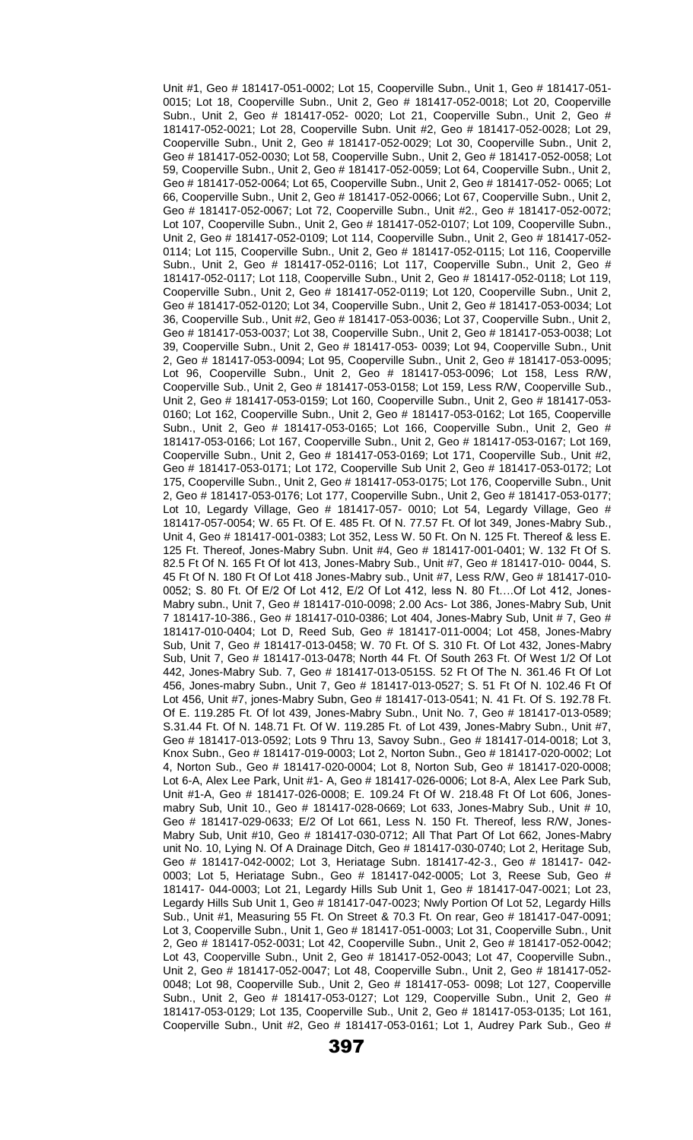Unit #1, Geo # 181417-051-0002; Lot 15, Cooperville Subn., Unit 1, Geo # 181417-051- 0015; Lot 18, Cooperville Subn., Unit 2, Geo # 181417-052-0018; Lot 20, Cooperville Subn., Unit 2, Geo # 181417-052- 0020; Lot 21, Cooperville Subn., Unit 2, Geo # 181417-052-0021; Lot 28, Cooperville Subn. Unit #2, Geo # 181417-052-0028; Lot 29, Cooperville Subn., Unit 2, Geo # 181417-052-0029; Lot 30, Cooperville Subn., Unit 2, Geo # 181417-052-0030; Lot 58, Cooperville Subn., Unit 2, Geo # 181417-052-0058; Lot 59, Cooperville Subn., Unit 2, Geo # 181417-052-0059; Lot 64, Cooperville Subn., Unit 2, Geo # 181417-052-0064; Lot 65, Cooperville Subn., Unit 2, Geo # 181417-052- 0065; Lot 66, Cooperville Subn., Unit 2, Geo # 181417-052-0066; Lot 67, Cooperville Subn., Unit 2, Geo # 181417-052-0067; Lot 72, Cooperville Subn., Unit #2., Geo # 181417-052-0072; Lot 107, Cooperville Subn., Unit 2, Geo # 181417-052-0107; Lot 109, Cooperville Subn., Unit 2, Geo # 181417-052-0109; Lot 114, Cooperville Subn., Unit 2, Geo # 181417-052- 0114; Lot 115, Cooperville Subn., Unit 2, Geo # 181417-052-0115; Lot 116, Cooperville Subn., Unit 2, Geo # 181417-052-0116; Lot 117, Cooperville Subn., Unit 2, Geo # 181417-052-0117; Lot 118, Cooperville Subn., Unit 2, Geo # 181417-052-0118; Lot 119, Cooperville Subn., Unit 2, Geo # 181417-052-0119; Lot 120, Cooperville Subn., Unit 2, Geo # 181417-052-0120; Lot 34, Cooperville Subn., Unit 2, Geo # 181417-053-0034; Lot 36, Cooperville Sub., Unit #2, Geo # 181417-053-0036; Lot 37, Cooperville Subn., Unit 2, Geo # 181417-053-0037; Lot 38, Cooperville Subn., Unit 2, Geo # 181417-053-0038; Lot 39, Cooperville Subn., Unit 2, Geo # 181417-053- 0039; Lot 94, Cooperville Subn., Unit 2, Geo # 181417-053-0094; Lot 95, Cooperville Subn., Unit 2, Geo # 181417-053-0095; Lot 96, Cooperville Subn., Unit 2, Geo # 181417-053-0096; Lot 158, Less R/W, Cooperville Sub., Unit 2, Geo # 181417-053-0158; Lot 159, Less R/W, Cooperville Sub., Unit 2, Geo # 181417-053-0159; Lot 160, Cooperville Subn., Unit 2, Geo # 181417-053- 0160; Lot 162, Cooperville Subn., Unit 2, Geo # 181417-053-0162; Lot 165, Cooperville Subn., Unit 2, Geo # 181417-053-0165; Lot 166, Cooperville Subn., Unit 2, Geo # 181417-053-0166; Lot 167, Cooperville Subn., Unit 2, Geo # 181417-053-0167; Lot 169, Cooperville Subn., Unit 2, Geo # 181417-053-0169; Lot 171, Cooperville Sub., Unit #2, Geo # 181417-053-0171; Lot 172, Cooperville Sub Unit 2, Geo # 181417-053-0172; Lot 175, Cooperville Subn., Unit 2, Geo # 181417-053-0175; Lot 176, Cooperville Subn., Unit 2, Geo # 181417-053-0176; Lot 177, Cooperville Subn., Unit 2, Geo # 181417-053-0177; Lot 10, Legardy Village, Geo # 181417-057- 0010; Lot 54, Legardy Village, Geo # 181417-057-0054; W. 65 Ft. Of E. 485 Ft. Of N. 77.57 Ft. Of lot 349, Jones-Mabry Sub., Unit 4, Geo # 181417-001-0383; Lot 352, Less W. 50 Ft. On N. 125 Ft. Thereof & less E. 125 Ft. Thereof, Jones-Mabry Subn. Unit #4, Geo # 181417-001-0401; W. 132 Ft Of S. 82.5 Ft Of N. 165 Ft Of lot 413, Jones-Mabry Sub., Unit #7, Geo # 181417-010- 0044, S. 45 Ft Of N. 180 Ft Of Lot 418 Jones-Mabry sub., Unit #7, Less R/W, Geo # 181417-010- 0052; S. 80 Ft. Of E/2 Of Lot 412, E/2 Of Lot 412, less N. 80 Ft….Of Lot 412, Jones-Mabry subn., Unit 7, Geo # 181417-010-0098; 2.00 Acs- Lot 386, Jones-Mabry Sub, Unit 7 181417-10-386., Geo # 181417-010-0386; Lot 404, Jones-Mabry Sub, Unit # 7, Geo # 181417-010-0404; Lot D, Reed Sub, Geo # 181417-011-0004; Lot 458, Jones-Mabry Sub, Unit 7, Geo # 181417-013-0458; W. 70 Ft. Of S. 310 Ft. Of Lot 432, Jones-Mabry Sub, Unit 7, Geo # 181417-013-0478; North 44 Ft. Of South 263 Ft. Of West 1/2 Of Lot 442, Jones-Mabry Sub. 7, Geo # 181417-013-0515S. 52 Ft Of The N. 361.46 Ft Of Lot 456, Jones-mabry Subn., Unit 7, Geo # 181417-013-0527; S. 51 Ft Of N. 102.46 Ft Of Lot 456, Unit #7, jones-Mabry Subn, Geo # 181417-013-0541; N. 41 Ft. Of S. 192.78 Ft. Of E. 119.285 Ft. Of lot 439, Jones-Mabry Subn., Unit No. 7, Geo # 181417-013-0589; S.31.44 Ft. Of N. 148.71 Ft. Of W. 119.285 Ft. of Lot 439, Jones-Mabry Subn., Unit #7, Geo # 181417-013-0592; Lots 9 Thru 13, Savoy Subn., Geo # 181417-014-0018; Lot 3, Knox Subn., Geo # 181417-019-0003; Lot 2, Norton Subn., Geo # 181417-020-0002; Lot 4, Norton Sub., Geo # 181417-020-0004; Lot 8, Norton Sub, Geo # 181417-020-0008; Lot 6-A, Alex Lee Park, Unit #1- A, Geo # 181417-026-0006; Lot 8-A, Alex Lee Park Sub, Unit #1-A, Geo # 181417-026-0008; E. 109.24 Ft Of W. 218.48 Ft Of Lot 606, Jonesmabry Sub, Unit 10., Geo # 181417-028-0669; Lot 633, Jones-Mabry Sub., Unit # 10, Geo # 181417-029-0633; E/2 Of Lot 661, Less N. 150 Ft. Thereof, less R/W, Jones-Mabry Sub, Unit #10, Geo # 181417-030-0712; All That Part Of Lot 662, Jones-Mabry unit No. 10, Lying N. Of A Drainage Ditch, Geo # 181417-030-0740; Lot 2, Heritage Sub, Geo # 181417-042-0002; Lot 3, Heriatage Subn. 181417-42-3., Geo # 181417- 042- 0003; Lot 5, Heriatage Subn., Geo # 181417-042-0005; Lot 3, Reese Sub, Geo # 181417- 044-0003; Lot 21, Legardy Hills Sub Unit 1, Geo # 181417-047-0021; Lot 23, Legardy Hills Sub Unit 1, Geo # 181417-047-0023; Nwly Portion Of Lot 52, Legardy Hills Sub., Unit #1, Measuring 55 Ft. On Street & 70.3 Ft. On rear, Geo # 181417-047-0091; Lot 3, Cooperville Subn., Unit 1, Geo # 181417-051-0003; Lot 31, Cooperville Subn., Unit 2, Geo # 181417-052-0031; Lot 42, Cooperville Subn., Unit 2, Geo # 181417-052-0042; Lot 43, Cooperville Subn., Unit 2, Geo # 181417-052-0043; Lot 47, Cooperville Subn., Unit 2, Geo # 181417-052-0047; Lot 48, Cooperville Subn., Unit 2, Geo # 181417-052- 0048; Lot 98, Cooperville Sub., Unit 2, Geo # 181417-053- 0098; Lot 127, Cooperville Subn., Unit 2, Geo # 181417-053-0127; Lot 129, Cooperville Subn., Unit 2, Geo # 181417-053-0129; Lot 135, Cooperville Sub., Unit 2, Geo # 181417-053-0135; Lot 161, Cooperville Subn., Unit #2, Geo # 181417-053-0161; Lot 1, Audrey Park Sub., Geo #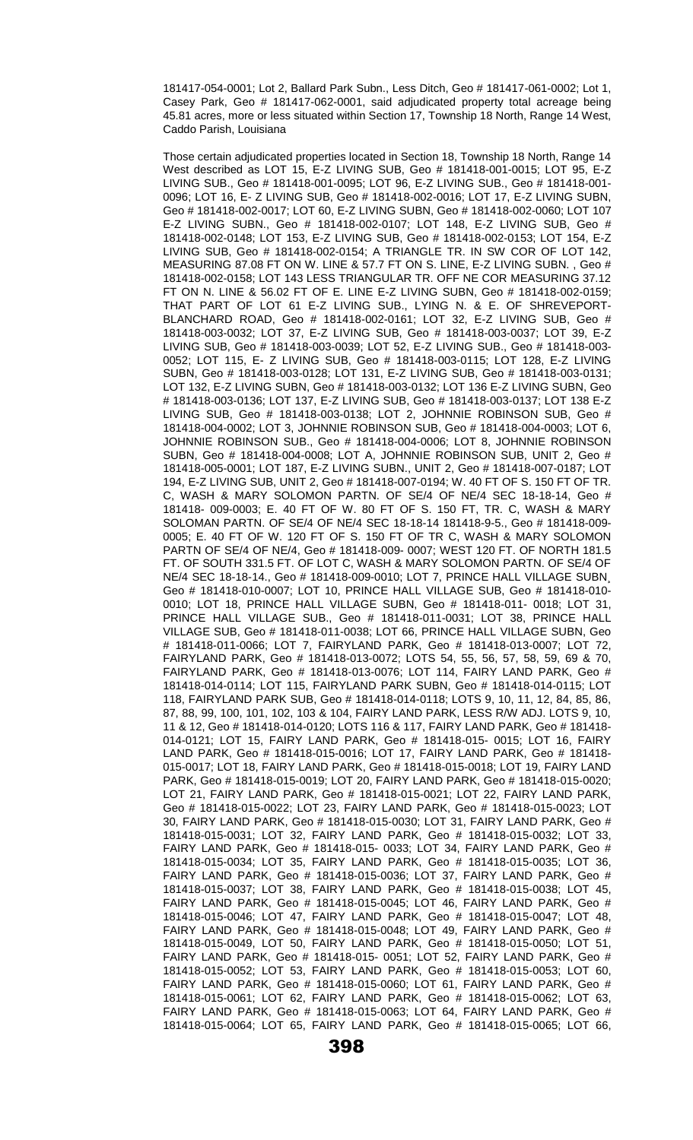181417-054-0001; Lot 2, Ballard Park Subn., Less Ditch, Geo # 181417-061-0002; Lot 1, Casey Park, Geo # 181417-062-0001, said adjudicated property total acreage being 45.81 acres, more or less situated within Section 17, Township 18 North, Range 14 West, Caddo Parish, Louisiana

Those certain adjudicated properties located in Section 18, Township 18 North, Range 14 West described as LOT 15, E-Z LIVING SUB, Geo # 181418-001-0015; LOT 95, E-Z LIVING SUB., Geo # 181418-001-0095; LOT 96, E-Z LIVING SUB., Geo # 181418-001- 0096; LOT 16, E- Z LIVING SUB, Geo # 181418-002-0016; LOT 17, E-Z LIVING SUBN, Geo # 181418-002-0017; LOT 60, E-Z LIVING SUBN, Geo # 181418-002-0060; LOT 107 E-Z LIVING SUBN., Geo # 181418-002-0107; LOT 148, E-Z LIVING SUB, Geo # 181418-002-0148; LOT 153, E-Z LIVING SUB, Geo # 181418-002-0153; LOT 154, E-Z LIVING SUB, Geo # 181418-002-0154; A TRIANGLE TR. IN SW COR OF LOT 142, MEASURING 87.08 FT ON W. LINE & 57.7 FT ON S. LINE, E-Z LIVING SUBN. , Geo # 181418-002-0158; LOT 143 LESS TRIANGULAR TR. OFF NE COR MEASURING 37.12 FT ON N. LINE & 56.02 FT OF E. LINE E-Z LIVING SUBN, Geo # 181418-002-0159; THAT PART OF LOT 61 E-Z LIVING SUB., LYING N. & E. OF SHREVEPORT-BLANCHARD ROAD, Geo # 181418-002-0161; LOT 32, E-Z LIVING SUB, Geo # 181418-003-0032; LOT 37, E-Z LIVING SUB, Geo # 181418-003-0037; LOT 39, E-Z LIVING SUB, Geo # 181418-003-0039; LOT 52, E-Z LIVING SUB., Geo # 181418-003- 0052; LOT 115, E- Z LIVING SUB, Geo # 181418-003-0115; LOT 128, E-Z LIVING SUBN, Geo # 181418-003-0128; LOT 131, E-Z LIVING SUB, Geo # 181418-003-0131; LOT 132, E-Z LIVING SUBN, Geo # 181418-003-0132; LOT 136 E-Z LIVING SUBN, Geo # 181418-003-0136; LOT 137, E-Z LIVING SUB, Geo # 181418-003-0137; LOT 138 E-Z LIVING SUB, Geo # 181418-003-0138; LOT 2, JOHNNIE ROBINSON SUB, Geo # 181418-004-0002; LOT 3, JOHNNIE ROBINSON SUB, Geo # 181418-004-0003; LOT 6, JOHNNIE ROBINSON SUB., Geo # 181418-004-0006; LOT 8, JOHNNIE ROBINSON SUBN, Geo # 181418-004-0008; LOT A, JOHNNIE ROBINSON SUB, UNIT 2, Geo # 181418-005-0001; LOT 187, E-Z LIVING SUBN., UNIT 2, Geo # 181418-007-0187; LOT 194, E-Z LIVING SUB, UNIT 2, Geo # 181418-007-0194; W. 40 FT OF S. 150 FT OF TR. C, WASH & MARY SOLOMON PARTN. OF SE/4 OF NE/4 SEC 18-18-14, Geo # 181418- 009-0003; E. 40 FT OF W. 80 FT OF S. 150 FT, TR. C, WASH & MARY SOLOMAN PARTN. OF SE/4 OF NE/4 SEC 18-18-14 181418-9-5., Geo # 181418-009- 0005; E. 40 FT OF W. 120 FT OF S. 150 FT OF TR C, WASH & MARY SOLOMON PARTN OF SE/4 OF NE/4, Geo # 181418-009- 0007; WEST 120 FT. OF NORTH 181.5 FT. OF SOUTH 331.5 FT. OF LOT C, WASH & MARY SOLOMON PARTN. OF SE/4 OF NE/4 SEC 18-18-14., Geo # 181418-009-0010; LOT 7, PRINCE HALL VILLAGE SUBN¸ Geo # 181418-010-0007; LOT 10, PRINCE HALL VILLAGE SUB, Geo # 181418-010- 0010; LOT 18, PRINCE HALL VILLAGE SUBN, Geo # 181418-011- 0018; LOT 31, PRINCE HALL VILLAGE SUB., Geo # 181418-011-0031; LOT 38, PRINCE HALL VILLAGE SUB, Geo # 181418-011-0038; LOT 66, PRINCE HALL VILLAGE SUBN, Geo # 181418-011-0066; LOT 7, FAIRYLAND PARK, Geo # 181418-013-0007; LOT 72, FAIRYLAND PARK, Geo # 181418-013-0072; LOTS 54, 55, 56, 57, 58, 59, 69 & 70, FAIRYLAND PARK, Geo # 181418-013-0076; LOT 114, FAIRY LAND PARK, Geo # 181418-014-0114; LOT 115, FAIRYLAND PARK SUBN, Geo # 181418-014-0115; LOT 118, FAIRYLAND PARK SUB, Geo # 181418-014-0118; LOTS 9, 10, 11, 12, 84, 85, 86, 87, 88, 99, 100, 101, 102, 103 & 104, FAIRY LAND PARK, LESS R/W ADJ. LOTS 9, 10, 11 & 12, Geo # 181418-014-0120; LOTS 116 & 117, FAIRY LAND PARK, Geo # 181418- 014-0121; LOT 15, FAIRY LAND PARK, Geo # 181418-015- 0015; LOT 16, FAIRY LAND PARK, Geo # 181418-015-0016; LOT 17, FAIRY LAND PARK, Geo # 181418- 015-0017; LOT 18, FAIRY LAND PARK, Geo # 181418-015-0018; LOT 19, FAIRY LAND PARK, Geo # 181418-015-0019; LOT 20, FAIRY LAND PARK, Geo # 181418-015-0020; LOT 21, FAIRY LAND PARK, Geo # 181418-015-0021; LOT 22, FAIRY LAND PARK, Geo # 181418-015-0022; LOT 23, FAIRY LAND PARK, Geo # 181418-015-0023; LOT 30, FAIRY LAND PARK, Geo # 181418-015-0030; LOT 31, FAIRY LAND PARK, Geo # 181418-015-0031; LOT 32, FAIRY LAND PARK, Geo # 181418-015-0032; LOT 33, FAIRY LAND PARK, Geo # 181418-015- 0033; LOT 34, FAIRY LAND PARK, Geo # 181418-015-0034; LOT 35, FAIRY LAND PARK, Geo # 181418-015-0035; LOT 36, FAIRY LAND PARK, Geo # 181418-015-0036; LOT 37, FAIRY LAND PARK, Geo # 181418-015-0037; LOT 38, FAIRY LAND PARK, Geo # 181418-015-0038; LOT 45, FAIRY LAND PARK, Geo # 181418-015-0045; LOT 46, FAIRY LAND PARK, Geo # 181418-015-0046; LOT 47, FAIRY LAND PARK, Geo # 181418-015-0047; LOT 48, FAIRY LAND PARK, Geo # 181418-015-0048; LOT 49, FAIRY LAND PARK, Geo # 181418-015-0049, LOT 50, FAIRY LAND PARK, Geo # 181418-015-0050; LOT 51, FAIRY LAND PARK, Geo # 181418-015- 0051; LOT 52, FAIRY LAND PARK, Geo # 181418-015-0052; LOT 53, FAIRY LAND PARK, Geo # 181418-015-0053; LOT 60, FAIRY LAND PARK, Geo # 181418-015-0060; LOT 61, FAIRY LAND PARK, Geo # 181418-015-0061; LOT 62, FAIRY LAND PARK, Geo # 181418-015-0062; LOT 63, FAIRY LAND PARK, Geo # 181418-015-0063; LOT 64, FAIRY LAND PARK, Geo # 181418-015-0064; LOT 65, FAIRY LAND PARK, Geo # 181418-015-0065; LOT 66,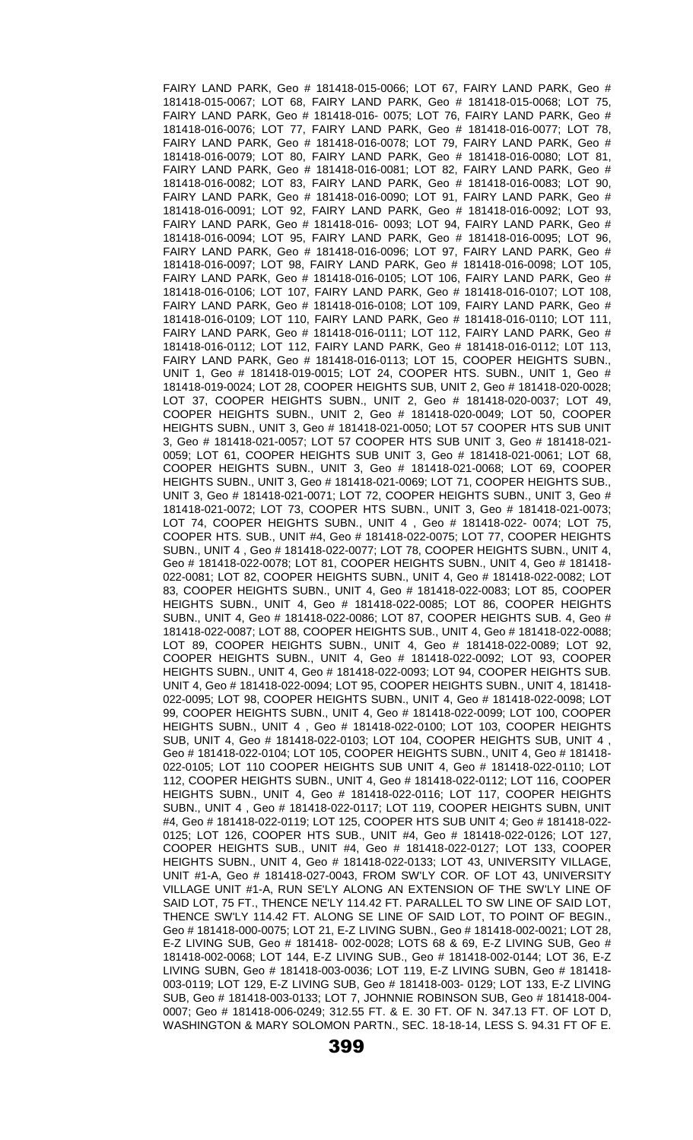FAIRY LAND PARK, Geo # 181418-015-0066; LOT 67, FAIRY LAND PARK, Geo # 181418-015-0067; LOT 68, FAIRY LAND PARK, Geo # 181418-015-0068; LOT 75, FAIRY LAND PARK, Geo # 181418-016- 0075; LOT 76, FAIRY LAND PARK, Geo # 181418-016-0076; LOT 77, FAIRY LAND PARK, Geo # 181418-016-0077; LOT 78, FAIRY LAND PARK, Geo # 181418-016-0078; LOT 79, FAIRY LAND PARK, Geo # 181418-016-0079; LOT 80, FAIRY LAND PARK, Geo # 181418-016-0080; LOT 81, FAIRY LAND PARK, Geo # 181418-016-0081; LOT 82, FAIRY LAND PARK, Geo # 181418-016-0082; LOT 83, FAIRY LAND PARK, Geo # 181418-016-0083; LOT 90, FAIRY LAND PARK, Geo # 181418-016-0090; LOT 91, FAIRY LAND PARK, Geo # 181418-016-0091; LOT 92, FAIRY LAND PARK, Geo # 181418-016-0092; LOT 93, FAIRY LAND PARK, Geo # 181418-016- 0093; LOT 94, FAIRY LAND PARK, Geo # 181418-016-0094; LOT 95, FAIRY LAND PARK, Geo # 181418-016-0095; LOT 96, FAIRY LAND PARK, Geo # 181418-016-0096; LOT 97, FAIRY LAND PARK, Geo # 181418-016-0097; LOT 98, FAIRY LAND PARK, Geo # 181418-016-0098; LOT 105, FAIRY LAND PARK, Geo # 181418-016-0105; LOT 106, FAIRY LAND PARK, Geo # 181418-016-0106; LOT 107, FAIRY LAND PARK, Geo # 181418-016-0107; LOT 108, FAIRY LAND PARK, Geo # 181418-016-0108; LOT 109, FAIRY LAND PARK, Geo # 181418-016-0109; LOT 110, FAIRY LAND PARK, Geo # 181418-016-0110; LOT 111, FAIRY LAND PARK, Geo # 181418-016-0111; LOT 112, FAIRY LAND PARK, Geo # 181418-016-0112; LOT 112, FAIRY LAND PARK, Geo # 181418-016-0112; L0T 113, FAIRY LAND PARK, Geo # 181418-016-0113; LOT 15, COOPER HEIGHTS SUBN., UNIT 1, Geo # 181418-019-0015; LOT 24, COOPER HTS. SUBN., UNIT 1, Geo # 181418-019-0024; LOT 28, COOPER HEIGHTS SUB, UNIT 2, Geo # 181418-020-0028; LOT 37, COOPER HEIGHTS SUBN., UNIT 2, Geo # 181418-020-0037; LOT 49, COOPER HEIGHTS SUBN., UNIT 2, Geo # 181418-020-0049; LOT 50, COOPER HEIGHTS SUBN., UNIT 3, Geo # 181418-021-0050; LOT 57 COOPER HTS SUB UNIT 3, Geo # 181418-021-0057; LOT 57 COOPER HTS SUB UNIT 3, Geo # 181418-021- 0059; LOT 61, COOPER HEIGHTS SUB UNIT 3, Geo # 181418-021-0061; LOT 68, COOPER HEIGHTS SUBN., UNIT 3, Geo # 181418-021-0068; LOT 69, COOPER HEIGHTS SUBN., UNIT 3, Geo # 181418-021-0069; LOT 71, COOPER HEIGHTS SUB., UNIT 3, Geo # 181418-021-0071; LOT 72, COOPER HEIGHTS SUBN., UNIT 3, Geo # 181418-021-0072; LOT 73, COOPER HTS SUBN., UNIT 3, Geo # 181418-021-0073; LOT 74, COOPER HEIGHTS SUBN., UNIT 4 , Geo # 181418-022- 0074; LOT 75, COOPER HTS. SUB., UNIT #4, Geo # 181418-022-0075; LOT 77, COOPER HEIGHTS SUBN., UNIT 4 , Geo # 181418-022-0077; LOT 78, COOPER HEIGHTS SUBN., UNIT 4, Geo # 181418-022-0078; LOT 81, COOPER HEIGHTS SUBN., UNIT 4, Geo # 181418- 022-0081; LOT 82, COOPER HEIGHTS SUBN., UNIT 4, Geo # 181418-022-0082; LOT 83, COOPER HEIGHTS SUBN., UNIT 4, Geo # 181418-022-0083; LOT 85, COOPER HEIGHTS SUBN., UNIT 4, Geo # 181418-022-0085; LOT 86, COOPER HEIGHTS SUBN., UNIT 4, Geo # 181418-022-0086; LOT 87, COOPER HEIGHTS SUB. 4, Geo # 181418-022-0087; LOT 88, COOPER HEIGHTS SUB., UNIT 4, Geo # 181418-022-0088; LOT 89, COOPER HEIGHTS SUBN., UNIT 4, Geo # 181418-022-0089; LOT 92, COOPER HEIGHTS SUBN., UNIT 4, Geo # 181418-022-0092; LOT 93, COOPER HEIGHTS SUBN., UNIT 4, Geo # 181418-022-0093; LOT 94, COOPER HEIGHTS SUB. UNIT 4, Geo # 181418-022-0094; LOT 95, COOPER HEIGHTS SUBN., UNIT 4, 181418- 022-0095; LOT 98, COOPER HEIGHTS SUBN., UNIT 4, Geo # 181418-022-0098; LOT 99, COOPER HEIGHTS SUBN., UNIT 4, Geo # 181418-022-0099; LOT 100, COOPER HEIGHTS SUBN., UNIT 4 , Geo # 181418-022-0100; LOT 103, COOPER HEIGHTS SUB, UNIT 4, Geo # 181418-022-0103; LOT 104, COOPER HEIGHTS SUB, UNIT 4 , Geo # 181418-022-0104; LOT 105, COOPER HEIGHTS SUBN., UNIT 4, Geo # 181418- 022-0105; LOT 110 COOPER HEIGHTS SUB UNIT 4, Geo # 181418-022-0110; LOT 112, COOPER HEIGHTS SUBN., UNIT 4, Geo # 181418-022-0112; LOT 116, COOPER HEIGHTS SUBN., UNIT 4, Geo # 181418-022-0116; LOT 117, COOPER HEIGHTS SUBN., UNIT 4 , Geo # 181418-022-0117; LOT 119, COOPER HEIGHTS SUBN, UNIT #4, Geo # 181418-022-0119; LOT 125, COOPER HTS SUB UNIT 4; Geo # 181418-022- 0125; LOT 126, COOPER HTS SUB., UNIT #4, Geo # 181418-022-0126; LOT 127, COOPER HEIGHTS SUB., UNIT #4, Geo # 181418-022-0127; LOT 133, COOPER HEIGHTS SUBN., UNIT 4, Geo # 181418-022-0133; LOT 43, UNIVERSITY VILLAGE, UNIT #1-A, Geo # 181418-027-0043, FROM SW'LY COR. OF LOT 43, UNIVERSITY VILLAGE UNIT #1-A, RUN SE'LY ALONG AN EXTENSION OF THE SW'LY LINE OF SAID LOT, 75 FT., THENCE NE'LY 114.42 FT. PARALLEL TO SW LINE OF SAID LOT, THENCE SW'LY 114.42 FT. ALONG SE LINE OF SAID LOT, TO POINT OF BEGIN., Geo # 181418-000-0075; LOT 21, E-Z LIVING SUBN., Geo # 181418-002-0021; LOT 28, E-Z LIVING SUB, Geo # 181418- 002-0028; LOTS 68 & 69, E-Z LIVING SUB, Geo # 181418-002-0068; LOT 144, E-Z LIVING SUB., Geo # 181418-002-0144; LOT 36, E-Z LIVING SUBN, Geo # 181418-003-0036; LOT 119, E-Z LIVING SUBN, Geo # 181418- 003-0119; LOT 129, E-Z LIVING SUB, Geo # 181418-003- 0129; LOT 133, E-Z LIVING SUB, Geo # 181418-003-0133; LOT 7, JOHNNIE ROBINSON SUB, Geo # 181418-004- 0007; Geo # 181418-006-0249; 312.55 FT. & E. 30 FT. OF N. 347.13 FT. OF LOT D, WASHINGTON & MARY SOLOMON PARTN., SEC. 18-18-14, LESS S. 94.31 FT OF E.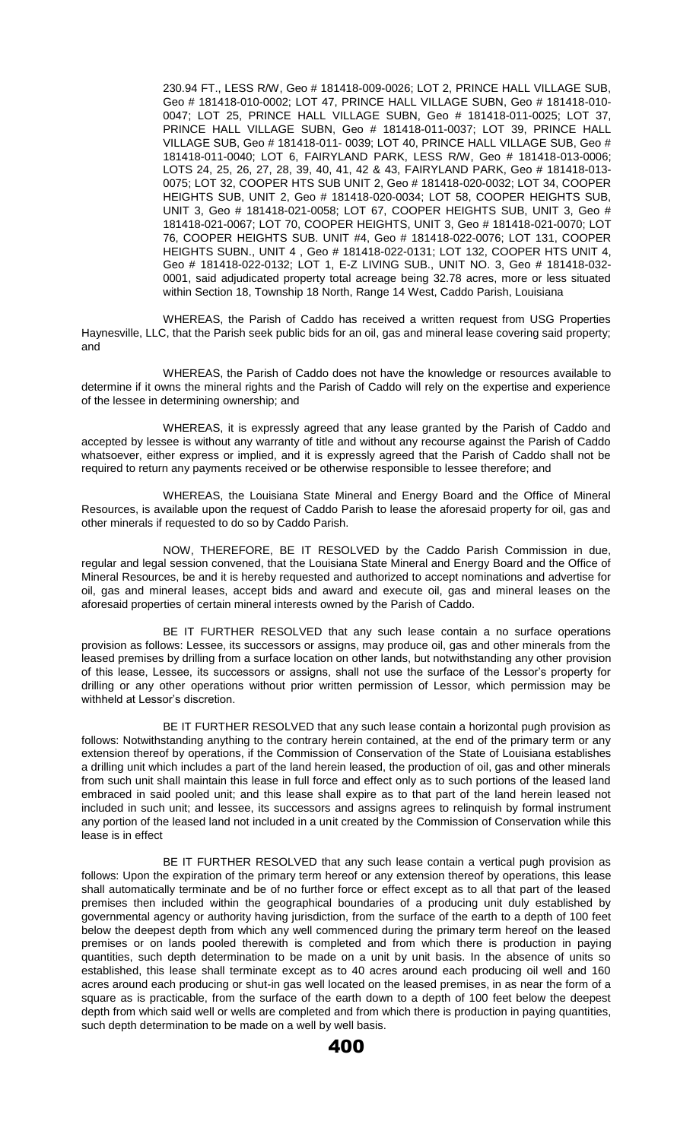230.94 FT., LESS R/W, Geo # 181418-009-0026; LOT 2, PRINCE HALL VILLAGE SUB, Geo # 181418-010-0002; LOT 47, PRINCE HALL VILLAGE SUBN, Geo # 181418-010- 0047; LOT 25, PRINCE HALL VILLAGE SUBN, Geo # 181418-011-0025; LOT 37, PRINCE HALL VILLAGE SUBN, Geo # 181418-011-0037; LOT 39, PRINCE HALL VILLAGE SUB, Geo # 181418-011- 0039; LOT 40, PRINCE HALL VILLAGE SUB, Geo # 181418-011-0040; LOT 6, FAIRYLAND PARK, LESS R/W, Geo # 181418-013-0006; LOTS 24, 25, 26, 27, 28, 39, 40, 41, 42 & 43, FAIRYLAND PARK, Geo # 181418-013- 0075; LOT 32, COOPER HTS SUB UNIT 2, Geo # 181418-020-0032; LOT 34, COOPER HEIGHTS SUB, UNIT 2, Geo # 181418-020-0034; LOT 58, COOPER HEIGHTS SUB, UNIT 3, Geo # 181418-021-0058; LOT 67, COOPER HEIGHTS SUB, UNIT 3, Geo # 181418-021-0067; LOT 70, COOPER HEIGHTS, UNIT 3, Geo # 181418-021-0070; LOT 76, COOPER HEIGHTS SUB. UNIT #4, Geo # 181418-022-0076; LOT 131, COOPER HEIGHTS SUBN., UNIT 4 , Geo # 181418-022-0131; LOT 132, COOPER HTS UNIT 4, Geo # 181418-022-0132; LOT 1, E-Z LIVING SUB., UNIT NO. 3, Geo # 181418-032- 0001, said adjudicated property total acreage being 32.78 acres, more or less situated within Section 18, Township 18 North, Range 14 West, Caddo Parish, Louisiana

WHEREAS, the Parish of Caddo has received a written request from USG Properties Haynesville, LLC, that the Parish seek public bids for an oil, gas and mineral lease covering said property; and

WHEREAS, the Parish of Caddo does not have the knowledge or resources available to determine if it owns the mineral rights and the Parish of Caddo will rely on the expertise and experience of the lessee in determining ownership; and

WHEREAS, it is expressly agreed that any lease granted by the Parish of Caddo and accepted by lessee is without any warranty of title and without any recourse against the Parish of Caddo whatsoever, either express or implied, and it is expressly agreed that the Parish of Caddo shall not be required to return any payments received or be otherwise responsible to lessee therefore; and

WHEREAS, the Louisiana State Mineral and Energy Board and the Office of Mineral Resources, is available upon the request of Caddo Parish to lease the aforesaid property for oil, gas and other minerals if requested to do so by Caddo Parish.

NOW, THEREFORE, BE IT RESOLVED by the Caddo Parish Commission in due, regular and legal session convened, that the Louisiana State Mineral and Energy Board and the Office of Mineral Resources, be and it is hereby requested and authorized to accept nominations and advertise for oil, gas and mineral leases, accept bids and award and execute oil, gas and mineral leases on the aforesaid properties of certain mineral interests owned by the Parish of Caddo.

BE IT FURTHER RESOLVED that any such lease contain a no surface operations provision as follows: Lessee, its successors or assigns, may produce oil, gas and other minerals from the leased premises by drilling from a surface location on other lands, but notwithstanding any other provision of this lease, Lessee, its successors or assigns, shall not use the surface of the Lessor's property for drilling or any other operations without prior written permission of Lessor, which permission may be withheld at Lessor's discretion.

BE IT FURTHER RESOLVED that any such lease contain a horizontal pugh provision as follows: Notwithstanding anything to the contrary herein contained, at the end of the primary term or any extension thereof by operations, if the Commission of Conservation of the State of Louisiana establishes a drilling unit which includes a part of the land herein leased, the production of oil, gas and other minerals from such unit shall maintain this lease in full force and effect only as to such portions of the leased land embraced in said pooled unit; and this lease shall expire as to that part of the land herein leased not included in such unit; and lessee, its successors and assigns agrees to relinquish by formal instrument any portion of the leased land not included in a unit created by the Commission of Conservation while this lease is in effect

BE IT FURTHER RESOLVED that any such lease contain a vertical pugh provision as follows: Upon the expiration of the primary term hereof or any extension thereof by operations, this lease shall automatically terminate and be of no further force or effect except as to all that part of the leased premises then included within the geographical boundaries of a producing unit duly established by governmental agency or authority having jurisdiction, from the surface of the earth to a depth of 100 feet below the deepest depth from which any well commenced during the primary term hereof on the leased premises or on lands pooled therewith is completed and from which there is production in paying quantities, such depth determination to be made on a unit by unit basis. In the absence of units so established, this lease shall terminate except as to 40 acres around each producing oil well and 160 acres around each producing or shut-in gas well located on the leased premises, in as near the form of a square as is practicable, from the surface of the earth down to a depth of 100 feet below the deepest depth from which said well or wells are completed and from which there is production in paying quantities, such depth determination to be made on a well by well basis.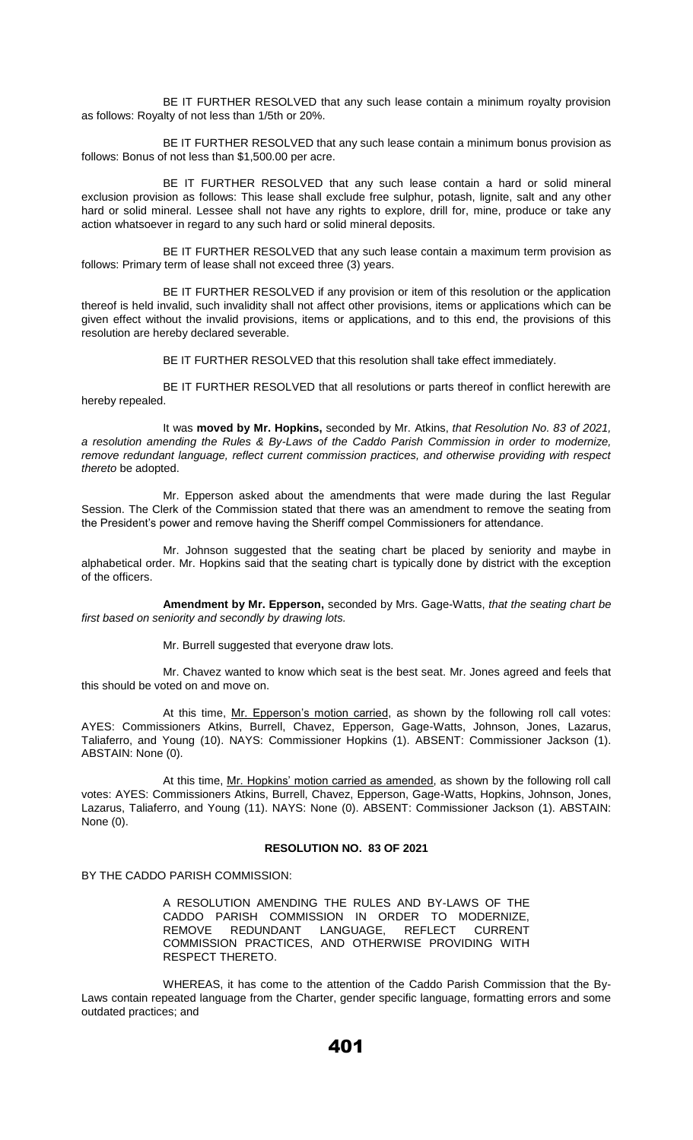BE IT FURTHER RESOLVED that any such lease contain a minimum royalty provision as follows: Royalty of not less than 1/5th or 20%.

BE IT FURTHER RESOLVED that any such lease contain a minimum bonus provision as follows: Bonus of not less than \$1,500.00 per acre.

BE IT FURTHER RESOLVED that any such lease contain a hard or solid mineral exclusion provision as follows: This lease shall exclude free sulphur, potash, lignite, salt and any other hard or solid mineral. Lessee shall not have any rights to explore, drill for, mine, produce or take any action whatsoever in regard to any such hard or solid mineral deposits.

BE IT FURTHER RESOLVED that any such lease contain a maximum term provision as follows: Primary term of lease shall not exceed three (3) years.

BE IT FURTHER RESOLVED if any provision or item of this resolution or the application thereof is held invalid, such invalidity shall not affect other provisions, items or applications which can be given effect without the invalid provisions, items or applications, and to this end, the provisions of this resolution are hereby declared severable.

BE IT FURTHER RESOLVED that this resolution shall take effect immediately.

BE IT FURTHER RESOLVED that all resolutions or parts thereof in conflict herewith are hereby repealed.

It was **moved by Mr. Hopkins,** seconded by Mr. Atkins, *that Resolution No. 83 of 2021, a resolution amending the Rules & By-Laws of the Caddo Parish Commission in order to modernize, remove redundant language, reflect current commission practices, and otherwise providing with respect thereto* be adopted.

Mr. Epperson asked about the amendments that were made during the last Regular Session. The Clerk of the Commission stated that there was an amendment to remove the seating from the President's power and remove having the Sheriff compel Commissioners for attendance.

Mr. Johnson suggested that the seating chart be placed by seniority and maybe in alphabetical order. Mr. Hopkins said that the seating chart is typically done by district with the exception of the officers.

**Amendment by Mr. Epperson,** seconded by Mrs. Gage-Watts, *that the seating chart be first based on seniority and secondly by drawing lots.* 

Mr. Burrell suggested that everyone draw lots.

Mr. Chavez wanted to know which seat is the best seat. Mr. Jones agreed and feels that this should be voted on and move on.

At this time, Mr. Epperson's motion carried, as shown by the following roll call votes: AYES: Commissioners Atkins, Burrell, Chavez, Epperson, Gage-Watts, Johnson, Jones, Lazarus, Taliaferro, and Young (10). NAYS: Commissioner Hopkins (1). ABSENT: Commissioner Jackson (1). ABSTAIN: None (0).

At this time, Mr. Hopkins' motion carried as amended, as shown by the following roll call votes: AYES: Commissioners Atkins, Burrell, Chavez, Epperson, Gage-Watts, Hopkins, Johnson, Jones, Lazarus, Taliaferro, and Young (11). NAYS: None (0). ABSENT: Commissioner Jackson (1). ABSTAIN: None (0).

## **RESOLUTION NO. 83 OF 2021**

BY THE CADDO PARISH COMMISSION:

A RESOLUTION AMENDING THE RULES AND BY-LAWS OF THE CADDO PARISH COMMISSION IN ORDER TO MODERNIZE, REMOVE REDUNDANT LANGUAGE, REFLECT CURRENT COMMISSION PRACTICES, AND OTHERWISE PROVIDING WITH RESPECT THERETO.

WHEREAS, it has come to the attention of the Caddo Parish Commission that the By-Laws contain repeated language from the Charter, gender specific language, formatting errors and some outdated practices; and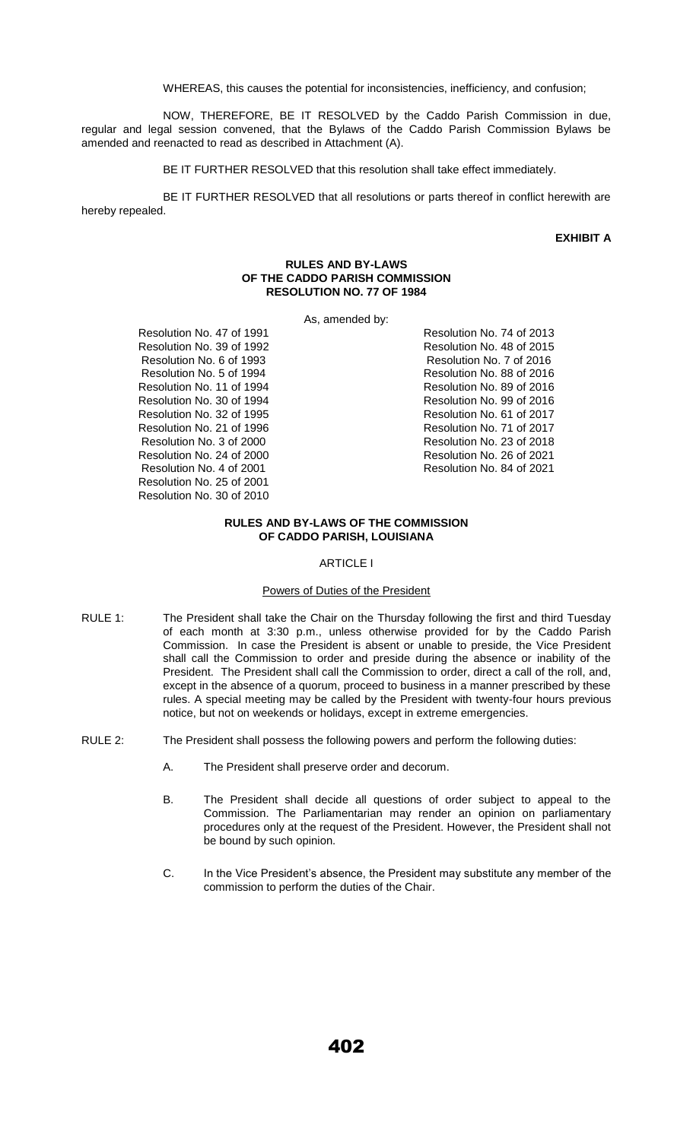WHEREAS, this causes the potential for inconsistencies, inefficiency, and confusion;

NOW, THEREFORE, BE IT RESOLVED by the Caddo Parish Commission in due, regular and legal session convened, that the Bylaws of the Caddo Parish Commission Bylaws be amended and reenacted to read as described in Attachment (A).

BE IT FURTHER RESOLVED that this resolution shall take effect immediately.

BE IT FURTHER RESOLVED that all resolutions or parts thereof in conflict herewith are hereby repealed.

## **EXHIBIT A**

#### **RULES AND BY-LAWS OF THE CADDO PARISH COMMISSION RESOLUTION NO. 77 OF 1984**

As, amended by:

Resolution No. 47 of 1991 Resolution No. 39 of 1992 Resolution No. 6 of 1993 Resolution No. 5 of 1994 Resolution No. 11 of 1994 Resolution No. 30 of 1994 Resolution No. 32 of 1995 Resolution No. 21 of 1996 Resolution No. 3 of 2000 Resolution No. 24 of 2000 Resolution No. 4 of 2001 Resolution No. 25 of 2001 Resolution No. 30 of 2010

Resolution No. 74 of 2013 Resolution No. 48 of 2015 Resolution No. 7 of 2016 Resolution No. 88 of 2016 Resolution No. 89 of 2016 Resolution No. 99 of 2016 Resolution No. 61 of 2017 Resolution No. 71 of 2017 Resolution No. 23 of 2018 Resolution No. 26 of 2021 Resolution No. 84 of 2021

## **RULES AND BY-LAWS OF THE COMMISSION OF CADDO PARISH, LOUISIANA**

#### ARTICLE I

# Powers of Duties of the President

- RULE 1: The President shall take the Chair on the Thursday following the first and third Tuesday of each month at 3:30 p.m., unless otherwise provided for by the Caddo Parish Commission. In case the President is absent or unable to preside, the Vice President shall call the Commission to order and preside during the absence or inability of the President. The President shall call the Commission to order, direct a call of the roll, and, except in the absence of a quorum, proceed to business in a manner prescribed by these rules. A special meeting may be called by the President with twenty-four hours previous notice, but not on weekends or holidays, except in extreme emergencies.
- RULE 2: The President shall possess the following powers and perform the following duties:
	- A. The President shall preserve order and decorum.
	- B. The President shall decide all questions of order subject to appeal to the Commission. The Parliamentarian may render an opinion on parliamentary procedures only at the request of the President. However, the President shall not be bound by such opinion.
	- C. In the Vice President's absence, the President may substitute any member of the commission to perform the duties of the Chair.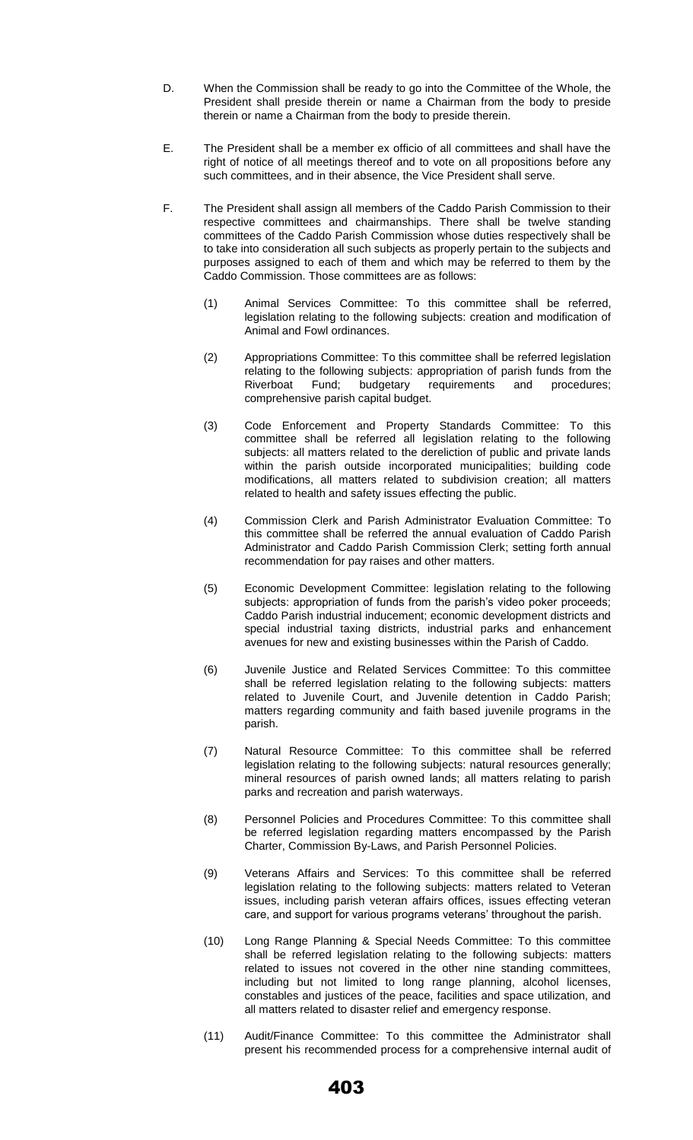- D. When the Commission shall be ready to go into the Committee of the Whole, the President shall preside therein or name a Chairman from the body to preside therein or name a Chairman from the body to preside therein.
- E. The President shall be a member ex officio of all committees and shall have the right of notice of all meetings thereof and to vote on all propositions before any such committees, and in their absence, the Vice President shall serve.
- F. The President shall assign all members of the Caddo Parish Commission to their respective committees and chairmanships. There shall be twelve standing committees of the Caddo Parish Commission whose duties respectively shall be to take into consideration all such subjects as properly pertain to the subjects and purposes assigned to each of them and which may be referred to them by the Caddo Commission. Those committees are as follows:
	- (1) Animal Services Committee: To this committee shall be referred, legislation relating to the following subjects: creation and modification of Animal and Fowl ordinances.
	- (2) Appropriations Committee: To this committee shall be referred legislation relating to the following subjects: appropriation of parish funds from the Riverboat Fund; budgetary requirements and procedures; comprehensive parish capital budget.
	- (3) Code Enforcement and Property Standards Committee: To this committee shall be referred all legislation relating to the following subjects: all matters related to the dereliction of public and private lands within the parish outside incorporated municipalities; building code modifications, all matters related to subdivision creation; all matters related to health and safety issues effecting the public.
	- (4) Commission Clerk and Parish Administrator Evaluation Committee: To this committee shall be referred the annual evaluation of Caddo Parish Administrator and Caddo Parish Commission Clerk; setting forth annual recommendation for pay raises and other matters.
	- (5) Economic Development Committee: legislation relating to the following subjects: appropriation of funds from the parish's video poker proceeds; Caddo Parish industrial inducement; economic development districts and special industrial taxing districts, industrial parks and enhancement avenues for new and existing businesses within the Parish of Caddo.
	- (6) Juvenile Justice and Related Services Committee: To this committee shall be referred legislation relating to the following subjects: matters related to Juvenile Court, and Juvenile detention in Caddo Parish; matters regarding community and faith based juvenile programs in the parish.
	- (7) Natural Resource Committee: To this committee shall be referred legislation relating to the following subjects: natural resources generally; mineral resources of parish owned lands; all matters relating to parish parks and recreation and parish waterways.
	- (8) Personnel Policies and Procedures Committee: To this committee shall be referred legislation regarding matters encompassed by the Parish Charter, Commission By-Laws, and Parish Personnel Policies.
	- (9) Veterans Affairs and Services: To this committee shall be referred legislation relating to the following subjects: matters related to Veteran issues, including parish veteran affairs offices, issues effecting veteran care, and support for various programs veterans' throughout the parish.
	- (10) Long Range Planning & Special Needs Committee: To this committee shall be referred legislation relating to the following subjects: matters related to issues not covered in the other nine standing committees, including but not limited to long range planning, alcohol licenses, constables and justices of the peace, facilities and space utilization, and all matters related to disaster relief and emergency response.
	- (11) Audit/Finance Committee: To this committee the Administrator shall present his recommended process for a comprehensive internal audit of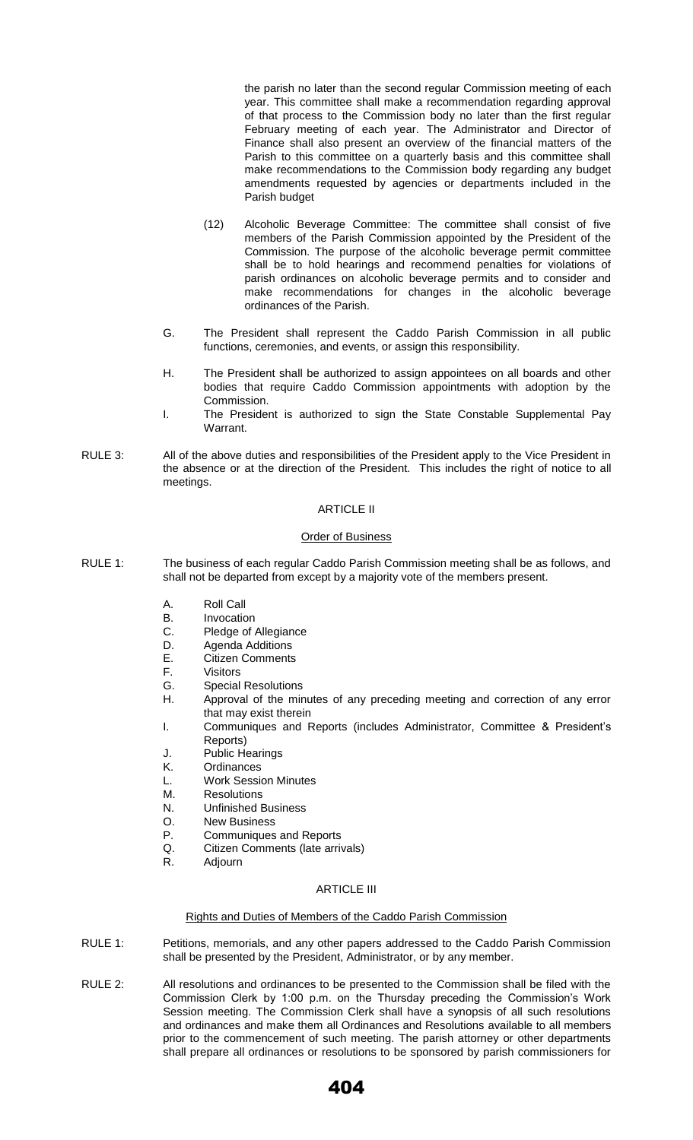the parish no later than the second regular Commission meeting of each year. This committee shall make a recommendation regarding approval of that process to the Commission body no later than the first regular February meeting of each year. The Administrator and Director of Finance shall also present an overview of the financial matters of the Parish to this committee on a quarterly basis and this committee shall make recommendations to the Commission body regarding any budget amendments requested by agencies or departments included in the Parish budget

- (12) Alcoholic Beverage Committee: The committee shall consist of five members of the Parish Commission appointed by the President of the Commission. The purpose of the alcoholic beverage permit committee shall be to hold hearings and recommend penalties for violations of parish ordinances on alcoholic beverage permits and to consider and make recommendations for changes in the alcoholic beverage ordinances of the Parish.
- G. The President shall represent the Caddo Parish Commission in all public functions, ceremonies, and events, or assign this responsibility.
- H. The President shall be authorized to assign appointees on all boards and other bodies that require Caddo Commission appointments with adoption by the Commission.
- I. The President is authorized to sign the State Constable Supplemental Pay Warrant.
- RULE 3: All of the above duties and responsibilities of the President apply to the Vice President in the absence or at the direction of the President. This includes the right of notice to all meetings.

## ARTICLE II

## Order of Business

- RULE 1: The business of each regular Caddo Parish Commission meeting shall be as follows, and shall not be departed from except by a majority vote of the members present.
	- A. Roll Call
	- B. Invocation
	- C. Pledge of Allegiance
	- D. Agenda Additions
	- E. Citizen Comments
	- F. Visitors
	- G. Special Resolutions
	- H. Approval of the minutes of any preceding meeting and correction of any error that may exist therein
	- I. Communiques and Reports (includes Administrator, Committee & President's Reports)
	- J. Public Hearings
	- K. Ordinances
	- L. Work Session Minutes
	- M. Resolutions
	- N. Unfinished Business
	- O. New Business
	- P. Communiques and Reports
	- Q. Citizen Comments (late arrivals)
	- R. Adjourn

## ARTICLE III

#### Rights and Duties of Members of the Caddo Parish Commission

- RULE 1: Petitions, memorials, and any other papers addressed to the Caddo Parish Commission shall be presented by the President, Administrator, or by any member.
- RULE 2: All resolutions and ordinances to be presented to the Commission shall be filed with the Commission Clerk by 1:00 p.m. on the Thursday preceding the Commission's Work Session meeting. The Commission Clerk shall have a synopsis of all such resolutions and ordinances and make them all Ordinances and Resolutions available to all members prior to the commencement of such meeting. The parish attorney or other departments shall prepare all ordinances or resolutions to be sponsored by parish commissioners for

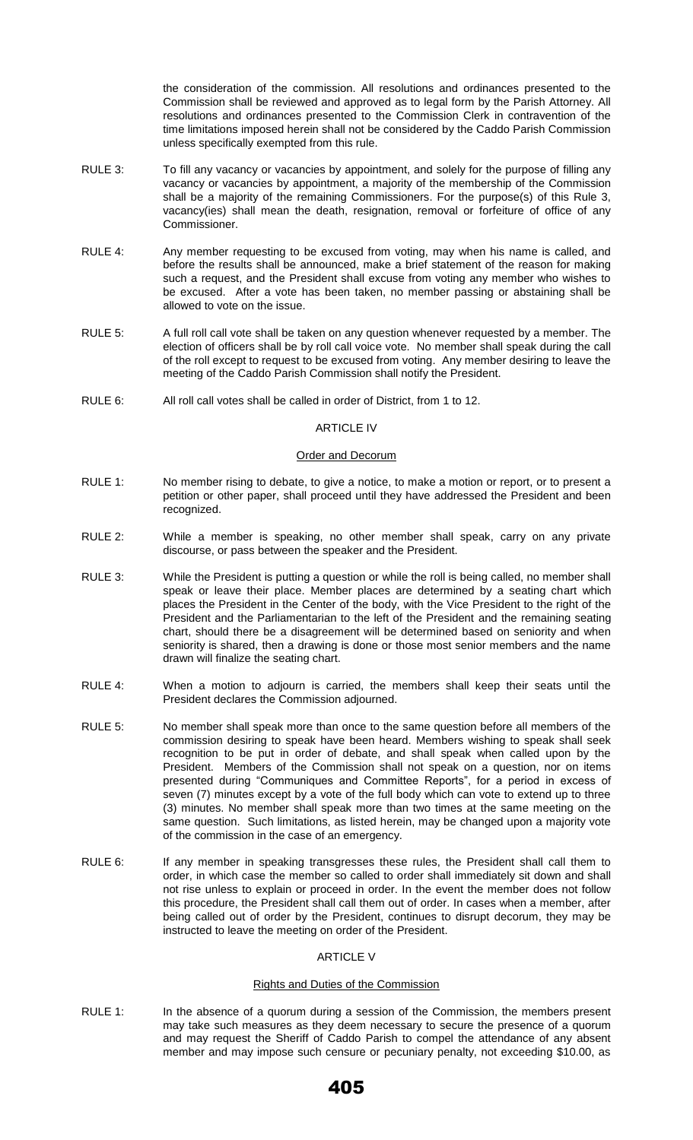the consideration of the commission. All resolutions and ordinances presented to the Commission shall be reviewed and approved as to legal form by the Parish Attorney. All resolutions and ordinances presented to the Commission Clerk in contravention of the time limitations imposed herein shall not be considered by the Caddo Parish Commission unless specifically exempted from this rule.

- RULE 3: To fill any vacancy or vacancies by appointment, and solely for the purpose of filling any vacancy or vacancies by appointment, a majority of the membership of the Commission shall be a majority of the remaining Commissioners. For the purpose(s) of this Rule 3, vacancy(ies) shall mean the death, resignation, removal or forfeiture of office of any Commissioner.
- RULE 4: Any member requesting to be excused from voting, may when his name is called, and before the results shall be announced, make a brief statement of the reason for making such a request, and the President shall excuse from voting any member who wishes to be excused. After a vote has been taken, no member passing or abstaining shall be allowed to vote on the issue.
- RULE 5: A full roll call vote shall be taken on any question whenever requested by a member. The election of officers shall be by roll call voice vote. No member shall speak during the call of the roll except to request to be excused from voting. Any member desiring to leave the meeting of the Caddo Parish Commission shall notify the President.
- RULE 6: All roll call votes shall be called in order of District, from 1 to 12.

### ARTICLE IV

## Order and Decorum

- RULE 1: No member rising to debate, to give a notice, to make a motion or report, or to present a petition or other paper, shall proceed until they have addressed the President and been recognized.
- RULE 2: While a member is speaking, no other member shall speak, carry on any private discourse, or pass between the speaker and the President.
- RULE 3: While the President is putting a question or while the roll is being called, no member shall speak or leave their place. Member places are determined by a seating chart which places the President in the Center of the body, with the Vice President to the right of the President and the Parliamentarian to the left of the President and the remaining seating chart, should there be a disagreement will be determined based on seniority and when seniority is shared, then a drawing is done or those most senior members and the name drawn will finalize the seating chart.
- RULE 4: When a motion to adjourn is carried, the members shall keep their seats until the President declares the Commission adjourned.
- RULE 5: No member shall speak more than once to the same question before all members of the commission desiring to speak have been heard. Members wishing to speak shall seek recognition to be put in order of debate, and shall speak when called upon by the President. Members of the Commission shall not speak on a question, nor on items presented during "Communiques and Committee Reports", for a period in excess of seven (7) minutes except by a vote of the full body which can vote to extend up to three (3) minutes. No member shall speak more than two times at the same meeting on the same question. Such limitations, as listed herein, may be changed upon a majority vote of the commission in the case of an emergency.
- RULE 6: If any member in speaking transgresses these rules, the President shall call them to order, in which case the member so called to order shall immediately sit down and shall not rise unless to explain or proceed in order. In the event the member does not follow this procedure, the President shall call them out of order. In cases when a member, after being called out of order by the President, continues to disrupt decorum, they may be instructed to leave the meeting on order of the President.

# ARTICLE V

## Rights and Duties of the Commission

RULE 1: In the absence of a quorum during a session of the Commission, the members present may take such measures as they deem necessary to secure the presence of a quorum and may request the Sheriff of Caddo Parish to compel the attendance of any absent member and may impose such censure or pecuniary penalty, not exceeding \$10.00, as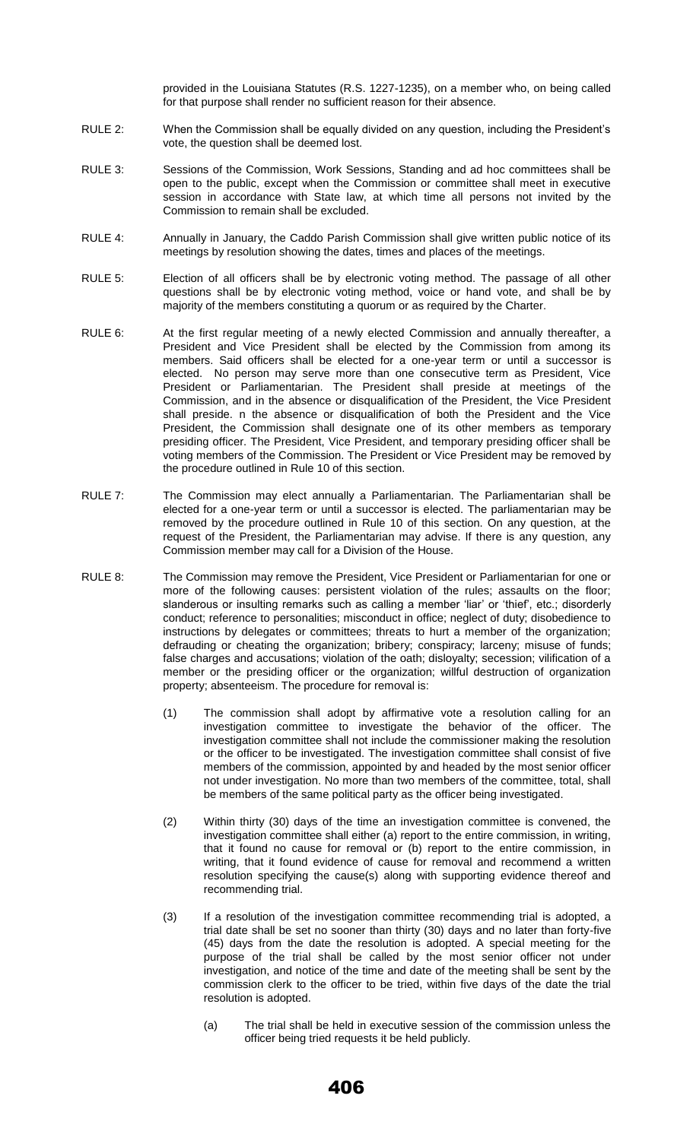provided in the Louisiana Statutes (R.S. 1227-1235), on a member who, on being called for that purpose shall render no sufficient reason for their absence.

- RULE 2: When the Commission shall be equally divided on any question, including the President's vote, the question shall be deemed lost.
- RULE 3: Sessions of the Commission, Work Sessions, Standing and ad hoc committees shall be open to the public, except when the Commission or committee shall meet in executive session in accordance with State law, at which time all persons not invited by the Commission to remain shall be excluded.
- RULE 4: Annually in January, the Caddo Parish Commission shall give written public notice of its meetings by resolution showing the dates, times and places of the meetings.
- RULE 5: Election of all officers shall be by electronic voting method. The passage of all other questions shall be by electronic voting method, voice or hand vote, and shall be by majority of the members constituting a quorum or as required by the Charter.
- RULE 6: At the first regular meeting of a newly elected Commission and annually thereafter, a President and Vice President shall be elected by the Commission from among its members. Said officers shall be elected for a one-year term or until a successor is elected. No person may serve more than one consecutive term as President, Vice President or Parliamentarian. The President shall preside at meetings of the Commission, and in the absence or disqualification of the President, the Vice President shall preside. n the absence or disqualification of both the President and the Vice President, the Commission shall designate one of its other members as temporary presiding officer. The President, Vice President, and temporary presiding officer shall be voting members of the Commission. The President or Vice President may be removed by the procedure outlined in Rule 10 of this section.
- RULE 7: The Commission may elect annually a Parliamentarian. The Parliamentarian shall be elected for a one-year term or until a successor is elected. The parliamentarian may be removed by the procedure outlined in Rule 10 of this section. On any question, at the request of the President, the Parliamentarian may advise. If there is any question, any Commission member may call for a Division of the House.
- RULE 8: The Commission may remove the President, Vice President or Parliamentarian for one or more of the following causes: persistent violation of the rules; assaults on the floor; slanderous or insulting remarks such as calling a member 'liar' or 'thief', etc.; disorderly conduct; reference to personalities; misconduct in office; neglect of duty; disobedience to instructions by delegates or committees; threats to hurt a member of the organization; defrauding or cheating the organization; bribery; conspiracy; larceny; misuse of funds; false charges and accusations; violation of the oath; disloyalty; secession; vilification of a member or the presiding officer or the organization; willful destruction of organization property; absenteeism. The procedure for removal is:
	- (1) The commission shall adopt by affirmative vote a resolution calling for an investigation committee to investigate the behavior of the officer. The investigation committee shall not include the commissioner making the resolution or the officer to be investigated. The investigation committee shall consist of five members of the commission, appointed by and headed by the most senior officer not under investigation. No more than two members of the committee, total, shall be members of the same political party as the officer being investigated.
	- (2) Within thirty (30) days of the time an investigation committee is convened, the investigation committee shall either (a) report to the entire commission, in writing, that it found no cause for removal or (b) report to the entire commission, in writing, that it found evidence of cause for removal and recommend a written resolution specifying the cause(s) along with supporting evidence thereof and recommending trial.
	- (3) If a resolution of the investigation committee recommending trial is adopted, a trial date shall be set no sooner than thirty (30) days and no later than forty-five (45) days from the date the resolution is adopted. A special meeting for the purpose of the trial shall be called by the most senior officer not under investigation, and notice of the time and date of the meeting shall be sent by the commission clerk to the officer to be tried, within five days of the date the trial resolution is adopted.
		- (a) The trial shall be held in executive session of the commission unless the officer being tried requests it be held publicly.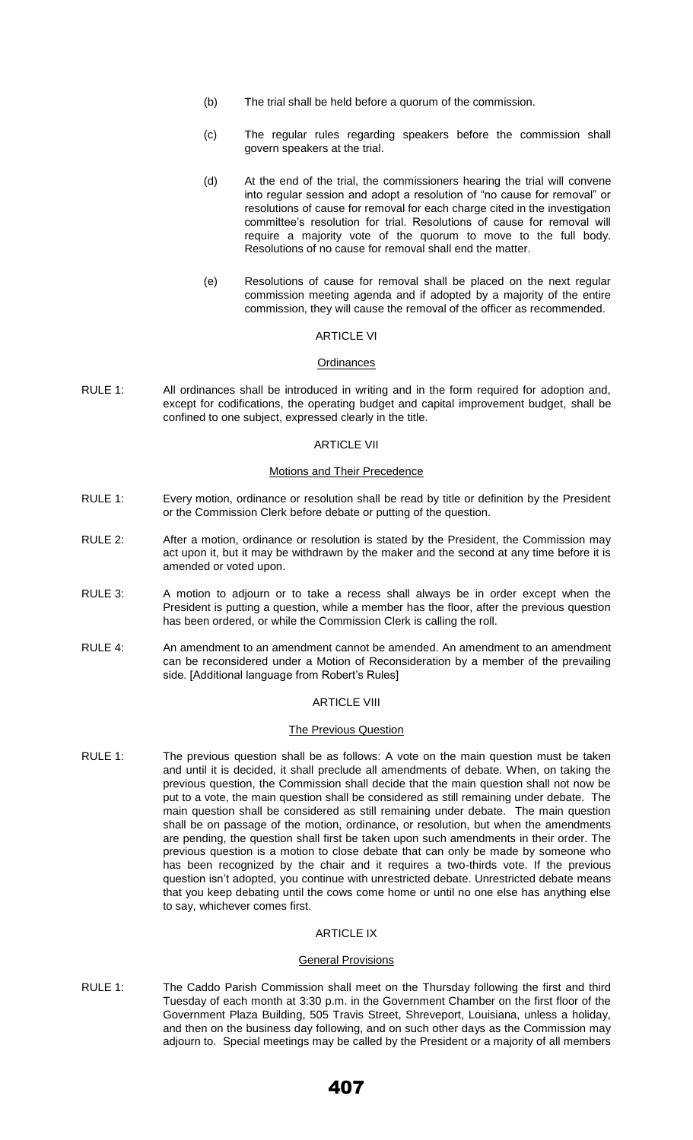- (b) The trial shall be held before a quorum of the commission.
- (c) The regular rules regarding speakers before the commission shall govern speakers at the trial.
- (d) At the end of the trial, the commissioners hearing the trial will convene into regular session and adopt a resolution of "no cause for removal" or resolutions of cause for removal for each charge cited in the investigation committee's resolution for trial. Resolutions of cause for removal will require a majority vote of the quorum to move to the full body. Resolutions of no cause for removal shall end the matter.
- (e) Resolutions of cause for removal shall be placed on the next regular commission meeting agenda and if adopted by a majority of the entire commission, they will cause the removal of the officer as recommended.

# ARTICLE VI

#### **Ordinances**

RULE 1: All ordinances shall be introduced in writing and in the form required for adoption and, except for codifications, the operating budget and capital improvement budget, shall be confined to one subject, expressed clearly in the title.

#### ARTICLE VII

#### Motions and Their Precedence

- RULE 1: Every motion, ordinance or resolution shall be read by title or definition by the President or the Commission Clerk before debate or putting of the question.
- RULE 2: After a motion, ordinance or resolution is stated by the President, the Commission may act upon it, but it may be withdrawn by the maker and the second at any time before it is amended or voted upon.
- RULE 3: A motion to adjourn or to take a recess shall always be in order except when the President is putting a question, while a member has the floor, after the previous question has been ordered, or while the Commission Clerk is calling the roll.
- RULE 4: An amendment to an amendment cannot be amended. An amendment to an amendment can be reconsidered under a Motion of Reconsideration by a member of the prevailing side. [Additional language from Robert's Rules]

# ARTICLE VIII

#### The Previous Question

RULE 1: The previous question shall be as follows: A vote on the main question must be taken and until it is decided, it shall preclude all amendments of debate. When, on taking the previous question, the Commission shall decide that the main question shall not now be put to a vote, the main question shall be considered as still remaining under debate. The main question shall be considered as still remaining under debate. The main question shall be on passage of the motion, ordinance, or resolution, but when the amendments are pending, the question shall first be taken upon such amendments in their order. The previous question is a motion to close debate that can only be made by someone who has been recognized by the chair and it requires a two-thirds vote. If the previous question isn't adopted, you continue with unrestricted debate. Unrestricted debate means that you keep debating until the cows come home or until no one else has anything else to say, whichever comes first.

## ARTICLE IX

#### **General Provisions**

RULE 1: The Caddo Parish Commission shall meet on the Thursday following the first and third Tuesday of each month at 3:30 p.m. in the Government Chamber on the first floor of the Government Plaza Building, 505 Travis Street, Shreveport, Louisiana, unless a holiday, and then on the business day following, and on such other days as the Commission may adjourn to. Special meetings may be called by the President or a majority of all members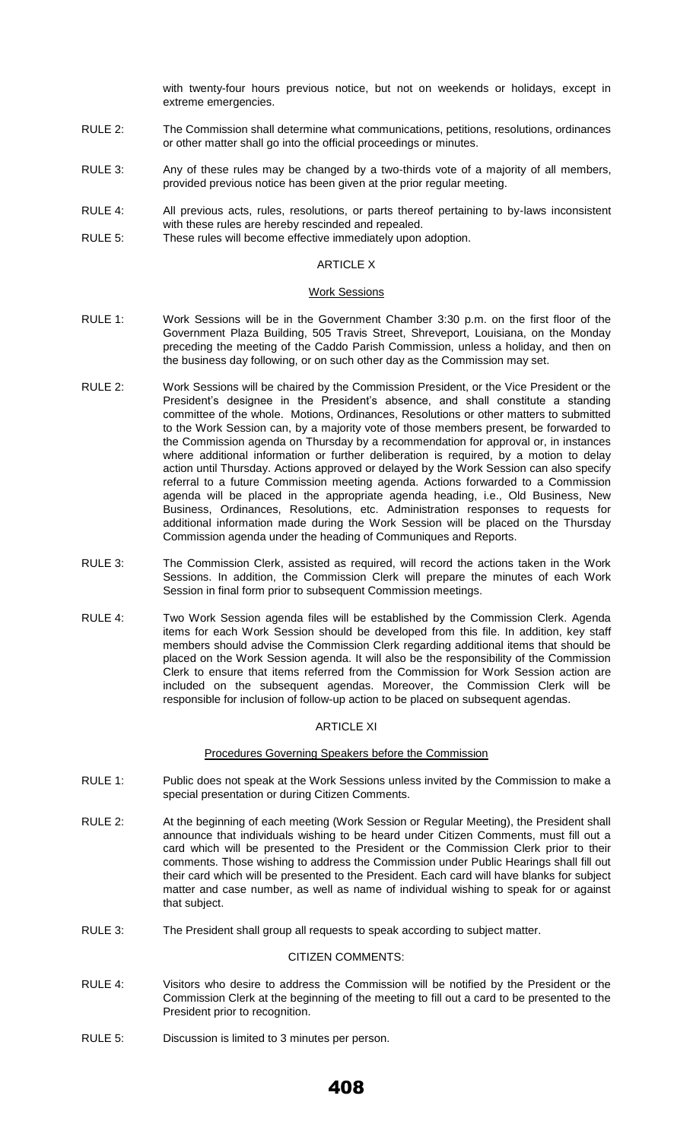with twenty-four hours previous notice, but not on weekends or holidays, except in extreme emergencies.

- RULE 2: The Commission shall determine what communications, petitions, resolutions, ordinances or other matter shall go into the official proceedings or minutes.
- RULE 3: Any of these rules may be changed by a two-thirds vote of a majority of all members, provided previous notice has been given at the prior regular meeting.
- RULE 4: All previous acts, rules, resolutions, or parts thereof pertaining to by-laws inconsistent with these rules are hereby rescinded and repealed.
- RULE 5: These rules will become effective immediately upon adoption.

#### ARTICLE X

#### Work Sessions

- RULE 1: Work Sessions will be in the Government Chamber 3:30 p.m. on the first floor of the Government Plaza Building, 505 Travis Street, Shreveport, Louisiana, on the Monday preceding the meeting of the Caddo Parish Commission, unless a holiday, and then on the business day following, or on such other day as the Commission may set.
- RULE 2: Work Sessions will be chaired by the Commission President, or the Vice President or the President's designee in the President's absence, and shall constitute a standing committee of the whole. Motions, Ordinances, Resolutions or other matters to submitted to the Work Session can, by a majority vote of those members present, be forwarded to the Commission agenda on Thursday by a recommendation for approval or, in instances where additional information or further deliberation is required, by a motion to delay action until Thursday. Actions approved or delayed by the Work Session can also specify referral to a future Commission meeting agenda. Actions forwarded to a Commission agenda will be placed in the appropriate agenda heading, i.e., Old Business, New Business, Ordinances, Resolutions, etc. Administration responses to requests for additional information made during the Work Session will be placed on the Thursday Commission agenda under the heading of Communiques and Reports.
- RULE 3: The Commission Clerk, assisted as required, will record the actions taken in the Work Sessions. In addition, the Commission Clerk will prepare the minutes of each Work Session in final form prior to subsequent Commission meetings.
- RULE 4: Two Work Session agenda files will be established by the Commission Clerk. Agenda items for each Work Session should be developed from this file. In addition, key staff members should advise the Commission Clerk regarding additional items that should be placed on the Work Session agenda. It will also be the responsibility of the Commission Clerk to ensure that items referred from the Commission for Work Session action are included on the subsequent agendas. Moreover, the Commission Clerk will be responsible for inclusion of follow-up action to be placed on subsequent agendas.

## ARTICLE XI

## Procedures Governing Speakers before the Commission

- RULE 1: Public does not speak at the Work Sessions unless invited by the Commission to make a special presentation or during Citizen Comments.
- RULE 2: At the beginning of each meeting (Work Session or Regular Meeting), the President shall announce that individuals wishing to be heard under Citizen Comments, must fill out a card which will be presented to the President or the Commission Clerk prior to their comments. Those wishing to address the Commission under Public Hearings shall fill out their card which will be presented to the President. Each card will have blanks for subject matter and case number, as well as name of individual wishing to speak for or against that subject.
- RULE 3: The President shall group all requests to speak according to subject matter.

#### CITIZEN COMMENTS:

- RULE 4: Visitors who desire to address the Commission will be notified by the President or the Commission Clerk at the beginning of the meeting to fill out a card to be presented to the President prior to recognition.
- RULE 5: Discussion is limited to 3 minutes per person.

# 408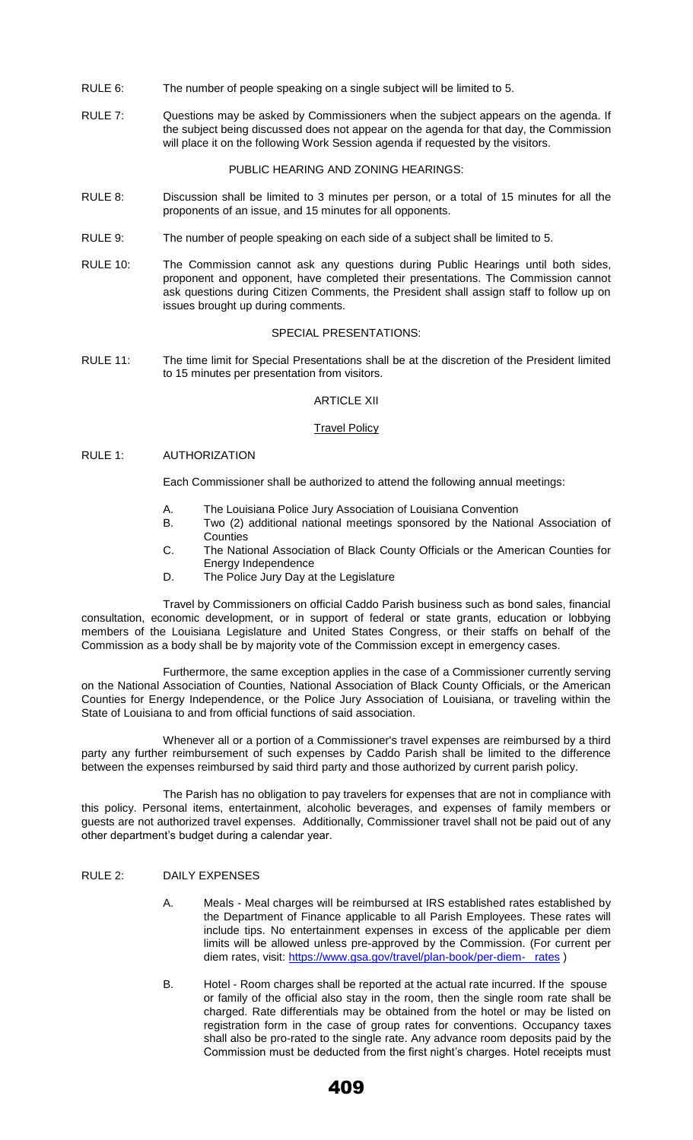- RULE 6: The number of people speaking on a single subject will be limited to 5.
- RULE 7: Questions may be asked by Commissioners when the subject appears on the agenda. If the subject being discussed does not appear on the agenda for that day, the Commission will place it on the following Work Session agenda if requested by the visitors.

PUBLIC HEARING AND ZONING HEARINGS:

- RULE 8: Discussion shall be limited to 3 minutes per person, or a total of 15 minutes for all the proponents of an issue, and 15 minutes for all opponents.
- RULE 9: The number of people speaking on each side of a subject shall be limited to 5.
- RULE 10: The Commission cannot ask any questions during Public Hearings until both sides, proponent and opponent, have completed their presentations. The Commission cannot ask questions during Citizen Comments, the President shall assign staff to follow up on issues brought up during comments.

#### SPECIAL PRESENTATIONS:

RULE 11: The time limit for Special Presentations shall be at the discretion of the President limited to 15 minutes per presentation from visitors.

## ARTICLE XII

## **Travel Policy**

## RULE 1: AUTHORIZATION

Each Commissioner shall be authorized to attend the following annual meetings:

- A. The Louisiana Police Jury Association of Louisiana Convention
- B. Two (2) additional national meetings sponsored by the National Association of **Counties**
- C. The National Association of Black County Officials or the American Counties for Energy Independence
- D. The Police Jury Day at the Legislature

Travel by Commissioners on official Caddo Parish business such as bond sales, financial consultation, economic development, or in support of federal or state grants, education or lobbying members of the Louisiana Legislature and United States Congress, or their staffs on behalf of the Commission as a body shall be by majority vote of the Commission except in emergency cases.

Furthermore, the same exception applies in the case of a Commissioner currently serving on the National Association of Counties, National Association of Black County Officials, or the American Counties for Energy Independence, or the Police Jury Association of Louisiana, or traveling within the State of Louisiana to and from official functions of said association.

Whenever all or a portion of a Commissioner's travel expenses are reimbursed by a third party any further reimbursement of such expenses by Caddo Parish shall be limited to the difference between the expenses reimbursed by said third party and those authorized by current parish policy.

The Parish has no obligation to pay travelers for expenses that are not in compliance with this policy. Personal items, entertainment, alcoholic beverages, and expenses of family members or guests are not authorized travel expenses. Additionally, Commissioner travel shall not be paid out of any other department's budget during a calendar year.

# RULE 2: DAILY EXPENSES

- A. Meals Meal charges will be reimbursed at IRS established rates established by the Department of Finance applicable to all Parish Employees. These rates will include tips. No entertainment expenses in excess of the applicable per diem limits will be allowed unless pre-approved by the Commission. (For current per diem rates, visit: [https://www.gsa.gov/travel/plan-book/per-diem- rates](https://www.gsa.gov/travel/plan-book/per-diem-%20%20%20rates) )
- B. Hotel Room charges shall be reported at the actual rate incurred. If the spouse or family of the official also stay in the room, then the single room rate shall be charged. Rate differentials may be obtained from the hotel or may be listed on registration form in the case of group rates for conventions. Occupancy taxes shall also be pro-rated to the single rate. Any advance room deposits paid by the Commission must be deducted from the first night's charges. Hotel receipts must

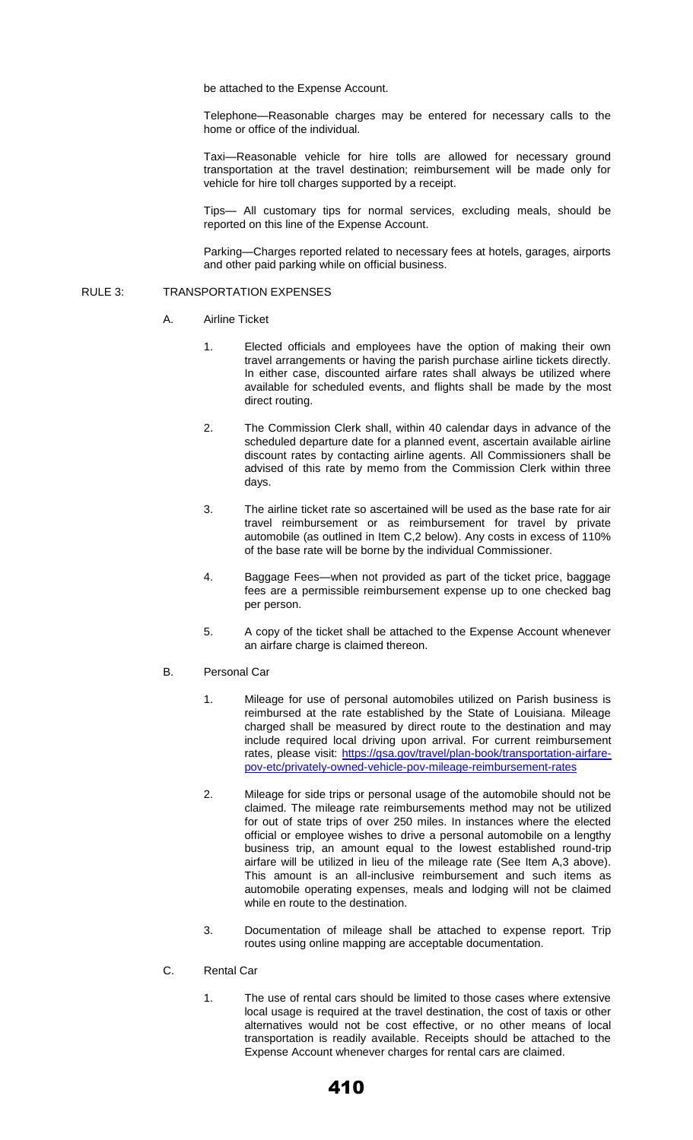be attached to the Expense Account.

Telephone—Reasonable charges may be entered for necessary calls to the home or office of the individual.

Taxi—Reasonable vehicle for hire tolls are allowed for necessary ground transportation at the travel destination; reimbursement will be made only for vehicle for hire toll charges supported by a receipt.

Tips— All customary tips for normal services, excluding meals, should be reported on this line of the Expense Account.

Parking—Charges reported related to necessary fees at hotels, garages, airports and other paid parking while on official business.

#### RULE 3: TRANSPORTATION EXPENSES

- A. Airline Ticket
	- 1. Elected officials and employees have the option of making their own travel arrangements or having the parish purchase airline tickets directly. In either case, discounted airfare rates shall always be utilized where available for scheduled events, and flights shall be made by the most direct routing.
	- 2. The Commission Clerk shall, within 40 calendar days in advance of the scheduled departure date for a planned event, ascertain available airline discount rates by contacting airline agents. All Commissioners shall be advised of this rate by memo from the Commission Clerk within three days.
	- 3. The airline ticket rate so ascertained will be used as the base rate for air travel reimbursement or as reimbursement for travel by private automobile (as outlined in Item C,2 below). Any costs in excess of 110% of the base rate will be borne by the individual Commissioner.
	- 4. Baggage Fees—when not provided as part of the ticket price, baggage fees are a permissible reimbursement expense up to one checked bag per person.
	- 5. A copy of the ticket shall be attached to the Expense Account whenever an airfare charge is claimed thereon.
- B. Personal Car
	- 1. Mileage for use of personal automobiles utilized on Parish business is reimbursed at the rate established by the State of Louisiana. Mileage charged shall be measured by direct route to the destination and may include required local driving upon arrival. For current reimbursement rates, please visit: [https://gsa.gov/travel/plan-book/transportation-airfare](https://gsa.gov/travel/plan-book/transportation-airfare-pov-etc/privately-owned-vehicle-pov-mileage-reimbursement-rates)[pov-etc/privately-owned-vehicle-pov-mileage-reimbursement-rates](https://gsa.gov/travel/plan-book/transportation-airfare-pov-etc/privately-owned-vehicle-pov-mileage-reimbursement-rates)
	- 2. Mileage for side trips or personal usage of the automobile should not be claimed. The mileage rate reimbursements method may not be utilized for out of state trips of over 250 miles. In instances where the elected official or employee wishes to drive a personal automobile on a lengthy business trip, an amount equal to the lowest established round-trip airfare will be utilized in lieu of the mileage rate (See Item A,3 above). This amount is an all-inclusive reimbursement and such items as automobile operating expenses, meals and lodging will not be claimed while en route to the destination.
	- 3. Documentation of mileage shall be attached to expense report. Trip routes using online mapping are acceptable documentation.
- C. Rental Car
	- 1. The use of rental cars should be limited to those cases where extensive local usage is required at the travel destination, the cost of taxis or other alternatives would not be cost effective, or no other means of local transportation is readily available. Receipts should be attached to the Expense Account whenever charges for rental cars are claimed.

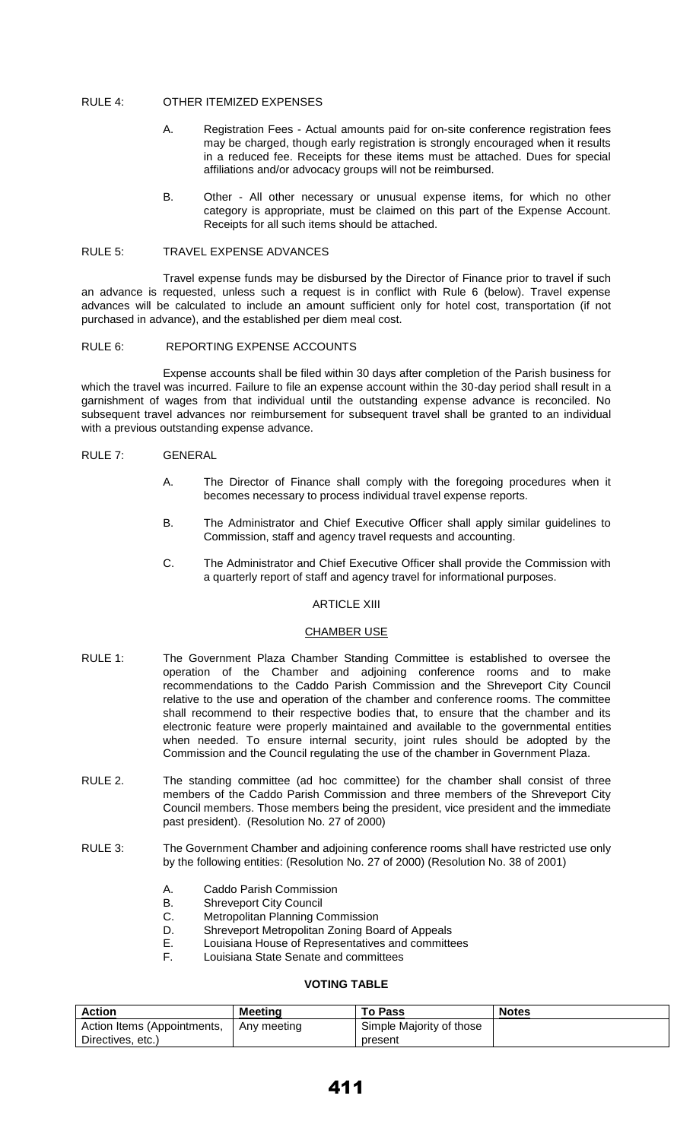## RULE 4: OTHER ITEMIZED EXPENSES

- A. Registration Fees Actual amounts paid for on-site conference registration fees may be charged, though early registration is strongly encouraged when it results in a reduced fee. Receipts for these items must be attached. Dues for special affiliations and/or advocacy groups will not be reimbursed.
- B. Other All other necessary or unusual expense items, for which no other category is appropriate, must be claimed on this part of the Expense Account. Receipts for all such items should be attached.

# RULE 5: TRAVEL EXPENSE ADVANCES

Travel expense funds may be disbursed by the Director of Finance prior to travel if such an advance is requested, unless such a request is in conflict with Rule 6 (below). Travel expense advances will be calculated to include an amount sufficient only for hotel cost, transportation (if not purchased in advance), and the established per diem meal cost.

# RULE 6: REPORTING EXPENSE ACCOUNTS

Expense accounts shall be filed within 30 days after completion of the Parish business for which the travel was incurred. Failure to file an expense account within the 30-day period shall result in a garnishment of wages from that individual until the outstanding expense advance is reconciled. No subsequent travel advances nor reimbursement for subsequent travel shall be granted to an individual with a previous outstanding expense advance.

## RULE 7: GENERAL

- A. The Director of Finance shall comply with the foregoing procedures when it becomes necessary to process individual travel expense reports.
- B. The Administrator and Chief Executive Officer shall apply similar guidelines to Commission, staff and agency travel requests and accounting.
- C. The Administrator and Chief Executive Officer shall provide the Commission with a quarterly report of staff and agency travel for informational purposes.

# ARTICLE XIII

#### CHAMBER USE

- RULE 1: The Government Plaza Chamber Standing Committee is established to oversee the operation of the Chamber and adjoining conference rooms and to make recommendations to the Caddo Parish Commission and the Shreveport City Council relative to the use and operation of the chamber and conference rooms. The committee shall recommend to their respective bodies that, to ensure that the chamber and its electronic feature were properly maintained and available to the governmental entities when needed. To ensure internal security, joint rules should be adopted by the Commission and the Council regulating the use of the chamber in Government Plaza.
- RULE 2. The standing committee (ad hoc committee) for the chamber shall consist of three members of the Caddo Parish Commission and three members of the Shreveport City Council members. Those members being the president, vice president and the immediate past president). (Resolution No. 27 of 2000)
- RULE 3: The Government Chamber and adjoining conference rooms shall have restricted use only by the following entities: (Resolution No. 27 of 2000) (Resolution No. 38 of 2001)
	- A. Caddo Parish Commission
	- B. Shreveport City Council
	- C. Metropolitan Planning Commission
	- D. Shreveport Metropolitan Zoning Board of Appeals
	- E. Louisiana House of Representatives and committees
	- F. Louisiana State Senate and committees

## **VOTING TABLE**

| <b>Action</b>               | Meetina     | <b>To Pass</b>           | <b>Notes</b> |
|-----------------------------|-------------|--------------------------|--------------|
| Action Items (Appointments, | Any meeting | Simple Majority of those |              |
| Directives, etc.)           |             | present                  |              |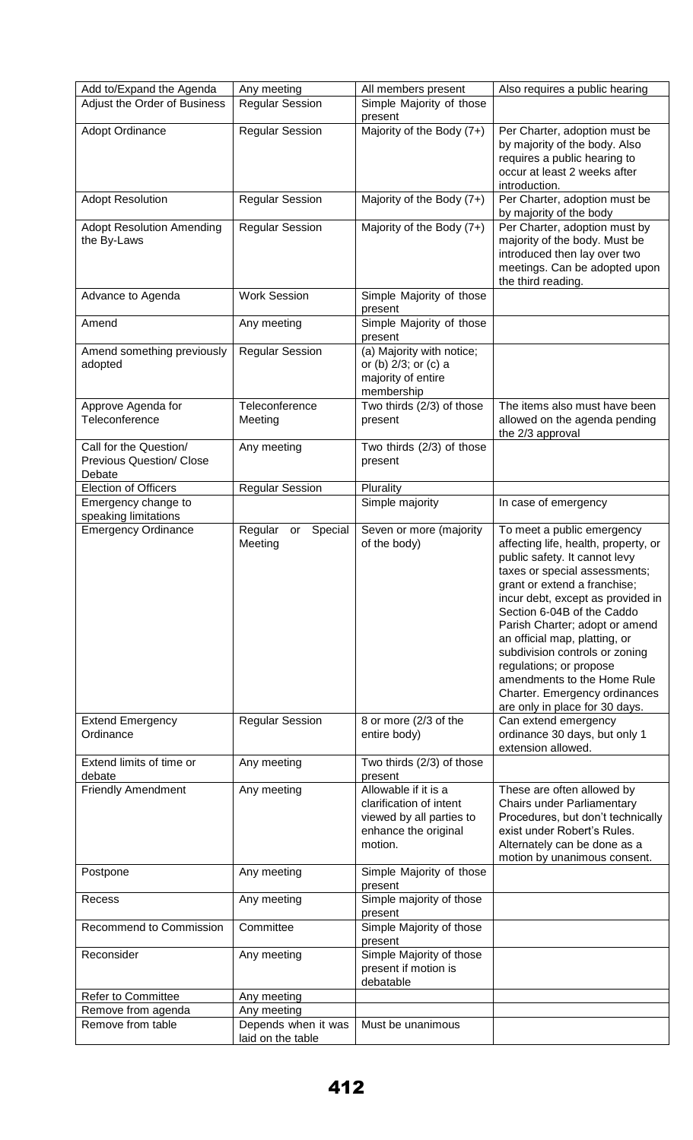| Add to/Expand the Agenda                                            | Any meeting                              | All members present                                                                                            | Also requires a public hearing                                                                                                                                                                                                                                                                                                                                                                                                                                            |
|---------------------------------------------------------------------|------------------------------------------|----------------------------------------------------------------------------------------------------------------|---------------------------------------------------------------------------------------------------------------------------------------------------------------------------------------------------------------------------------------------------------------------------------------------------------------------------------------------------------------------------------------------------------------------------------------------------------------------------|
| Adjust the Order of Business                                        | <b>Regular Session</b>                   | Simple Majority of those<br>present                                                                            |                                                                                                                                                                                                                                                                                                                                                                                                                                                                           |
| Adopt Ordinance                                                     | <b>Regular Session</b>                   | Majority of the Body (7+)                                                                                      | Per Charter, adoption must be<br>by majority of the body. Also<br>requires a public hearing to<br>occur at least 2 weeks after<br>introduction.                                                                                                                                                                                                                                                                                                                           |
| <b>Adopt Resolution</b>                                             | <b>Regular Session</b>                   | Majority of the Body (7+)                                                                                      | Per Charter, adoption must be<br>by majority of the body                                                                                                                                                                                                                                                                                                                                                                                                                  |
| <b>Adopt Resolution Amending</b><br>the By-Laws                     | <b>Regular Session</b>                   | Majority of the Body (7+)                                                                                      | Per Charter, adoption must by<br>majority of the body. Must be<br>introduced then lay over two<br>meetings. Can be adopted upon<br>the third reading.                                                                                                                                                                                                                                                                                                                     |
| Advance to Agenda                                                   | <b>Work Session</b>                      | Simple Majority of those<br>present                                                                            |                                                                                                                                                                                                                                                                                                                                                                                                                                                                           |
| Amend                                                               | Any meeting                              | Simple Majority of those<br>present                                                                            |                                                                                                                                                                                                                                                                                                                                                                                                                                                                           |
| Amend something previously<br>adopted                               | <b>Regular Session</b>                   | (a) Majority with notice;<br>or (b) 2/3; or (c) a<br>majority of entire<br>membership                          |                                                                                                                                                                                                                                                                                                                                                                                                                                                                           |
| Approve Agenda for<br>Teleconference                                | Teleconference<br>Meeting                | Two thirds (2/3) of those<br>present                                                                           | The items also must have been<br>allowed on the agenda pending<br>the 2/3 approval                                                                                                                                                                                                                                                                                                                                                                                        |
| Call for the Question/<br><b>Previous Question/ Close</b><br>Debate | Any meeting                              | Two thirds (2/3) of those<br>present                                                                           |                                                                                                                                                                                                                                                                                                                                                                                                                                                                           |
| <b>Election of Officers</b>                                         | <b>Regular Session</b>                   | Plurality                                                                                                      |                                                                                                                                                                                                                                                                                                                                                                                                                                                                           |
| Emergency change to<br>speaking limitations                         |                                          | Simple majority                                                                                                | In case of emergency                                                                                                                                                                                                                                                                                                                                                                                                                                                      |
| <b>Emergency Ordinance</b>                                          | Special<br>Regular<br>or<br>Meeting      | Seven or more (majority<br>of the body)                                                                        | To meet a public emergency<br>affecting life, health, property, or<br>public safety. It cannot levy<br>taxes or special assessments;<br>grant or extend a franchise;<br>incur debt, except as provided in<br>Section 6-04B of the Caddo<br>Parish Charter; adopt or amend<br>an official map, platting, or<br>subdivision controls or zoning<br>regulations; or propose<br>amendments to the Home Rule<br>Charter. Emergency ordinances<br>are only in place for 30 days. |
| <b>Extend Emergency</b><br>Ordinance                                | <b>Regular Session</b>                   | 8 or more (2/3 of the<br>entire body)                                                                          | Can extend emergency<br>ordinance 30 days, but only 1<br>extension allowed.                                                                                                                                                                                                                                                                                                                                                                                               |
| Extend limits of time or<br>debate                                  | Any meeting                              | Two thirds (2/3) of those<br>present                                                                           |                                                                                                                                                                                                                                                                                                                                                                                                                                                                           |
| <b>Friendly Amendment</b>                                           | Any meeting                              | Allowable if it is a<br>clarification of intent<br>viewed by all parties to<br>enhance the original<br>motion. | These are often allowed by<br>Chairs under Parliamentary<br>Procedures, but don't technically<br>exist under Robert's Rules.<br>Alternately can be done as a<br>motion by unanimous consent.                                                                                                                                                                                                                                                                              |
| Postpone                                                            | Any meeting                              | Simple Majority of those<br>present                                                                            |                                                                                                                                                                                                                                                                                                                                                                                                                                                                           |
| Recess                                                              | Any meeting                              | Simple majority of those<br>present                                                                            |                                                                                                                                                                                                                                                                                                                                                                                                                                                                           |
| Recommend to Commission                                             | Committee                                | Simple Majority of those<br>present                                                                            |                                                                                                                                                                                                                                                                                                                                                                                                                                                                           |
| Reconsider                                                          | Any meeting                              | Simple Majority of those<br>present if motion is<br>debatable                                                  |                                                                                                                                                                                                                                                                                                                                                                                                                                                                           |
| <b>Refer to Committee</b>                                           | Any meeting                              |                                                                                                                |                                                                                                                                                                                                                                                                                                                                                                                                                                                                           |
| Remove from agenda<br>Remove from table                             | Any meeting                              |                                                                                                                |                                                                                                                                                                                                                                                                                                                                                                                                                                                                           |
|                                                                     | Depends when it was<br>laid on the table | Must be unanimous                                                                                              |                                                                                                                                                                                                                                                                                                                                                                                                                                                                           |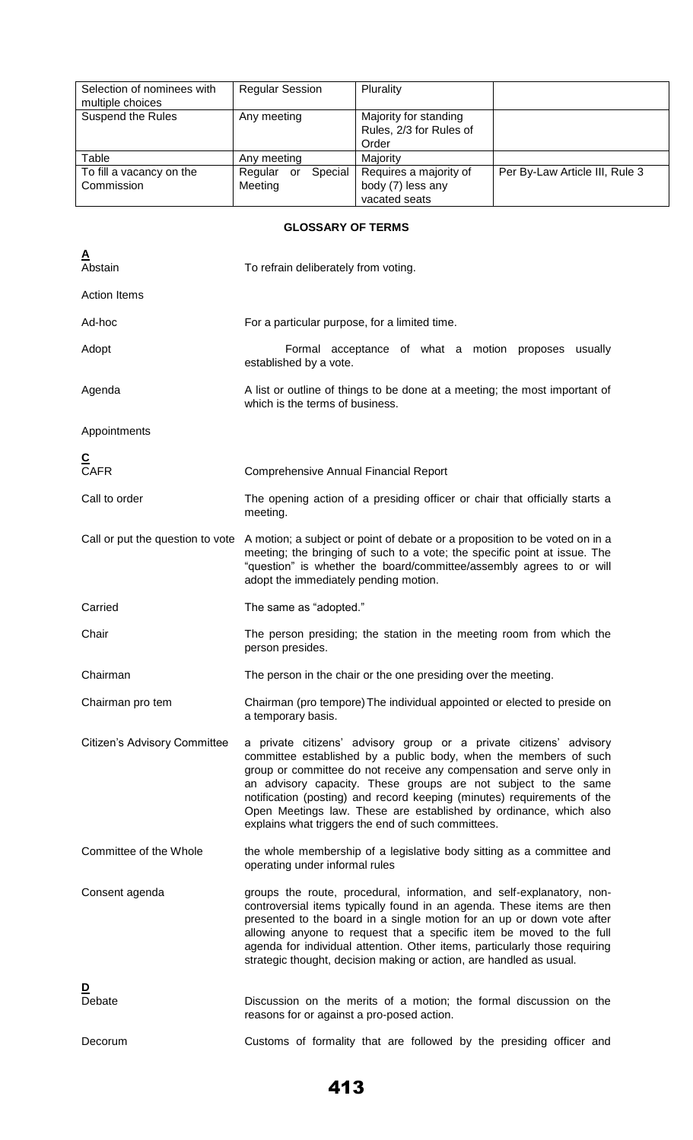| Selection of nominees with<br>multiple choices | <b>Regular Session</b>   | Plurality               |                                |
|------------------------------------------------|--------------------------|-------------------------|--------------------------------|
| <b>Suspend the Rules</b>                       | Any meeting              | Majority for standing   |                                |
|                                                |                          | Rules, 2/3 for Rules of |                                |
|                                                |                          | Order                   |                                |
| Table                                          | Any meeting              | Majority                |                                |
| To fill a vacancy on the                       | Special<br>Regular<br>or | Requires a majority of  | Per By-Law Article III, Rule 3 |
| Commission                                     | Meeting                  | body (7) less any       |                                |
|                                                |                          | vacated seats           |                                |

# **GLOSSARY OF TERMS**

| <u>A</u><br>Abstain              | To refrain deliberately from voting.                                                                                                                                                                                                                                                                                                                                                                                                                                                   |
|----------------------------------|----------------------------------------------------------------------------------------------------------------------------------------------------------------------------------------------------------------------------------------------------------------------------------------------------------------------------------------------------------------------------------------------------------------------------------------------------------------------------------------|
| <b>Action Items</b>              |                                                                                                                                                                                                                                                                                                                                                                                                                                                                                        |
| Ad-hoc                           | For a particular purpose, for a limited time.                                                                                                                                                                                                                                                                                                                                                                                                                                          |
| Adopt                            | Formal acceptance of what a motion proposes usually<br>established by a vote.                                                                                                                                                                                                                                                                                                                                                                                                          |
| Agenda                           | A list or outline of things to be done at a meeting; the most important of<br>which is the terms of business.                                                                                                                                                                                                                                                                                                                                                                          |
| Appointments                     |                                                                                                                                                                                                                                                                                                                                                                                                                                                                                        |
| C<br>CAFR                        | <b>Comprehensive Annual Financial Report</b>                                                                                                                                                                                                                                                                                                                                                                                                                                           |
| Call to order                    | The opening action of a presiding officer or chair that officially starts a<br>meeting.                                                                                                                                                                                                                                                                                                                                                                                                |
| Call or put the question to vote | A motion; a subject or point of debate or a proposition to be voted on in a<br>meeting; the bringing of such to a vote; the specific point at issue. The<br>"question" is whether the board/committee/assembly agrees to or will<br>adopt the immediately pending motion.                                                                                                                                                                                                              |
| Carried                          | The same as "adopted."                                                                                                                                                                                                                                                                                                                                                                                                                                                                 |
| Chair                            | The person presiding; the station in the meeting room from which the<br>person presides.                                                                                                                                                                                                                                                                                                                                                                                               |
| Chairman                         | The person in the chair or the one presiding over the meeting.                                                                                                                                                                                                                                                                                                                                                                                                                         |
| Chairman pro tem                 | Chairman (pro tempore) The individual appointed or elected to preside on<br>a temporary basis.                                                                                                                                                                                                                                                                                                                                                                                         |
| Citizen's Advisory Committee     | a private citizens' advisory group or a private citizens' advisory<br>committee established by a public body, when the members of such<br>group or committee do not receive any compensation and serve only in<br>an advisory capacity. These groups are not subject to the same<br>notification (posting) and record keeping (minutes) requirements of the<br>Open Meetings law. These are established by ordinance, which also<br>explains what triggers the end of such committees. |
| Committee of the Whole           | the whole membership of a legislative body sitting as a committee and<br>operating under informal rules                                                                                                                                                                                                                                                                                                                                                                                |
| Consent agenda                   | groups the route, procedural, information, and self-explanatory, non-<br>controversial items typically found in an agenda. These items are then<br>presented to the board in a single motion for an up or down vote after<br>allowing anyone to request that a specific item be moved to the full<br>agenda for individual attention. Other items, particularly those requiring<br>strategic thought, decision making or action, are handled as usual.                                 |
| <u>D</u><br>Debate               | Discussion on the merits of a motion; the formal discussion on the<br>reasons for or against a pro-posed action.                                                                                                                                                                                                                                                                                                                                                                       |
| Decorum                          | Customs of formality that are followed by the presiding officer and                                                                                                                                                                                                                                                                                                                                                                                                                    |

413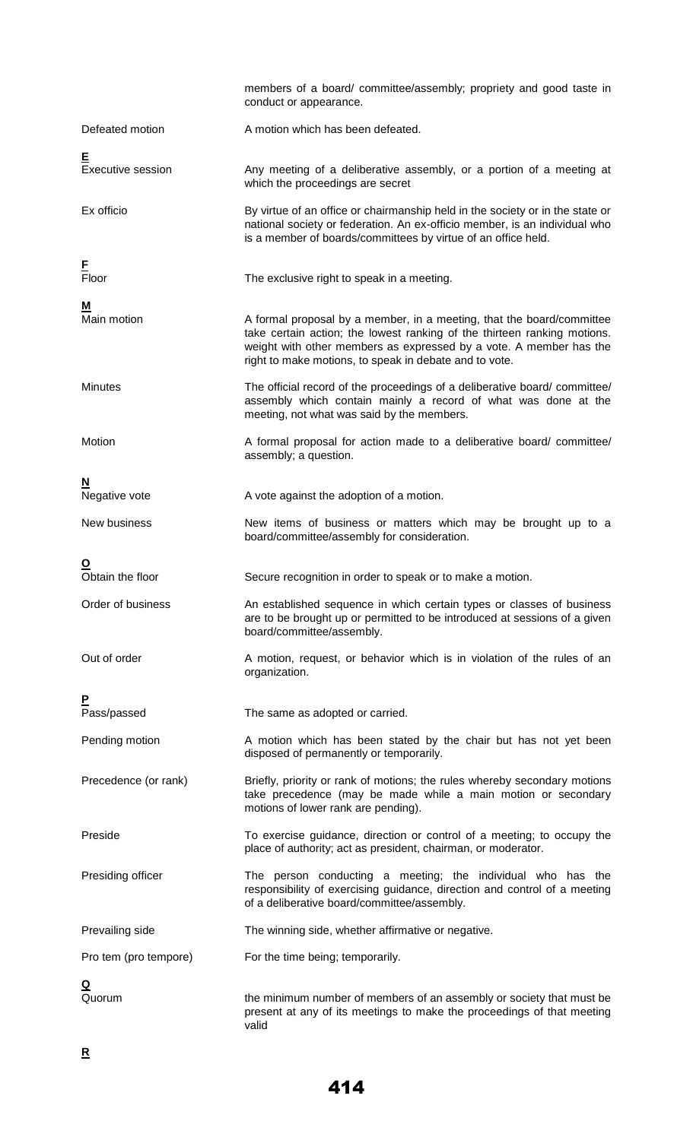|                              | members of a board/ committee/assembly; propriety and good taste in<br>conduct or appearance.                                                                                                                                                                                     |
|------------------------------|-----------------------------------------------------------------------------------------------------------------------------------------------------------------------------------------------------------------------------------------------------------------------------------|
| Defeated motion              | A motion which has been defeated.                                                                                                                                                                                                                                                 |
| E<br>Executive session       | Any meeting of a deliberative assembly, or a portion of a meeting at<br>which the proceedings are secret                                                                                                                                                                          |
| Ex officio                   | By virtue of an office or chairmanship held in the society or in the state or<br>national society or federation. An ex-officio member, is an individual who<br>is a member of boards/committees by virtue of an office held.                                                      |
| E<br>Floor                   | The exclusive right to speak in a meeting.                                                                                                                                                                                                                                        |
| <u>M</u><br>Main motion      | A formal proposal by a member, in a meeting, that the board/committee<br>take certain action; the lowest ranking of the thirteen ranking motions.<br>weight with other members as expressed by a vote. A member has the<br>right to make motions, to speak in debate and to vote. |
| <b>Minutes</b>               | The official record of the proceedings of a deliberative board/committee/<br>assembly which contain mainly a record of what was done at the<br>meeting, not what was said by the members.                                                                                         |
| Motion                       | A formal proposal for action made to a deliberative board/committee/<br>assembly; a question.                                                                                                                                                                                     |
| N<br>Negative vote           | A vote against the adoption of a motion.                                                                                                                                                                                                                                          |
| New business                 | New items of business or matters which may be brought up to a<br>board/committee/assembly for consideration.                                                                                                                                                                      |
| <u>୦</u><br>Obtain the floor | Secure recognition in order to speak or to make a motion.                                                                                                                                                                                                                         |
| Order of business            | An established sequence in which certain types or classes of business<br>are to be brought up or permitted to be introduced at sessions of a given<br>board/committee/assembly.                                                                                                   |
| Out of order                 | A motion, request, or behavior which is in violation of the rules of an<br>organization.                                                                                                                                                                                          |
| P<br>Pass/passed             | The same as adopted or carried.                                                                                                                                                                                                                                                   |
| Pending motion               | A motion which has been stated by the chair but has not yet been<br>disposed of permanently or temporarily.                                                                                                                                                                       |
| Precedence (or rank)         | Briefly, priority or rank of motions; the rules whereby secondary motions<br>take precedence (may be made while a main motion or secondary<br>motions of lower rank are pending).                                                                                                 |
| Preside                      | To exercise guidance, direction or control of a meeting; to occupy the<br>place of authority; act as president, chairman, or moderator.                                                                                                                                           |
| Presiding officer            | The person conducting a meeting; the individual who has the<br>responsibility of exercising guidance, direction and control of a meeting<br>of a deliberative board/committee/assembly.                                                                                           |
| Prevailing side              | The winning side, whether affirmative or negative.                                                                                                                                                                                                                                |
| Pro tem (pro tempore)        | For the time being; temporarily.                                                                                                                                                                                                                                                  |
| <u>Q</u><br>Quorum           | the minimum number of members of an assembly or society that must be<br>present at any of its meetings to make the proceedings of that meeting<br>valid                                                                                                                           |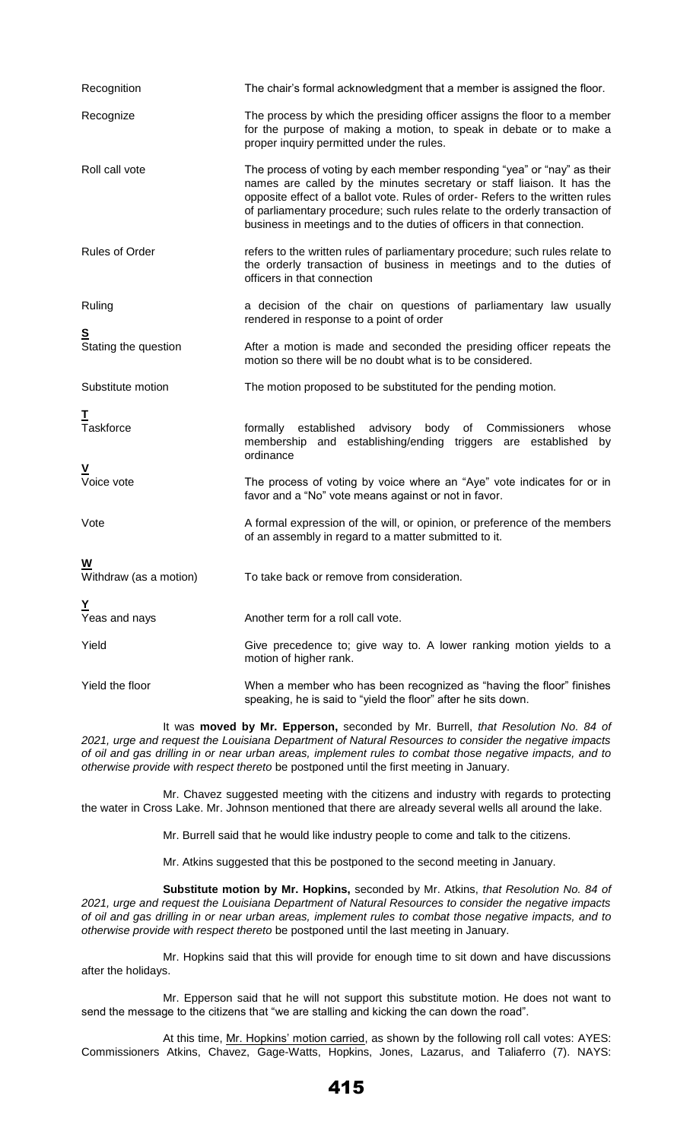| Recognition                      | The chair's formal acknowledgment that a member is assigned the floor.                                                                                                                                                                                                                                                                                                                      |
|----------------------------------|---------------------------------------------------------------------------------------------------------------------------------------------------------------------------------------------------------------------------------------------------------------------------------------------------------------------------------------------------------------------------------------------|
| Recognize                        | The process by which the presiding officer assigns the floor to a member<br>for the purpose of making a motion, to speak in debate or to make a<br>proper inquiry permitted under the rules.                                                                                                                                                                                                |
| Roll call vote                   | The process of voting by each member responding "yea" or "nay" as their<br>names are called by the minutes secretary or staff liaison. It has the<br>opposite effect of a ballot vote. Rules of order- Refers to the written rules<br>of parliamentary procedure; such rules relate to the orderly transaction of<br>business in meetings and to the duties of officers in that connection. |
| Rules of Order                   | refers to the written rules of parliamentary procedure; such rules relate to<br>the orderly transaction of business in meetings and to the duties of<br>officers in that connection                                                                                                                                                                                                         |
| Ruling                           | a decision of the chair on questions of parliamentary law usually<br>rendered in response to a point of order                                                                                                                                                                                                                                                                               |
| <u>s</u><br>Stating the question | After a motion is made and seconded the presiding officer repeats the<br>motion so there will be no doubt what is to be considered.                                                                                                                                                                                                                                                         |
| Substitute motion                | The motion proposed to be substituted for the pending motion.                                                                                                                                                                                                                                                                                                                               |
| I<br>Taskforce                   | established advisory body of Commissioners<br>formally<br>whose<br>membership and establishing/ending triggers are established<br>by<br>ordinance                                                                                                                                                                                                                                           |
| $\frac{V}{V}$ voice vote         | The process of voting by voice where an "Aye" vote indicates for or in<br>favor and a "No" vote means against or not in favor.                                                                                                                                                                                                                                                              |
| Vote                             | A formal expression of the will, or opinion, or preference of the members<br>of an assembly in regard to a matter submitted to it.                                                                                                                                                                                                                                                          |
| W<br>Withdraw (as a motion)      | To take back or remove from consideration.                                                                                                                                                                                                                                                                                                                                                  |
| Y<br>Yeas and nays               | Another term for a roll call vote.                                                                                                                                                                                                                                                                                                                                                          |
| Yield                            | Give precedence to; give way to. A lower ranking motion yields to a<br>motion of higher rank.                                                                                                                                                                                                                                                                                               |
| Yield the floor                  | When a member who has been recognized as "having the floor" finishes<br>speaking, he is said to "yield the floor" after he sits down.                                                                                                                                                                                                                                                       |

It was **moved by Mr. Epperson,** seconded by Mr. Burrell, *that Resolution No. 84 of 2021, urge and request the Louisiana Department of Natural Resources to consider the negative impacts of oil and gas drilling in or near urban areas, implement rules to combat those negative impacts, and to otherwise provide with respect thereto* be postponed until the first meeting in January.

Mr. Chavez suggested meeting with the citizens and industry with regards to protecting the water in Cross Lake. Mr. Johnson mentioned that there are already several wells all around the lake.

Mr. Burrell said that he would like industry people to come and talk to the citizens.

Mr. Atkins suggested that this be postponed to the second meeting in January.

**Substitute motion by Mr. Hopkins,** seconded by Mr. Atkins, *that Resolution No. 84 of 2021, urge and request the Louisiana Department of Natural Resources to consider the negative impacts of oil and gas drilling in or near urban areas, implement rules to combat those negative impacts, and to otherwise provide with respect thereto* be postponed until the last meeting in January.

Mr. Hopkins said that this will provide for enough time to sit down and have discussions after the holidays.

Mr. Epperson said that he will not support this substitute motion. He does not want to send the message to the citizens that "we are stalling and kicking the can down the road".

At this time, Mr. Hopkins' motion carried, as shown by the following roll call votes: AYES: Commissioners Atkins, Chavez, Gage-Watts, Hopkins, Jones, Lazarus, and Taliaferro (7). NAYS: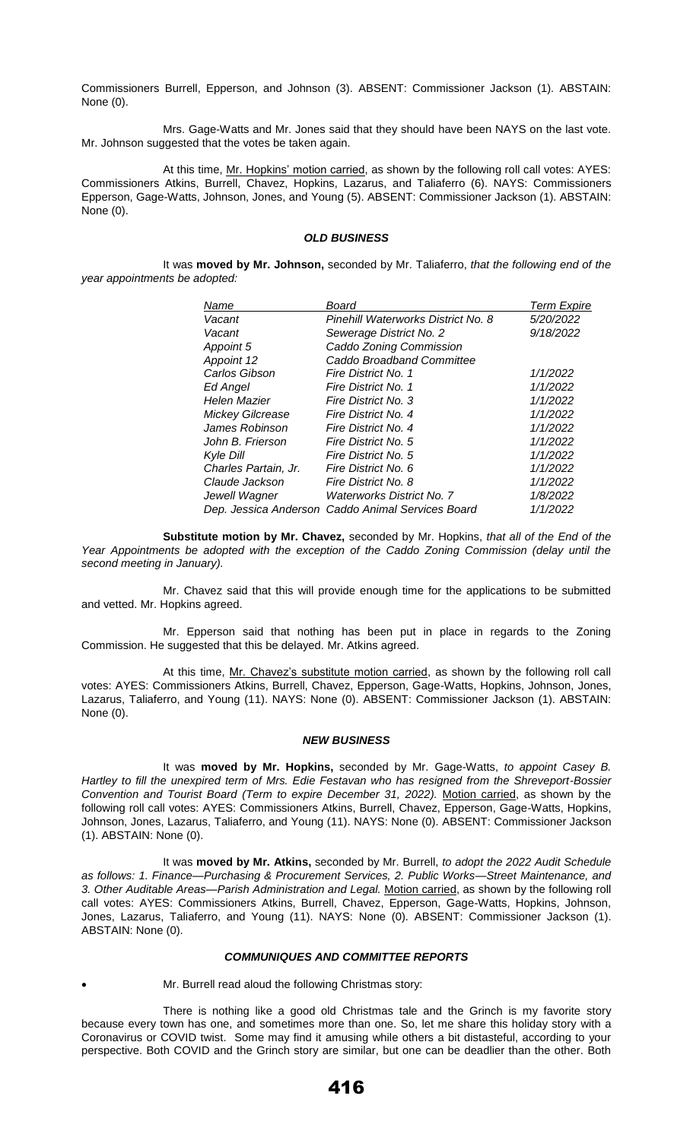Commissioners Burrell, Epperson, and Johnson (3). ABSENT: Commissioner Jackson (1). ABSTAIN: None (0).

Mrs. Gage-Watts and Mr. Jones said that they should have been NAYS on the last vote. Mr. Johnson suggested that the votes be taken again.

At this time, Mr. Hopkins' motion carried, as shown by the following roll call votes: AYES: Commissioners Atkins, Burrell, Chavez, Hopkins, Lazarus, and Taliaferro (6). NAYS: Commissioners Epperson, Gage-Watts, Johnson, Jones, and Young (5). ABSENT: Commissioner Jackson (1). ABSTAIN: None (0).

## *OLD BUSINESS*

It was **moved by Mr. Johnson,** seconded by Mr. Taliaferro, *that the following end of the year appointments be adopted:* 

| Name                 | Board                                             | Term Expire |
|----------------------|---------------------------------------------------|-------------|
| Vacant               | Pinehill Waterworks District No. 8                | 5/20/2022   |
| Vacant               | Sewerage District No. 2                           | 9/18/2022   |
| Appoint 5            | Caddo Zoning Commission                           |             |
| Appoint 12           | Caddo Broadband Committee                         |             |
| Carlos Gibson        | Fire District No. 1                               | 1/1/2022    |
| Ed Angel             | Fire District No. 1                               | 1/1/2022    |
| Helen Mazier         | Fire District No. 3                               | 1/1/2022    |
| Mickey Gilcrease     | Fire District No. 4                               | 1/1/2022    |
| James Robinson       | Fire District No. 4                               | 1/1/2022    |
| John B. Frierson     | Fire District No. 5                               | 1/1/2022    |
| Kyle Dill            | Fire District No. 5                               | 1/1/2022    |
| Charles Partain, Jr. | Fire District No. 6                               | 1/1/2022    |
| Claude Jackson       | Fire District No. 8                               | 1/1/2022    |
| Jewell Wagner        | <b>Waterworks District No. 7</b>                  | 1/8/2022    |
|                      | Dep. Jessica Anderson Caddo Animal Services Board | 1/1/2022    |
|                      |                                                   |             |

**Substitute motion by Mr. Chavez,** seconded by Mr. Hopkins, *that all of the End of the Year Appointments be adopted with the exception of the Caddo Zoning Commission (delay until the second meeting in January).* 

Mr. Chavez said that this will provide enough time for the applications to be submitted and vetted. Mr. Hopkins agreed.

Mr. Epperson said that nothing has been put in place in regards to the Zoning Commission. He suggested that this be delayed. Mr. Atkins agreed.

At this time, Mr. Chavez's substitute motion carried, as shown by the following roll call votes: AYES: Commissioners Atkins, Burrell, Chavez, Epperson, Gage-Watts, Hopkins, Johnson, Jones, Lazarus, Taliaferro, and Young (11). NAYS: None (0). ABSENT: Commissioner Jackson (1). ABSTAIN: None (0).

#### *NEW BUSINESS*

It was **moved by Mr. Hopkins,** seconded by Mr. Gage-Watts, *to appoint Casey B. Hartley to fill the unexpired term of Mrs. Edie Festavan who has resigned from the Shreveport-Bossier Convention and Tourist Board (Term to expire December 31, 2022).* Motion carried, as shown by the following roll call votes: AYES: Commissioners Atkins, Burrell, Chavez, Epperson, Gage-Watts, Hopkins, Johnson, Jones, Lazarus, Taliaferro, and Young (11). NAYS: None (0). ABSENT: Commissioner Jackson (1). ABSTAIN: None (0).

It was **moved by Mr. Atkins,** seconded by Mr. Burrell, *to adopt the 2022 Audit Schedule as follows: 1. Finance—Purchasing & Procurement Services, 2. Public Works—Street Maintenance, and 3. Other Auditable Areas—Parish Administration and Legal.* Motion carried, as shown by the following roll call votes: AYES: Commissioners Atkins, Burrell, Chavez, Epperson, Gage-Watts, Hopkins, Johnson, Jones, Lazarus, Taliaferro, and Young (11). NAYS: None (0). ABSENT: Commissioner Jackson (1). ABSTAIN: None (0).

## *COMMUNIQUES AND COMMITTEE REPORTS*

Mr. Burrell read aloud the following Christmas story:

There is nothing like a good old Christmas tale and the Grinch is my favorite story because every town has one, and sometimes more than one. So, let me share this holiday story with a Coronavirus or COVID twist. Some may find it amusing while others a bit distasteful, according to your perspective. Both COVID and the Grinch story are similar, but one can be deadlier than the other. Both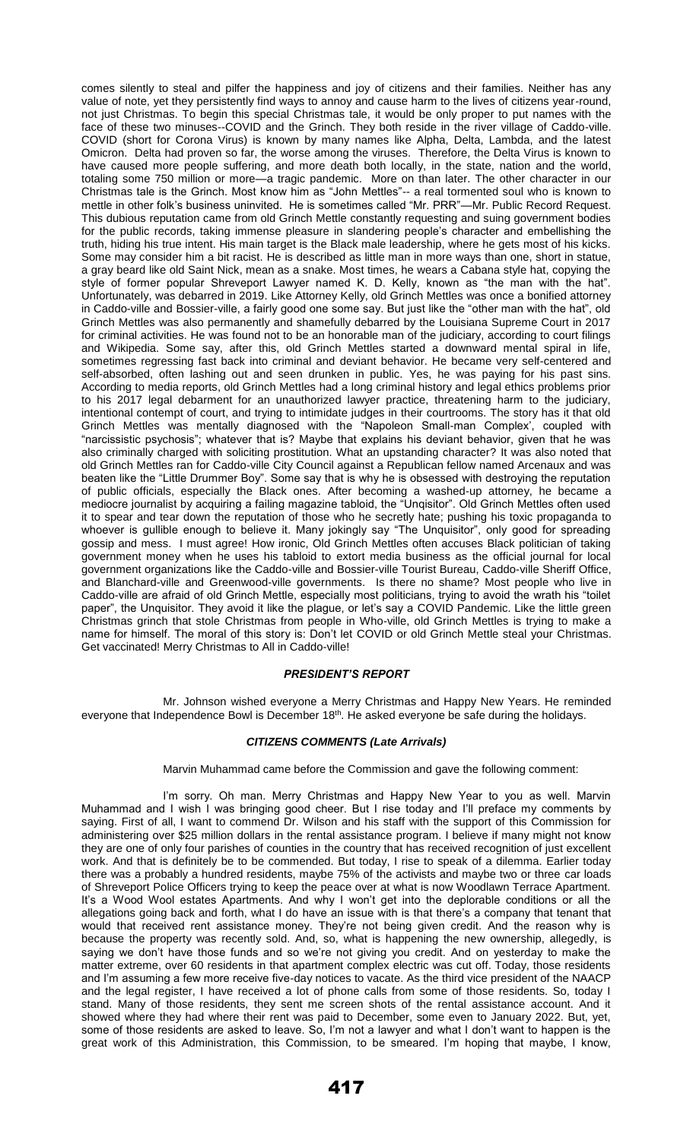comes silently to steal and pilfer the happiness and joy of citizens and their families. Neither has any value of note, yet they persistently find ways to annoy and cause harm to the lives of citizens year-round, not just Christmas. To begin this special Christmas tale, it would be only proper to put names with the face of these two minuses--COVID and the Grinch. They both reside in the river village of Caddo-ville. COVID (short for Corona Virus) is known by many names like Alpha, Delta, Lambda, and the latest Omicron. Delta had proven so far, the worse among the viruses. Therefore, the Delta Virus is known to have caused more people suffering, and more death both locally, in the state, nation and the world, totaling some 750 million or more—a tragic pandemic. More on than later. The other character in our Christmas tale is the Grinch. Most know him as "John Mettles"-- a real tormented soul who is known to mettle in other folk's business uninvited. He is sometimes called "Mr. PRR"—Mr. Public Record Request. This dubious reputation came from old Grinch Mettle constantly requesting and suing government bodies for the public records, taking immense pleasure in slandering people's character and embellishing the truth, hiding his true intent. His main target is the Black male leadership, where he gets most of his kicks. Some may consider him a bit racist. He is described as little man in more ways than one, short in statue, a gray beard like old Saint Nick, mean as a snake. Most times, he wears a Cabana style hat, copying the style of former popular Shreveport Lawyer named K. D. Kelly, known as "the man with the hat". Unfortunately, was debarred in 2019. Like Attorney Kelly, old Grinch Mettles was once a bonified attorney in Caddo-ville and Bossier-ville, a fairly good one some say. But just like the "other man with the hat", old Grinch Mettles was also permanently and shamefully debarred by the Louisiana Supreme Court in 2017 for criminal activities. He was found not to be an honorable man of the judiciary, according to court filings and Wikipedia. Some say, after this, old Grinch Mettles started a downward mental spiral in life, sometimes regressing fast back into criminal and deviant behavior. He became very self-centered and self-absorbed, often lashing out and seen drunken in public. Yes, he was paying for his past sins. According to media reports, old Grinch Mettles had a long criminal history and legal ethics problems prior to his 2017 legal debarment for an unauthorized lawyer practice, threatening harm to the judiciary, intentional contempt of court, and trying to intimidate judges in their courtrooms. The story has it that old Grinch Mettles was mentally diagnosed with the "Napoleon Small-man Complex', coupled with "narcissistic psychosis"; whatever that is? Maybe that explains his deviant behavior, given that he was also criminally charged with soliciting prostitution. What an upstanding character? It was also noted that old Grinch Mettles ran for Caddo-ville City Council against a Republican fellow named Arcenaux and was beaten like the "Little Drummer Boy". Some say that is why he is obsessed with destroying the reputation of public officials, especially the Black ones. After becoming a washed-up attorney, he became a mediocre journalist by acquiring a failing magazine tabloid, the "Unqisitor". Old Grinch Mettles often used it to spear and tear down the reputation of those who he secretly hate; pushing his toxic propaganda to whoever is gullible enough to believe it. Many jokingly say "The Unquisitor", only good for spreading gossip and mess. I must agree! How ironic, Old Grinch Mettles often accuses Black politician of taking government money when he uses his tabloid to extort media business as the official journal for local government organizations like the Caddo-ville and Bossier-ville Tourist Bureau, Caddo-ville Sheriff Office, and Blanchard-ville and Greenwood-ville governments. Is there no shame? Most people who live in Caddo-ville are afraid of old Grinch Mettle, especially most politicians, trying to avoid the wrath his "toilet paper", the Unquisitor. They avoid it like the plague, or let's say a COVID Pandemic. Like the little green Christmas grinch that stole Christmas from people in Who-ville, old Grinch Mettles is trying to make a name for himself. The moral of this story is: Don't let COVID or old Grinch Mettle steal your Christmas. Get vaccinated! Merry Christmas to All in Caddo-ville!

# *PRESIDENT'S REPORT*

Mr. Johnson wished everyone a Merry Christmas and Happy New Years. He reminded everyone that Independence Bowl is December 18<sup>th</sup>. He asked everyone be safe during the holidays.

# *CITIZENS COMMENTS (Late Arrivals)*

Marvin Muhammad came before the Commission and gave the following comment:

I'm sorry. Oh man. Merry Christmas and Happy New Year to you as well. Marvin Muhammad and I wish I was bringing good cheer. But I rise today and I'll preface my comments by saying. First of all, I want to commend Dr. Wilson and his staff with the support of this Commission for administering over \$25 million dollars in the rental assistance program. I believe if many might not know they are one of only four parishes of counties in the country that has received recognition of just excellent work. And that is definitely be to be commended. But today, I rise to speak of a dilemma. Earlier today there was a probably a hundred residents, maybe 75% of the activists and maybe two or three car loads of Shreveport Police Officers trying to keep the peace over at what is now Woodlawn Terrace Apartment. It's a Wood Wool estates Apartments. And why I won't get into the deplorable conditions or all the allegations going back and forth, what I do have an issue with is that there's a company that tenant that would that received rent assistance money. They're not being given credit. And the reason why is because the property was recently sold. And, so, what is happening the new ownership, allegedly, is saying we don't have those funds and so we're not giving you credit. And on yesterday to make the matter extreme, over 60 residents in that apartment complex electric was cut off. Today, those residents and I'm assuming a few more receive five-day notices to vacate. As the third vice president of the NAACP and the legal register, I have received a lot of phone calls from some of those residents. So, today I stand. Many of those residents, they sent me screen shots of the rental assistance account. And it showed where they had where their rent was paid to December, some even to January 2022. But, yet, some of those residents are asked to leave. So, I'm not a lawyer and what I don't want to happen is the great work of this Administration, this Commission, to be smeared. I'm hoping that maybe, I know,